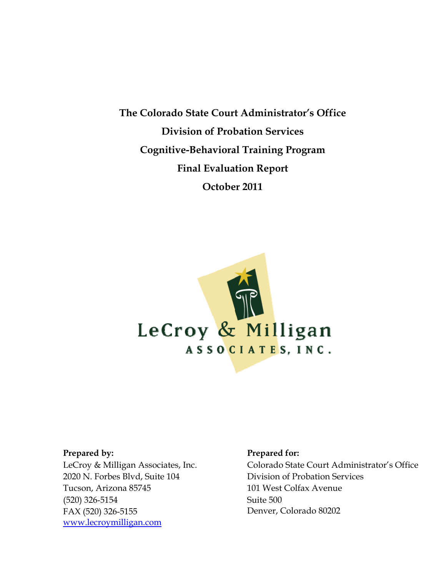**The Colorado State Court Administrator's Office Division of Probation Services Cognitive-Behavioral Training Program Final Evaluation Report October 2011** 



#### **Prepared by:**

LeCroy & Milligan Associates, Inc. 2020 N. Forbes Blvd, Suite 104 Tucson, Arizona 85745 (520) 326-5154 FAX (520) 326-5155 www.lecroymilligan.com

#### **Prepared for:**

Colorado State Court Administrator's Office Division of Probation Services 101 West Colfax Avenue Suite 500 Denver, Colorado 80202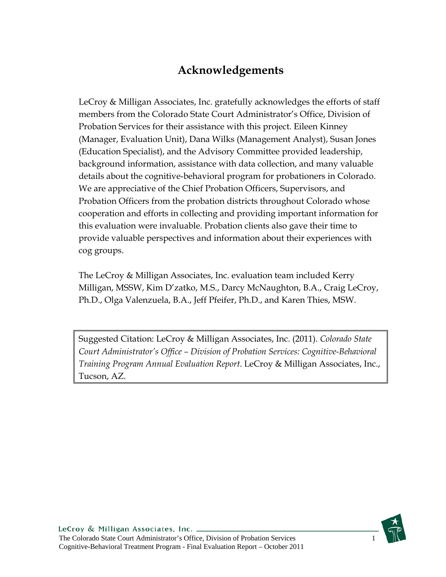# **Acknowledgements**

LeCroy & Milligan Associates, Inc. gratefully acknowledges the efforts of staff members from the Colorado State Court Administrator's Office, Division of Probation Services for their assistance with this project. Eileen Kinney (Manager, Evaluation Unit), Dana Wilks (Management Analyst), Susan Jones (Education Specialist), and the Advisory Committee provided leadership, background information, assistance with data collection, and many valuable details about the cognitive-behavioral program for probationers in Colorado. We are appreciative of the Chief Probation Officers, Supervisors, and Probation Officers from the probation districts throughout Colorado whose cooperation and efforts in collecting and providing important information for this evaluation were invaluable. Probation clients also gave their time to provide valuable perspectives and information about their experiences with cog groups.

The LeCroy & Milligan Associates, Inc. evaluation team included Kerry Milligan, MSSW, Kim D'zatko, M.S., Darcy McNaughton, B.A., Craig LeCroy, Ph.D., Olga Valenzuela, B.A., Jeff Pfeifer, Ph.D., and Karen Thies, MSW.

Suggested Citation: LeCroy & Milligan Associates, Inc. (2011). *Colorado State Court Administrator's Office – Division of Probation Services: Cognitive-Behavioral Training Program Annual Evaluation Report*. LeCroy & Milligan Associates, Inc., Tucson, AZ.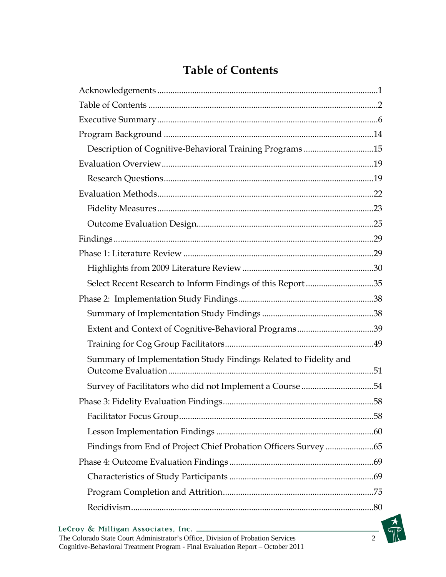# **Table of Contents**

| Description of Cognitive-Behavioral Training Programs 15         |  |
|------------------------------------------------------------------|--|
|                                                                  |  |
|                                                                  |  |
|                                                                  |  |
|                                                                  |  |
|                                                                  |  |
|                                                                  |  |
|                                                                  |  |
|                                                                  |  |
| Select Recent Research to Inform Findings of this Report35       |  |
|                                                                  |  |
|                                                                  |  |
| Extent and Context of Cognitive-Behavioral Programs39            |  |
|                                                                  |  |
| Summary of Implementation Study Findings Related to Fidelity and |  |
|                                                                  |  |
|                                                                  |  |
|                                                                  |  |
|                                                                  |  |
|                                                                  |  |
|                                                                  |  |
|                                                                  |  |
|                                                                  |  |
|                                                                  |  |
|                                                                  |  |

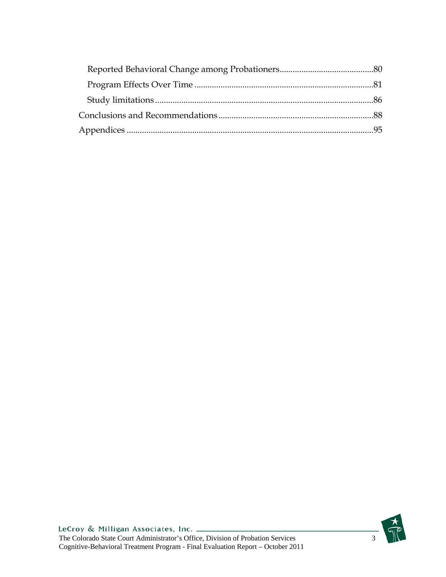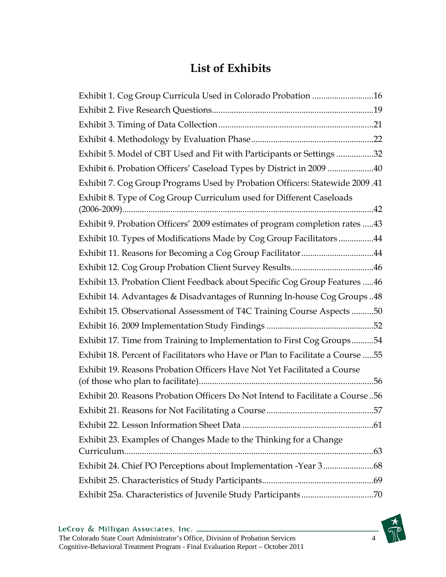# **List of Exhibits**

| Exhibit 1. Cog Group Curricula Used in Colorado Probation 16                    |
|---------------------------------------------------------------------------------|
|                                                                                 |
|                                                                                 |
|                                                                                 |
| Exhibit 5. Model of CBT Used and Fit with Participants or Settings 32           |
| Exhibit 6. Probation Officers' Caseload Types by District in 2009 40            |
| Exhibit 7. Cog Group Programs Used by Probation Officers: Statewide 2009.41     |
| Exhibit 8. Type of Cog Group Curriculum used for Different Caseloads            |
| Exhibit 9. Probation Officers' 2009 estimates of program completion rates  43   |
| Exhibit 10. Types of Modifications Made by Cog Group Facilitators44             |
| Exhibit 11. Reasons for Becoming a Cog Group Facilitator 44                     |
|                                                                                 |
| Exhibit 13. Probation Client Feedback about Specific Cog Group Features  46     |
| Exhibit 14. Advantages & Disadvantages of Running In-house Cog Groups48         |
| Exhibit 15. Observational Assessment of T4C Training Course Aspects 50          |
|                                                                                 |
| Exhibit 17. Time from Training to Implementation to First Cog Groups54          |
| Exhibit 18. Percent of Facilitators who Have or Plan to Facilitate a Course  55 |
| Exhibit 19. Reasons Probation Officers Have Not Yet Facilitated a Course        |
| Exhibit 20. Reasons Probation Officers Do Not Intend to Facilitate a Course 56  |
|                                                                                 |
|                                                                                 |
| Exhibit 23. Examples of Changes Made to the Thinking for a Change               |
|                                                                                 |
|                                                                                 |
| Exhibit 25a. Characteristics of Juvenile Study Participants 70                  |

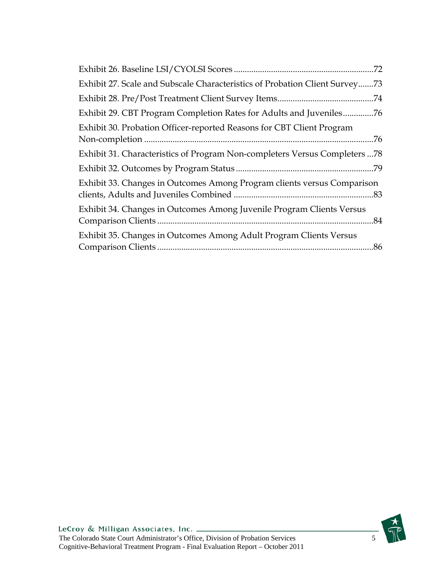| .72                                                                         |
|-----------------------------------------------------------------------------|
| Exhibit 27. Scale and Subscale Characteristics of Probation Client Survey73 |
| .74                                                                         |
| Exhibit 29. CBT Program Completion Rates for Adults and Juveniles76         |
| Exhibit 30. Probation Officer-reported Reasons for CBT Client Program       |
| Exhibit 31. Characteristics of Program Non-completers Versus Completers  78 |
|                                                                             |
| Exhibit 33. Changes in Outcomes Among Program clients versus Comparison     |
| Exhibit 34. Changes in Outcomes Among Juvenile Program Clients Versus       |
| Exhibit 35. Changes in Outcomes Among Adult Program Clients Versus          |

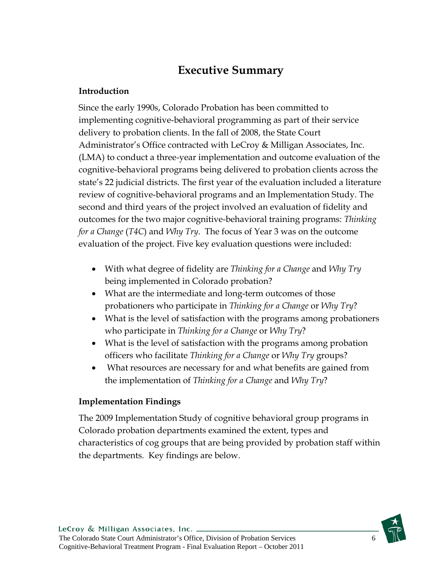## **Executive Summary**

#### **Introduction**

Since the early 1990s, Colorado Probation has been committed to implementing cognitive-behavioral programming as part of their service delivery to probation clients. In the fall of 2008, the State Court Administrator's Office contracted with LeCroy & Milligan Associates, Inc. (LMA) to conduct a three-year implementation and outcome evaluation of the cognitive-behavioral programs being delivered to probation clients across the state's 22 judicial districts. The first year of the evaluation included a literature review of cognitive-behavioral programs and an Implementation Study. The second and third years of the project involved an evaluation of fidelity and outcomes for the two major cognitive-behavioral training programs: *Thinking for a Change* (*T4C*) and *Why Try*. The focus of Year 3 was on the outcome evaluation of the project. Five key evaluation questions were included:

- With what degree of fidelity are *Thinking for a Change* and *Why Try* being implemented in Colorado probation?
- What are the intermediate and long-term outcomes of those probationers who participate in *Thinking for a Change* or *Why Try*?
- What is the level of satisfaction with the programs among probationers who participate in *Thinking for a Change* or *Why Try*?
- What is the level of satisfaction with the programs among probation officers who facilitate *Thinking for a Change* or *Why Try* groups?
- What resources are necessary for and what benefits are gained from the implementation of *Thinking for a Change* and *Why Try*?

#### **Implementation Findings**

The 2009 Implementation Study of cognitive behavioral group programs in Colorado probation departments examined the extent, types and characteristics of cog groups that are being provided by probation staff within the departments. Key findings are below.

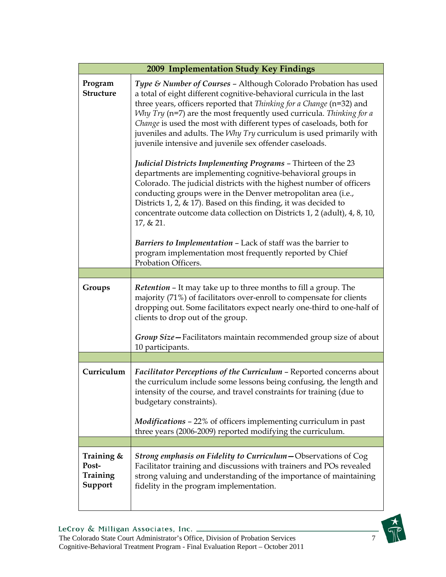| 2009 Implementation Study Key Findings     |                                                                                                                                                                                                                                                                                                                                                                                                                                                                                                                                                                                                                                                                                                                                                                                                                                                                                                                                                  |  |  |  |  |
|--------------------------------------------|--------------------------------------------------------------------------------------------------------------------------------------------------------------------------------------------------------------------------------------------------------------------------------------------------------------------------------------------------------------------------------------------------------------------------------------------------------------------------------------------------------------------------------------------------------------------------------------------------------------------------------------------------------------------------------------------------------------------------------------------------------------------------------------------------------------------------------------------------------------------------------------------------------------------------------------------------|--|--|--|--|
| Program<br><b>Structure</b>                | Type & Number of Courses - Although Colorado Probation has used<br>a total of eight different cognitive-behavioral curricula in the last<br>three years, officers reported that Thinking for a Change (n=32) and<br>Why Try (n=7) are the most frequently used curricula. Thinking for a<br>Change is used the most with different types of caseloads, both for<br>juveniles and adults. The Why Try curriculum is used primarily with<br>juvenile intensive and juvenile sex offender caseloads.<br><i>Judicial Districts Implementing Programs - Thirteen of the 23</i><br>departments are implementing cognitive-behavioral groups in<br>Colorado. The judicial districts with the highest number of officers<br>conducting groups were in the Denver metropolitan area (i.e.,<br>Districts 1, 2, $\&$ 17). Based on this finding, it was decided to<br>concentrate outcome data collection on Districts 1, 2 (adult), 4, 8, 10,<br>17, & 21. |  |  |  |  |
|                                            | Barriers to Implementation - Lack of staff was the barrier to<br>program implementation most frequently reported by Chief<br>Probation Officers.                                                                                                                                                                                                                                                                                                                                                                                                                                                                                                                                                                                                                                                                                                                                                                                                 |  |  |  |  |
|                                            |                                                                                                                                                                                                                                                                                                                                                                                                                                                                                                                                                                                                                                                                                                                                                                                                                                                                                                                                                  |  |  |  |  |
| Groups                                     | Retention - It may take up to three months to fill a group. The<br>majority (71%) of facilitators over-enroll to compensate for clients<br>dropping out. Some facilitators expect nearly one-third to one-half of<br>clients to drop out of the group.<br>Group Size-Facilitators maintain recommended group size of about<br>10 participants.                                                                                                                                                                                                                                                                                                                                                                                                                                                                                                                                                                                                   |  |  |  |  |
|                                            |                                                                                                                                                                                                                                                                                                                                                                                                                                                                                                                                                                                                                                                                                                                                                                                                                                                                                                                                                  |  |  |  |  |
| Curriculum                                 | Facilitator Perceptions of the Curriculum - Reported concerns about<br>the curriculum include some lessons being confusing, the length and<br>intensity of the course, and travel constraints for training (due to<br>budgetary constraints).<br><i>Modifications - 22%</i> of officers implementing curriculum in past                                                                                                                                                                                                                                                                                                                                                                                                                                                                                                                                                                                                                          |  |  |  |  |
|                                            | three years (2006-2009) reported modifying the curriculum.                                                                                                                                                                                                                                                                                                                                                                                                                                                                                                                                                                                                                                                                                                                                                                                                                                                                                       |  |  |  |  |
|                                            |                                                                                                                                                                                                                                                                                                                                                                                                                                                                                                                                                                                                                                                                                                                                                                                                                                                                                                                                                  |  |  |  |  |
| Training &<br>Post-<br>Training<br>Support | Strong emphasis on Fidelity to Curriculum - Observations of Cog<br>Facilitator training and discussions with trainers and POs revealed<br>strong valuing and understanding of the importance of maintaining<br>fidelity in the program implementation.                                                                                                                                                                                                                                                                                                                                                                                                                                                                                                                                                                                                                                                                                           |  |  |  |  |

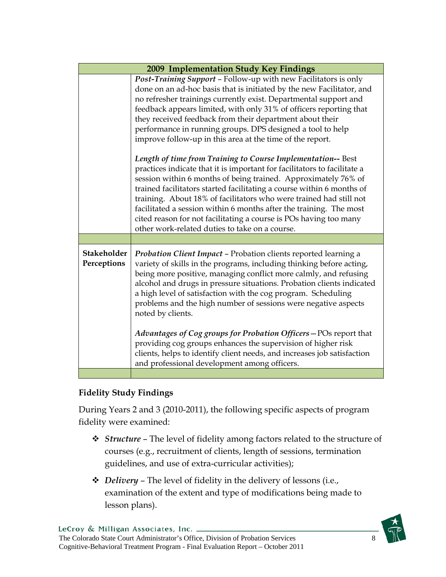|                            | 2009 Implementation Study Key Findings                                                                                                                                                                                                                                                                                                                                                                                                                                                                                                                                                                                                                                                                                                                                                                                                                                                                                                                                                                                              |  |
|----------------------------|-------------------------------------------------------------------------------------------------------------------------------------------------------------------------------------------------------------------------------------------------------------------------------------------------------------------------------------------------------------------------------------------------------------------------------------------------------------------------------------------------------------------------------------------------------------------------------------------------------------------------------------------------------------------------------------------------------------------------------------------------------------------------------------------------------------------------------------------------------------------------------------------------------------------------------------------------------------------------------------------------------------------------------------|--|
|                            | Post-Training Support - Follow-up with new Facilitators is only<br>done on an ad-hoc basis that is initiated by the new Facilitator, and<br>no refresher trainings currently exist. Departmental support and<br>feedback appears limited, with only 31% of officers reporting that<br>they received feedback from their department about their<br>performance in running groups. DPS designed a tool to help<br>improve follow-up in this area at the time of the report.<br>Length of time from Training to Course Implementation-- Best<br>practices indicate that it is important for facilitators to facilitate a<br>session within 6 months of being trained. Approximately 76% of<br>trained facilitators started facilitating a course within 6 months of<br>training. About 18% of facilitators who were trained had still not<br>facilitated a session within 6 months after the training. The most<br>cited reason for not facilitating a course is POs having too many<br>other work-related duties to take on a course. |  |
| Stakeholder<br>Perceptions | <b>Probation Client Impact - Probation clients reported learning a</b><br>variety of skills in the programs, including thinking before acting,<br>being more positive, managing conflict more calmly, and refusing<br>alcohol and drugs in pressure situations. Probation clients indicated<br>a high level of satisfaction with the cog program. Scheduling<br>problems and the high number of sessions were negative aspects<br>noted by clients.<br>Advantages of Cog groups for Probation Officers-POs report that<br>providing cog groups enhances the supervision of higher risk<br>clients, helps to identify client needs, and increases job satisfaction<br>and professional development among officers.                                                                                                                                                                                                                                                                                                                   |  |
|                            |                                                                                                                                                                                                                                                                                                                                                                                                                                                                                                                                                                                                                                                                                                                                                                                                                                                                                                                                                                                                                                     |  |

### **Fidelity Study Findings**

During Years 2 and 3 (2010-2011), the following specific aspects of program fidelity were examined:

- *Structure* The level of fidelity among factors related to the structure of courses (e.g., recruitment of clients, length of sessions, termination guidelines, and use of extra-curricular activities);
- *Delivery*  The level of fidelity in the delivery of lessons (i.e., examination of the extent and type of modifications being made to lesson plans).

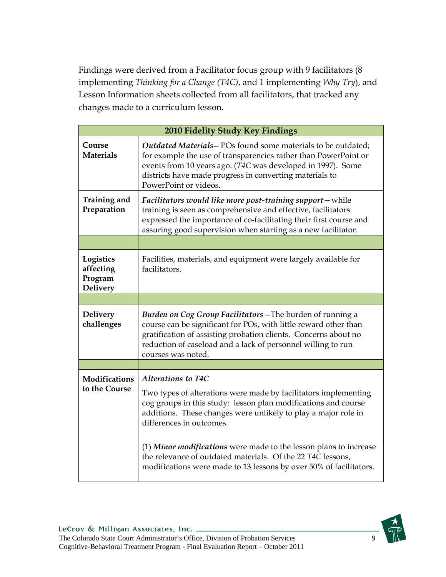Findings were derived from a Facilitator focus group with 9 facilitators (8 implementing *Thinking for a Change (T4C)*, and 1 implementing *Why Try*), and Lesson Information sheets collected from all facilitators, that tracked any changes made to a curriculum lesson.

| 2010 Fidelity Study Key Findings                     |                                                                                                                                                                                                                                                                                                                                                                                                                                                                 |  |  |
|------------------------------------------------------|-----------------------------------------------------------------------------------------------------------------------------------------------------------------------------------------------------------------------------------------------------------------------------------------------------------------------------------------------------------------------------------------------------------------------------------------------------------------|--|--|
| Course<br><b>Materials</b>                           | Outdated Materials-- POs found some materials to be outdated;<br>for example the use of transparencies rather than PowerPoint or<br>events from 10 years ago. (T4C was developed in 1997). Some<br>districts have made progress in converting materials to<br>PowerPoint or videos.                                                                                                                                                                             |  |  |
| Training and<br>Preparation                          | Facilitators would like more post-training support-while<br>training is seen as comprehensive and effective, facilitators<br>expressed the importance of co-facilitating their first course and<br>assuring good supervision when starting as a new facilitator.                                                                                                                                                                                                |  |  |
|                                                      |                                                                                                                                                                                                                                                                                                                                                                                                                                                                 |  |  |
| Logistics<br>affecting<br>Program<br><b>Delivery</b> | Facilities, materials, and equipment were largely available for<br>facilitators.                                                                                                                                                                                                                                                                                                                                                                                |  |  |
|                                                      |                                                                                                                                                                                                                                                                                                                                                                                                                                                                 |  |  |
| <b>Delivery</b><br>challenges                        | <b>Burden on Cog Group Facilitators --The burden of running a</b><br>course can be significant for POs, with little reward other than<br>gratification of assisting probation clients. Concerns about no<br>reduction of caseload and a lack of personnel willing to run<br>courses was noted.                                                                                                                                                                  |  |  |
|                                                      |                                                                                                                                                                                                                                                                                                                                                                                                                                                                 |  |  |
| <b>Modifications</b><br>to the Course                | Alterations to T4C<br>Two types of alterations were made by facilitators implementing<br>cog groups in this study: lesson plan modifications and course<br>additions. These changes were unlikely to play a major role in<br>differences in outcomes.<br>(1) Minor modifications were made to the lesson plans to increase<br>the relevance of outdated materials. Of the 22 T4C lessons,<br>modifications were made to 13 lessons by over 50% of facilitators. |  |  |

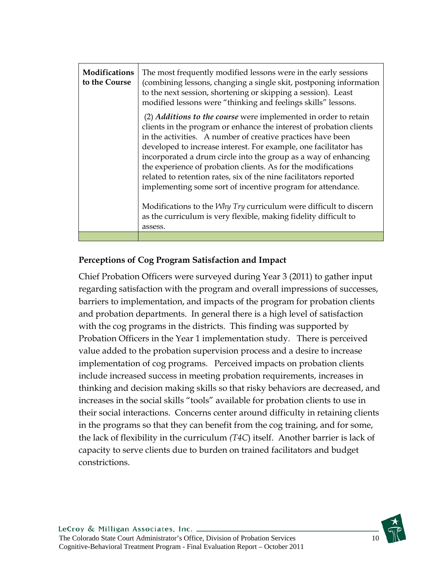| <b>Modifications</b><br>to the Course | The most frequently modified lessons were in the early sessions<br>(combining lessons, changing a single skit, postponing information<br>to the next session, shortening or skipping a session). Least<br>modified lessons were "thinking and feelings skills" lessons.                                                                                                                                                                                                                                                                                                                                                                                                                                             |
|---------------------------------------|---------------------------------------------------------------------------------------------------------------------------------------------------------------------------------------------------------------------------------------------------------------------------------------------------------------------------------------------------------------------------------------------------------------------------------------------------------------------------------------------------------------------------------------------------------------------------------------------------------------------------------------------------------------------------------------------------------------------|
|                                       | (2) <i>Additions to the course</i> were implemented in order to retain<br>clients in the program or enhance the interest of probation clients<br>in the activities. A number of creative practices have been<br>developed to increase interest. For example, one facilitator has<br>incorporated a drum circle into the group as a way of enhancing<br>the experience of probation clients. As for the modifications<br>related to retention rates, six of the nine facilitators reported<br>implementing some sort of incentive program for attendance.<br>Modifications to the <i>Why Try</i> curriculum were difficult to discern<br>as the curriculum is very flexible, making fidelity difficult to<br>assess. |
|                                       |                                                                                                                                                                                                                                                                                                                                                                                                                                                                                                                                                                                                                                                                                                                     |

### **Perceptions of Cog Program Satisfaction and Impact**

Chief Probation Officers were surveyed during Year 3 (2011) to gather input regarding satisfaction with the program and overall impressions of successes, barriers to implementation, and impacts of the program for probation clients and probation departments. In general there is a high level of satisfaction with the cog programs in the districts. This finding was supported by Probation Officers in the Year 1 implementation study. There is perceived value added to the probation supervision process and a desire to increase implementation of cog programs. Perceived impacts on probation clients include increased success in meeting probation requirements, increases in thinking and decision making skills so that risky behaviors are decreased, and increases in the social skills "tools" available for probation clients to use in their social interactions. Concerns center around difficulty in retaining clients in the programs so that they can benefit from the cog training, and for some, the lack of flexibility in the curriculum *(T4C*) itself. Another barrier is lack of capacity to serve clients due to burden on trained facilitators and budget constrictions.

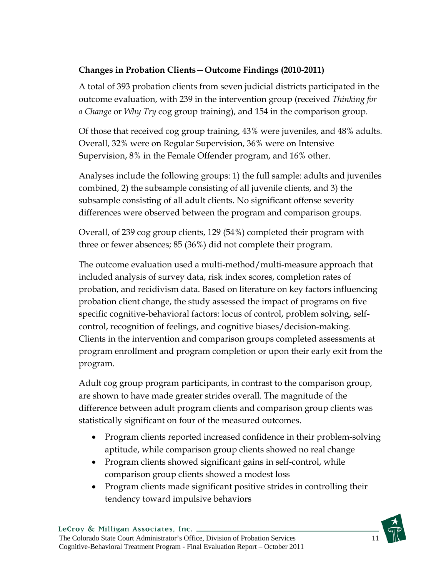### **Changes in Probation Clients—Outcome Findings (2010-2011)**

A total of 393 probation clients from seven judicial districts participated in the outcome evaluation, with 239 in the intervention group (received *Thinking for a Change* or *Why Try* cog group training), and 154 in the comparison group.

Of those that received cog group training, 43% were juveniles, and 48% adults. Overall, 32% were on Regular Supervision, 36% were on Intensive Supervision, 8% in the Female Offender program, and 16% other.

Analyses include the following groups: 1) the full sample: adults and juveniles combined, 2) the subsample consisting of all juvenile clients, and 3) the subsample consisting of all adult clients. No significant offense severity differences were observed between the program and comparison groups.

Overall, of 239 cog group clients, 129 (54%) completed their program with three or fewer absences; 85 (36%) did not complete their program.

The outcome evaluation used a multi-method/multi-measure approach that included analysis of survey data, risk index scores, completion rates of probation, and recidivism data. Based on literature on key factors influencing probation client change, the study assessed the impact of programs on five specific cognitive-behavioral factors: locus of control, problem solving, selfcontrol, recognition of feelings, and cognitive biases/decision-making. Clients in the intervention and comparison groups completed assessments at program enrollment and program completion or upon their early exit from the program.

Adult cog group program participants, in contrast to the comparison group, are shown to have made greater strides overall. The magnitude of the difference between adult program clients and comparison group clients was statistically significant on four of the measured outcomes.

- Program clients reported increased confidence in their problem-solving aptitude, while comparison group clients showed no real change
- Program clients showed significant gains in self-control, while comparison group clients showed a modest loss
- Program clients made significant positive strides in controlling their tendency toward impulsive behaviors

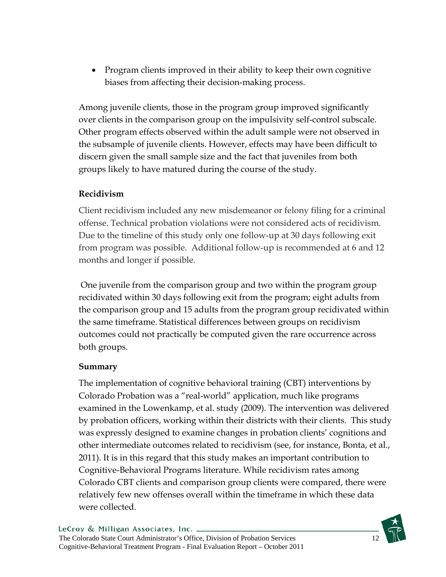Program clients improved in their ability to keep their own cognitive biases from affecting their decision-making process.

Among juvenile clients, those in the program group improved significantly over clients in the comparison group on the impulsivity self-control subscale. Other program effects observed within the adult sample were not observed in the subsample of juvenile clients. However, effects may have been difficult to discern given the small sample size and the fact that juveniles from both groups likely to have matured during the course of the study.

### **Recidivism**

Client recidivism included any new misdemeanor or felony filing for a criminal offense. Technical probation violations were not considered acts of recidivism. Due to the timeline of this study only one follow-up at 30 days following exit from program was possible. Additional follow-up is recommended at 6 and 12 months and longer if possible.

 One juvenile from the comparison group and two within the program group recidivated within 30 days following exit from the program; eight adults from the comparison group and 15 adults from the program group recidivated within the same timeframe. Statistical differences between groups on recidivism outcomes could not practically be computed given the rare occurrence across both groups.

### **Summary**

The implementation of cognitive behavioral training (CBT) interventions by Colorado Probation was a "real-world" application, much like programs examined in the Lowenkamp, et al. study (2009). The intervention was delivered by probation officers, working within their districts with their clients. This study was expressly designed to examine changes in probation clients' cognitions and other intermediate outcomes related to recidivism (see, for instance, Bonta, et al., 2011). It is in this regard that this study makes an important contribution to Cognitive-Behavioral Programs literature. While recidivism rates among Colorado CBT clients and comparison group clients were compared, there were relatively few new offenses overall within the timeframe in which these data were collected.

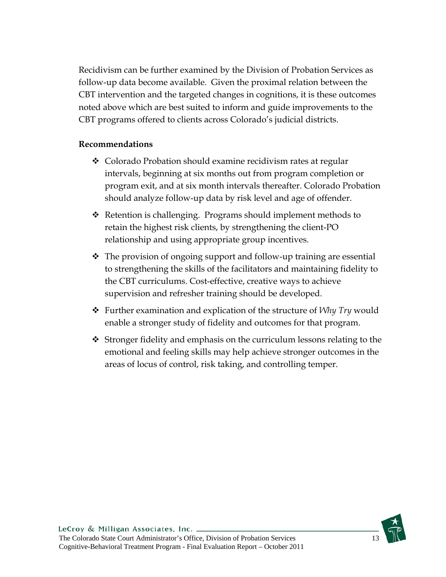Recidivism can be further examined by the Division of Probation Services as follow-up data become available. Given the proximal relation between the CBT intervention and the targeted changes in cognitions, it is these outcomes noted above which are best suited to inform and guide improvements to the CBT programs offered to clients across Colorado's judicial districts.

#### **Recommendations**

- ◆ Colorado Probation should examine recidivism rates at regular intervals, beginning at six months out from program completion or program exit, and at six month intervals thereafter. Colorado Probation should analyze follow-up data by risk level and age of offender.
- Retention is challenging. Programs should implement methods to retain the highest risk clients, by strengthening the client-PO relationship and using appropriate group incentives.
- The provision of ongoing support and follow-up training are essential to strengthening the skills of the facilitators and maintaining fidelity to the CBT curriculums. Cost-effective, creative ways to achieve supervision and refresher training should be developed.
- Further examination and explication of the structure of *Why Try* would enable a stronger study of fidelity and outcomes for that program.
- Stronger fidelity and emphasis on the curriculum lessons relating to the emotional and feeling skills may help achieve stronger outcomes in the areas of locus of control, risk taking, and controlling temper.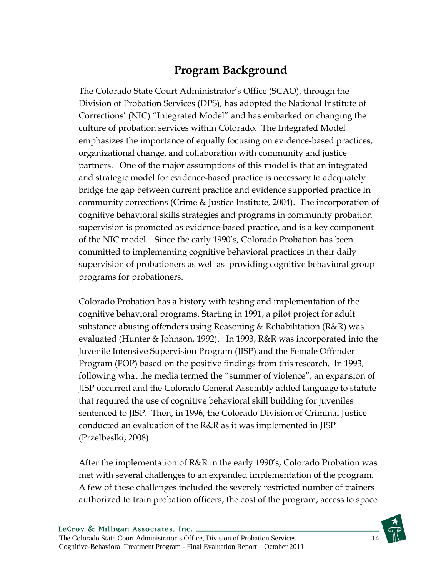# **Program Background**

The Colorado State Court Administrator's Office (SCAO), through the Division of Probation Services (DPS), has adopted the National Institute of Corrections' (NIC) "Integrated Model" and has embarked on changing the culture of probation services within Colorado. The Integrated Model emphasizes the importance of equally focusing on evidence-based practices, organizational change, and collaboration with community and justice partners. One of the major assumptions of this model is that an integrated and strategic model for evidence-based practice is necessary to adequately bridge the gap between current practice and evidence supported practice in community corrections (Crime & Justice Institute, 2004). The incorporation of cognitive behavioral skills strategies and programs in community probation supervision is promoted as evidence-based practice, and is a key component of the NIC model. Since the early 1990's, Colorado Probation has been committed to implementing cognitive behavioral practices in their daily supervision of probationers as well as providing cognitive behavioral group programs for probationers.

Colorado Probation has a history with testing and implementation of the cognitive behavioral programs. Starting in 1991, a pilot project for adult substance abusing offenders using Reasoning & Rehabilitation (R&R) was evaluated (Hunter & Johnson, 1992). In 1993, R&R was incorporated into the Juvenile Intensive Supervision Program (JISP) and the Female Offender Program (FOP) based on the positive findings from this research. In 1993, following what the media termed the "summer of violence", an expansion of JISP occurred and the Colorado General Assembly added language to statute that required the use of cognitive behavioral skill building for juveniles sentenced to JISP. Then, in 1996, the Colorado Division of Criminal Justice conducted an evaluation of the R&R as it was implemented in JISP (Przelbeslki, 2008).

After the implementation of R&R in the early 1990's, Colorado Probation was met with several challenges to an expanded implementation of the program. A few of these challenges included the severely restricted number of trainers authorized to train probation officers, the cost of the program, access to space

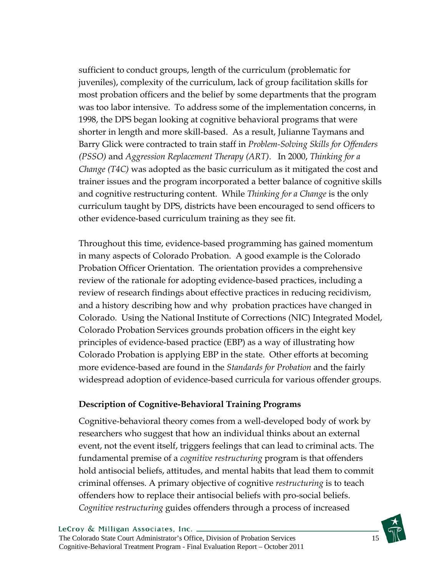sufficient to conduct groups, length of the curriculum (problematic for juveniles), complexity of the curriculum, lack of group facilitation skills for most probation officers and the belief by some departments that the program was too labor intensive. To address some of the implementation concerns, in 1998, the DPS began looking at cognitive behavioral programs that were shorter in length and more skill-based. As a result, Julianne Taymans and Barry Glick were contracted to train staff in *Problem-Solving Skills for Offenders (PSSO)* and *Aggression Replacement Therapy (ART)*. In 2000, *Thinking for a Change (T4C)* was adopted as the basic curriculum as it mitigated the cost and trainer issues and the program incorporated a better balance of cognitive skills and cognitive restructuring content. While *Thinking for a Change* is the only curriculum taught by DPS, districts have been encouraged to send officers to other evidence-based curriculum training as they see fit.

Throughout this time, evidence-based programming has gained momentum in many aspects of Colorado Probation. A good example is the Colorado Probation Officer Orientation. The orientation provides a comprehensive review of the rationale for adopting evidence-based practices, including a review of research findings about effective practices in reducing recidivism, and a history describing how and why probation practices have changed in Colorado. Using the National Institute of Corrections (NIC) Integrated Model, Colorado Probation Services grounds probation officers in the eight key principles of evidence-based practice (EBP) as a way of illustrating how Colorado Probation is applying EBP in the state. Other efforts at becoming more evidence-based are found in the *Standards for Probation* and the fairly widespread adoption of evidence-based curricula for various offender groups.

#### **Description of Cognitive-Behavioral Training Programs**

Cognitive-behavioral theory comes from a well-developed body of work by researchers who suggest that how an individual thinks about an external event, not the event itself, triggers feelings that can lead to criminal acts. The fundamental premise of a *cognitive restructuring* program is that offenders hold antisocial beliefs, attitudes, and mental habits that lead them to commit criminal offenses. A primary objective of cognitive *restructuring* is to teach offenders how to replace their antisocial beliefs with pro-social beliefs. *Cognitive restructuring* guides offenders through a process of increased

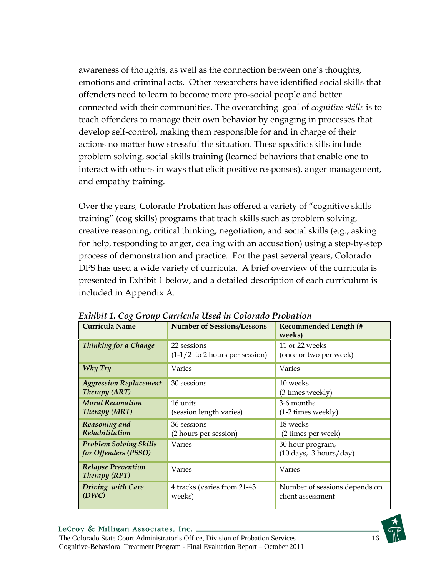awareness of thoughts, as well as the connection between one's thoughts, emotions and criminal acts. Other researchers have identified social skills that offenders need to learn to become more pro-social people and better connected with their communities. The overarching goal of *cognitive skills* is to teach offenders to manage their own behavior by engaging in processes that develop self-control, making them responsible for and in charge of their actions no matter how stressful the situation. These specific skills include problem solving, social skills training (learned behaviors that enable one to interact with others in ways that elicit positive responses), anger management, and empathy training.

Over the years, Colorado Probation has offered a variety of "cognitive skills training" (cog skills) programs that teach skills such as problem solving, creative reasoning, critical thinking, negotiation, and social skills (e.g., asking for help, responding to anger, dealing with an accusation) using a step-by-step process of demonstration and practice. For the past several years, Colorado DPS has used a wide variety of curricula. A brief overview of the curricula is presented in Exhibit 1 below, and a detailed description of each curriculum is included in Appendix A.

| <b>Curricula Name</b>                                 | <b>Number of Sessions/Lessons</b><br><b>Recommended Length (#</b><br>weeks)                  |                                                    |  |
|-------------------------------------------------------|----------------------------------------------------------------------------------------------|----------------------------------------------------|--|
| Thinking for a Change                                 | 11 or 22 weeks<br>22 sessions<br>$(1-1/2)$ to 2 hours per session)<br>(once or two per week) |                                                    |  |
| Why Try                                               | Varies<br>Varies                                                                             |                                                    |  |
| <b>Aggression Replacement</b><br>Therapy (ART)        | 10 weeks<br>30 sessions<br>(3 times weekly)                                                  |                                                    |  |
| <b>Moral Reconation</b><br><b>Therapy (MRT)</b>       | 3-6 months<br>16 units<br>(session length varies)<br>$(1-2 \times W)$                        |                                                    |  |
| Reasoning and<br>Rehabilitation                       | 36 sessions<br>(2 hours per session)                                                         | 18 weeks<br>(2 times per week)                     |  |
| <b>Problem Solving Skills</b><br>for Offenders (PSSO) | Varies<br>30 hour program,<br>$(10 \text{ days}, 3 \text{ hours/day})$                       |                                                    |  |
| <b>Relapse Prevention</b><br>Therapy (RPT)            | Varies<br>Varies                                                                             |                                                    |  |
| Driving with Care<br>(DWC)                            | 4 tracks (varies from 21-43<br>weeks)                                                        | Number of sessions depends on<br>client assessment |  |

*Exhibit 1. Cog Group Curricula Used in Colorado Probation* 

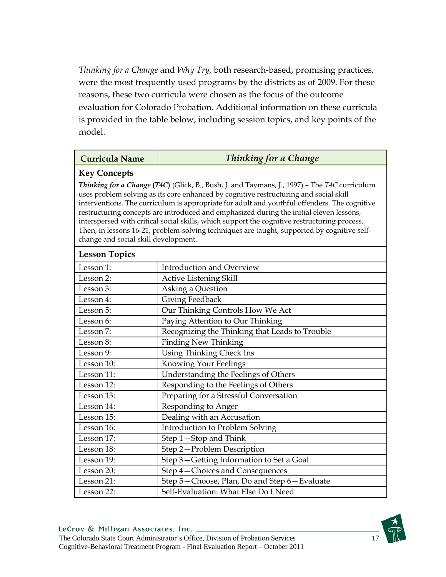*Thinking for a Change* and *Why Try,* both research-based, promising practices*,* were the most frequently used programs by the districts as of 2009. For these reasons, these two curricula were chosen as the focus of the outcome evaluation for Colorado Probation. Additional information on these curricula is provided in the table below, including session topics, and key points of the model.

#### **Curricula Name** *Thinking for a Change*

#### **Key Concepts**

*Thinking for a Change* **(***T4C***)** (Glick, B., Bush, J. and Taymans, J., 1997) – The *T4C* curriculum uses problem solving as its core enhanced by cognitive restructuring and social skill interventions. The curriculum is appropriate for adult and youthful offenders. The cognitive restructuring concepts are introduced and emphasized during the initial eleven lessons, interspersed with critical social skills, which support the cognitive restructuring process. Then, in lessons 16-21, problem-solving techniques are taught, supported by cognitive selfchange and social skill development.

| <b>Lesson Topics</b> |                                                |
|----------------------|------------------------------------------------|
| Lesson 1:            | <b>Introduction and Overview</b>               |
| Lesson 2:            | <b>Active Listening Skill</b>                  |
| Lesson 3:            | Asking a Question                              |
| Lesson 4:            | Giving Feedback                                |
| Lesson 5:            | Our Thinking Controls How We Act               |
| Lesson 6:            | Paying Attention to Our Thinking               |
| Lesson 7:            | Recognizing the Thinking that Leads to Trouble |
| Lesson 8:            | <b>Finding New Thinking</b>                    |
| Lesson 9:            | Using Thinking Check Ins                       |
| Lesson 10:           | Knowing Your Feelings                          |
| Lesson 11:           | Understanding the Feelings of Others           |
| Lesson 12:           | Responding to the Feelings of Others           |
| Lesson 13:           | Preparing for a Stressful Conversation         |
| Lesson 14:           | Responding to Anger                            |
| Lesson 15:           | Dealing with an Accusation                     |
| Lesson 16:           | Introduction to Problem Solving                |
| Lesson 17:           | Step 1-Stop and Think                          |
| Lesson 18:           | Step 2-Problem Description                     |
| Lesson 19:           | Step 3-Getting Information to Set a Goal       |
| Lesson 20:           | Step 4 – Choices and Consequences              |
| Lesson 21:           | Step 5-Choose, Plan, Do and Step 6-Evaluate    |
| Lesson 22:           | Self-Evaluation: What Else Do I Need           |

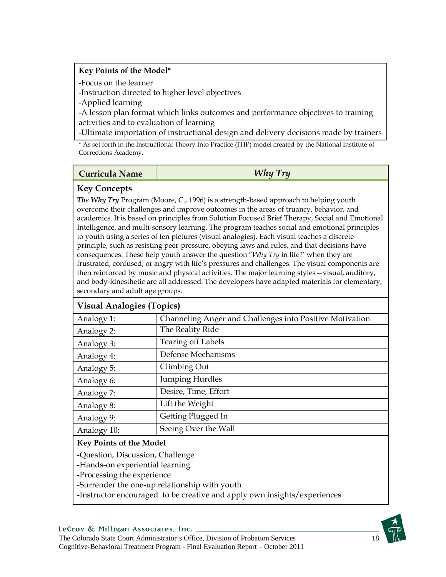#### **Key Points of the Model\***

-Focus on the learner

-Instruction directed to higher level objectives

-Applied learning

-A lesson plan format which links outcomes and performance objectives to training activities and to evaluation of learning

-Ultimate importation of instructional design and delivery decisions made by trainers

\* As set forth in the Instructional Theory Into Practice (ITIP) model created by the National Institute of Corrections Academy.

#### **Curricula Name** *Why Try*

### **Key Concepts**

*The Why Try* Program (Moore, C., 1996) is a strength-based approach to helping youth overcome their challenges and improve outcomes in the areas of truancy, behavior, and academics. It is based on principles from Solution Focused Brief Therapy, Social and Emotional Intelligence, and multi-sensory learning. The program teaches social and emotional principles to youth using a series of ten pictures (visual analogies). Each visual teaches a discrete principle, such as resisting peer-pressure, obeying laws and rules, and that decisions have consequences. These help youth answer the question "*Why Try* in life?' when they are frustrated, confused, or angry with life's pressures and challenges. The visual components are then reinforced by music and physical activities. The major learning styles—visual, auditory, and body-kinesthetic are all addressed. The developers have adapted materials for elementary, secondary and adult age groups.

| VISUAL Analogies (Topics)      |                                                          |  |  |
|--------------------------------|----------------------------------------------------------|--|--|
| Analogy 1:                     | Channeling Anger and Challenges into Positive Motivation |  |  |
| Analogy 2:                     | The Reality Ride                                         |  |  |
| Analogy 3:                     | <b>Tearing off Labels</b>                                |  |  |
| Analogy 4:                     | Defense Mechanisms                                       |  |  |
| Analogy 5:                     | Climbing Out                                             |  |  |
| Analogy 6:                     | <b>Jumping Hurdles</b>                                   |  |  |
| Analogy 7:                     | Desire, Time, Effort                                     |  |  |
| Analogy 8:                     | Lift the Weight                                          |  |  |
| Analogy 9:                     | Getting Plugged In                                       |  |  |
| Analogy 10:                    | Seeing Over the Wall                                     |  |  |
| <b>Key Points of the Model</b> |                                                          |  |  |

### **Visual Analogies (Topics)**

-Question, Discussion, Challenge

-Hands-on experiential learning

-Processing the experience

-Surrender the one-up relationship with youth

-Instructor encouraged to be creative and apply own insights/experiences

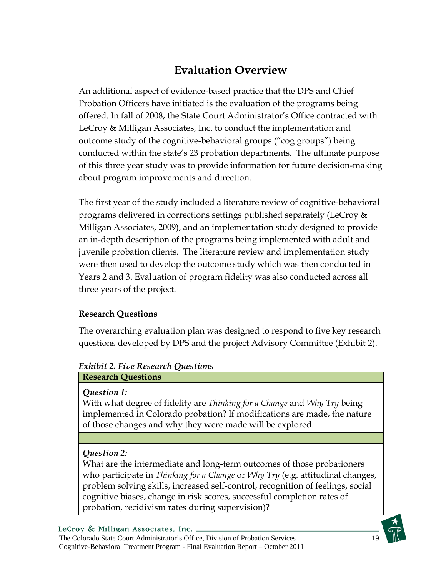# **Evaluation Overview**

An additional aspect of evidence-based practice that the DPS and Chief Probation Officers have initiated is the evaluation of the programs being offered. In fall of 2008, the State Court Administrator's Office contracted with LeCroy & Milligan Associates, Inc. to conduct the implementation and outcome study of the cognitive-behavioral groups ("cog groups") being conducted within the state's 23 probation departments. The ultimate purpose of this three year study was to provide information for future decision-making about program improvements and direction.

The first year of the study included a literature review of cognitive-behavioral programs delivered in corrections settings published separately (LeCroy & Milligan Associates, 2009), and an implementation study designed to provide an in-depth description of the programs being implemented with adult and juvenile probation clients. The literature review and implementation study were then used to develop the outcome study which was then conducted in Years 2 and 3. Evaluation of program fidelity was also conducted across all three years of the project.

#### **Research Questions**

The overarching evaluation plan was designed to respond to five key research questions developed by DPS and the project Advisory Committee (Exhibit 2).

### *Exhibit 2. Five Research Questions*

# **Research Questions**

#### *Question 1:*

With what degree of fidelity are *Thinking for a Change* and *Why Try* being implemented in Colorado probation? If modifications are made, the nature of those changes and why they were made will be explored.

### *Question 2:*

What are the intermediate and long-term outcomes of those probationers who participate in *Thinking for a Change* or *Why Try* (e.g. attitudinal changes, problem solving skills, increased self-control, recognition of feelings, social cognitive biases, change in risk scores, successful completion rates of probation, recidivism rates during supervision)?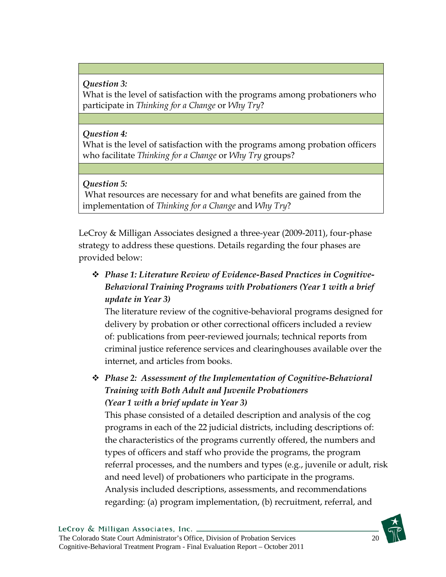#### *Question 3:*  What is the level of satisfaction with the programs among probationers who participate in *Thinking for a Change* or *Why Try*?

### *Question 4:*

What is the level of satisfaction with the programs among probation officers who facilitate *Thinking for a Change* or *Why Try* groups?

### *Question 5:*

What resources are necessary for and what benefits are gained from the implementation of *Thinking for a Change* and *Why Try*?

LeCroy & Milligan Associates designed a three-year (2009-2011), four-phase strategy to address these questions. Details regarding the four phases are provided below:

 *Phase 1: Literature Review of Evidence-Based Practices in Cognitive-Behavioral Training Programs with Probationers (Year 1 with a brief update in Year 3)* 

The literature review of the cognitive-behavioral programs designed for delivery by probation or other correctional officers included a review of: publications from peer-reviewed journals; technical reports from criminal justice reference services and clearinghouses available over the internet, and articles from books.

 *Phase 2: Assessment of the Implementation of Cognitive-Behavioral Training with Both Adult and Juvenile Probationers (Year 1 with a brief update in Year 3)* 

This phase consisted of a detailed description and analysis of the cog programs in each of the 22 judicial districts, including descriptions of: the characteristics of the programs currently offered, the numbers and types of officers and staff who provide the programs, the program referral processes, and the numbers and types (e.g., juvenile or adult, risk and need level) of probationers who participate in the programs. Analysis included descriptions, assessments, and recommendations regarding: (a) program implementation, (b) recruitment, referral, and

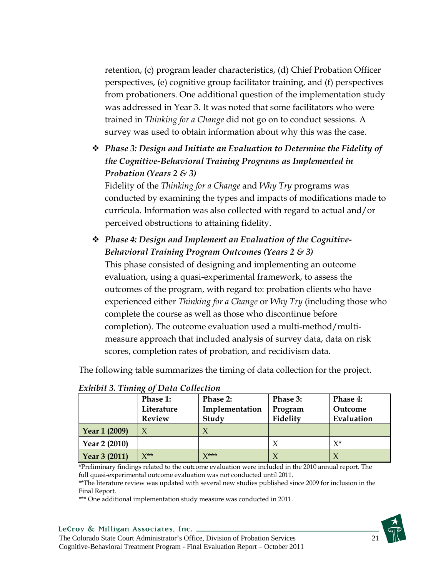retention, (c) program leader characteristics, (d) Chief Probation Officer perspectives, (e) cognitive group facilitator training, and (f) perspectives from probationers. One additional question of the implementation study was addressed in Year 3. It was noted that some facilitators who were trained in *Thinking for a Change* did not go on to conduct sessions. A survey was used to obtain information about why this was the case.

 *Phase 3: Design and Initiate an Evaluation to Determine the Fidelity of the Cognitive-Behavioral Training Programs as Implemented in Probation (Years 2 & 3)* 

Fidelity of the *Thinking for a Change* and *Why Try* programs was conducted by examining the types and impacts of modifications made to curricula. Information was also collected with regard to actual and/or perceived obstructions to attaining fidelity.

 *Phase 4: Design and Implement an Evaluation of the Cognitive-Behavioral Training Program Outcomes (Years 2 & 3)*  This phase consisted of designing and implementing an outcome evaluation, using a quasi-experimental framework, to assess the outcomes of the program, with regard to: probation clients who have experienced either *Thinking for a Change* or *Why Try* (including those who complete the course as well as those who discontinue before completion). The outcome evaluation used a multi-method/multimeasure approach that included analysis of survey data, data on risk scores, completion rates of probation, and recidivism data.

The following table summarizes the timing of data collection for the project.

|                      | Phase 1:      | <b>Phase 2:</b>       | Phase 3: | Phase 4:   |
|----------------------|---------------|-----------------------|----------|------------|
|                      | Literature    | Implementation        | Program  | Outcome    |
|                      | <b>Review</b> | Study                 | Fidelity | Evaluation |
| Year 1 (2009)        |               |                       |          |            |
| Year 2 (2010)        |               |                       |          | $X^*$      |
| <b>Year 3 (2011)</b> | $\chi^{**}$   | $V^{\star\star\star}$ |          |            |

#### *Exhibit 3. Timing of Data Collection*

\*Preliminary findings related to the outcome evaluation were included in the 2010 annual report. The full quasi-experimental outcome evaluation was not conducted until 2011.

\*\*The literature review was updated with several new studies published since 2009 for inclusion in the Final Report.

\*\*\* One additional implementation study measure was conducted in 2011.

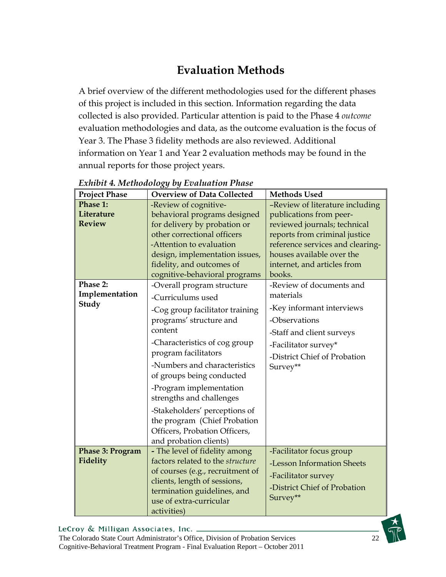# **Evaluation Methods**

A brief overview of the different methodologies used for the different phases of this project is included in this section. Information regarding the data collected is also provided. Particular attention is paid to the Phase 4 *outcome* evaluation methodologies and data, as the outcome evaluation is the focus of Year 3. The Phase 3 fidelity methods are also reviewed. Additional information on Year 1 and Year 2 evaluation methods may be found in the annual reports for those project years.

| <b>Project Phase</b> | <b>Overview of Data Collected</b> | <b>Methods Used</b>              |
|----------------------|-----------------------------------|----------------------------------|
| Phase 1:             | -Review of cognitive-             | -Review of literature including  |
| Literature           | behavioral programs designed      | publications from peer-          |
| <b>Review</b>        | for delivery by probation or      | reviewed journals; technical     |
|                      | other correctional officers       | reports from criminal justice    |
|                      | -Attention to evaluation          | reference services and clearing- |
|                      | design, implementation issues,    | houses available over the        |
|                      | fidelity, and outcomes of         | internet, and articles from      |
|                      | cognitive-behavioral programs     | books.                           |
| Phase 2:             | -Overall program structure        | -Review of documents and         |
| Implementation       | -Curriculums used                 | materials                        |
| Study                | -Cog group facilitator training   | -Key informant interviews        |
|                      | programs' structure and           | -Observations                    |
|                      | content                           | -Staff and client surveys        |
|                      | -Characteristics of cog group     | -Facilitator survey*             |
|                      | program facilitators              | -District Chief of Probation     |
|                      | -Numbers and characteristics      | Survey**                         |
|                      | of groups being conducted         |                                  |
|                      | -Program implementation           |                                  |
|                      | strengths and challenges          |                                  |
|                      | -Stakeholders' perceptions of     |                                  |
|                      | the program (Chief Probation      |                                  |
|                      | Officers, Probation Officers,     |                                  |
|                      | and probation clients)            |                                  |
| Phase 3: Program     | - The level of fidelity among     | -Facilitator focus group         |
| <b>Fidelity</b>      | factors related to the structure  | -Lesson Information Sheets       |
|                      | of courses (e.g., recruitment of  | -Facilitator survey              |
|                      | clients, length of sessions,      | -District Chief of Probation     |
|                      | termination guidelines, and       | Survey**                         |
|                      | use of extra-curricular           |                                  |
|                      | activities)                       |                                  |

*Exhibit 4. Methodology by Evaluation Phase* 

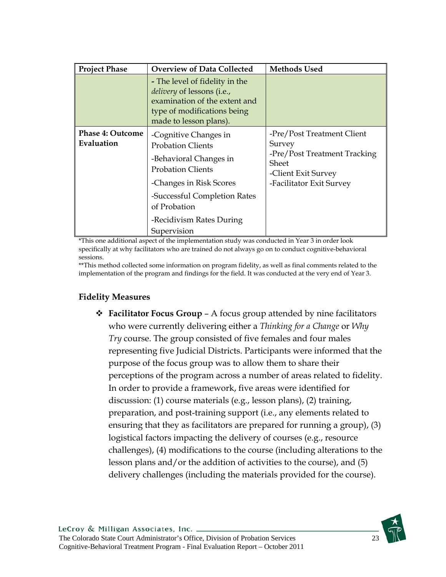| <b>Project Phase</b>                  | <b>Overview of Data Collected</b>                                                                                                                                                                                             | <b>Methods Used</b>                                                                                                              |
|---------------------------------------|-------------------------------------------------------------------------------------------------------------------------------------------------------------------------------------------------------------------------------|----------------------------------------------------------------------------------------------------------------------------------|
|                                       | - The level of fidelity in the<br><i>delivery</i> of lessons (i.e.,<br>examination of the extent and<br>type of modifications being<br>made to lesson plans).                                                                 |                                                                                                                                  |
| <b>Phase 4: Outcome</b><br>Evaluation | -Cognitive Changes in<br><b>Probation Clients</b><br>-Behavioral Changes in<br><b>Probation Clients</b><br>-Changes in Risk Scores<br>-Successful Completion Rates<br>of Probation<br>-Recidivism Rates During<br>Supervision | -Pre/Post Treatment Client<br>Survey<br>-Pre/Post Treatment Tracking<br>Sheet<br>-Client Exit Survey<br>-Facilitator Exit Survey |

\*This one additional aspect of the implementation study was conducted in Year 3 in order look specifically at why facilitators who are trained do not always go on to conduct cognitive-behavioral sessions.

\*\*This method collected some information on program fidelity, as well as final comments related to the implementation of the program and findings for the field. It was conducted at the very end of Year 3.

#### **Fidelity Measures**

 **Facilitator Focus Group** – A focus group attended by nine facilitators who were currently delivering either a *Thinking for a Change* or *Why Try* course. The group consisted of five females and four males representing five Judicial Districts. Participants were informed that the purpose of the focus group was to allow them to share their perceptions of the program across a number of areas related to fidelity. In order to provide a framework, five areas were identified for discussion: (1) course materials (e.g., lesson plans), (2) training, preparation, and post-training support (i.e., any elements related to ensuring that they as facilitators are prepared for running a group), (3) logistical factors impacting the delivery of courses (e.g., resource challenges), (4) modifications to the course (including alterations to the lesson plans and/or the addition of activities to the course), and (5) delivery challenges (including the materials provided for the course).

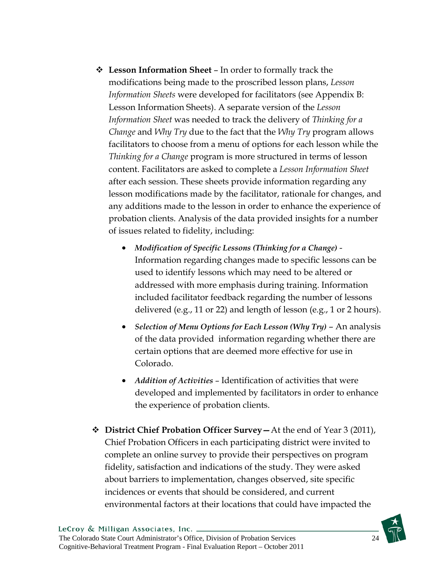- **Lesson Information Sheet** In order to formally track the modifications being made to the proscribed lesson plans, *Lesson Information Sheets* were developed for facilitators (see Appendix B: Lesson Information Sheets). A separate version of the *Lesson Information Sheet* was needed to track the delivery of *Thinking for a Change* and *Why Try* due to the fact that the *Why Try* program allows facilitators to choose from a menu of options for each lesson while the *Thinking for a Change* program is more structured in terms of lesson content. Facilitators are asked to complete a *Lesson Information Sheet* after each session. These sheets provide information regarding any lesson modifications made by the facilitator, rationale for changes, and any additions made to the lesson in order to enhance the experience of probation clients. Analysis of the data provided insights for a number of issues related to fidelity, including:
	- *Modification of Specific Lessons (Thinking for a Change)* Information regarding changes made to specific lessons can be used to identify lessons which may need to be altered or addressed with more emphasis during training. Information included facilitator feedback regarding the number of lessons delivered (e.g., 11 or 22) and length of lesson (e.g., 1 or 2 hours).
	- *Selection of Menu Options for Each Lesson (Why Try)* An analysis of the data provided information regarding whether there are certain options that are deemed more effective for use in Colorado.
	- *Addition of Activities*  Identification of activities that were developed and implemented by facilitators in order to enhance the experience of probation clients.
- **District Chief Probation Officer Survey—**At the end of Year 3 (2011), Chief Probation Officers in each participating district were invited to complete an online survey to provide their perspectives on program fidelity, satisfaction and indications of the study. They were asked about barriers to implementation, changes observed, site specific incidences or events that should be considered, and current environmental factors at their locations that could have impacted the

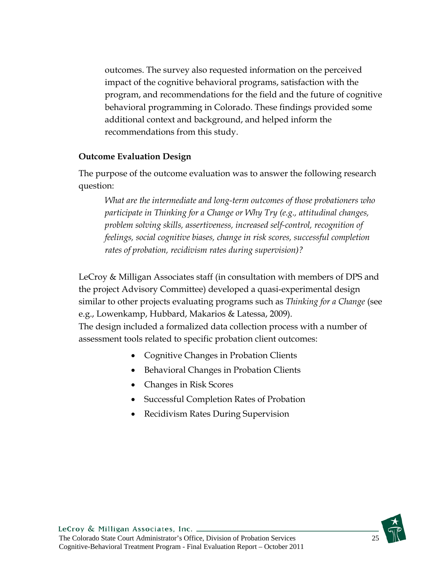outcomes. The survey also requested information on the perceived impact of the cognitive behavioral programs, satisfaction with the program, and recommendations for the field and the future of cognitive behavioral programming in Colorado. These findings provided some additional context and background, and helped inform the recommendations from this study.

#### **Outcome Evaluation Design**

The purpose of the outcome evaluation was to answer the following research question:

*What are the intermediate and long-term outcomes of those probationers who participate in Thinking for a Change or Why Try (e.g., attitudinal changes, problem solving skills, assertiveness, increased self-control, recognition of feelings, social cognitive biases, change in risk scores, successful completion rates of probation, recidivism rates during supervision)?* 

LeCroy & Milligan Associates staff (in consultation with members of DPS and the project Advisory Committee) developed a quasi-experimental design similar to other projects evaluating programs such as *Thinking for a Change* (see e.g., Lowenkamp, Hubbard, Makarios & Latessa, 2009).

The design included a formalized data collection process with a number of assessment tools related to specific probation client outcomes:

- Cognitive Changes in Probation Clients
- Behavioral Changes in Probation Clients
- Changes in Risk Scores
- Successful Completion Rates of Probation
- Recidivism Rates During Supervision

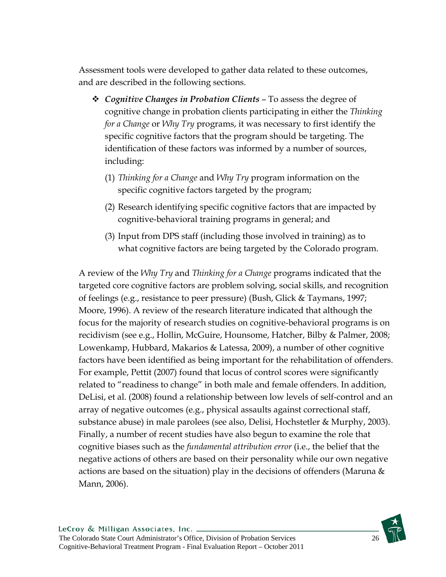Assessment tools were developed to gather data related to these outcomes, and are described in the following sections.

- *Cognitive Changes in Probation Clients* To assess the degree of cognitive change in probation clients participating in either the *Thinking for a Change* or *Why Try* programs, it was necessary to first identify the specific cognitive factors that the program should be targeting. The identification of these factors was informed by a number of sources, including:
	- (1) *Thinking for a Change* and *Why Try* program information on the specific cognitive factors targeted by the program;
	- (2) Research identifying specific cognitive factors that are impacted by cognitive-behavioral training programs in general; and
	- (3) Input from DPS staff (including those involved in training) as to what cognitive factors are being targeted by the Colorado program.

A review of the *Why Try* and *Thinking for a Change* programs indicated that the targeted core cognitive factors are problem solving, social skills, and recognition of feelings (e.g., resistance to peer pressure) (Bush, Glick & Taymans, 1997; Moore, 1996). A review of the research literature indicated that although the focus for the majority of research studies on cognitive-behavioral programs is on recidivism (see e.g., Hollin, McGuire, Hounsome, Hatcher, Bilby & Palmer, 2008; Lowenkamp, Hubbard, Makarios & Latessa, 2009), a number of other cognitive factors have been identified as being important for the rehabilitation of offenders. For example, Pettit (2007) found that locus of control scores were significantly related to "readiness to change" in both male and female offenders. In addition, DeLisi, et al. (2008) found a relationship between low levels of self-control and an array of negative outcomes (e.g., physical assaults against correctional staff, substance abuse) in male parolees (see also, Delisi, Hochstetler & Murphy, 2003). Finally, a number of recent studies have also begun to examine the role that cognitive biases such as the *fundamental attribution error* (i.e., the belief that the negative actions of others are based on their personality while our own negative actions are based on the situation) play in the decisions of offenders (Maruna  $\&$ Mann, 2006).

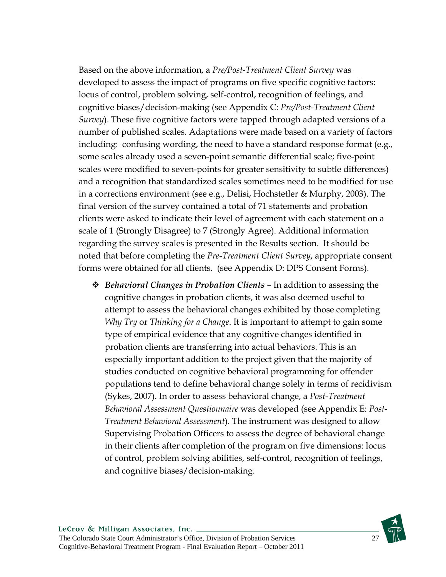Based on the above information, a *Pre/Post-Treatment Client Survey* was developed to assess the impact of programs on five specific cognitive factors: locus of control, problem solving, self-control, recognition of feelings, and cognitive biases/decision-making (see Appendix C: *Pre/Post-Treatment Client Survey*). These five cognitive factors were tapped through adapted versions of a number of published scales. Adaptations were made based on a variety of factors including: confusing wording, the need to have a standard response format (e.g., some scales already used a seven-point semantic differential scale; five-point scales were modified to seven-points for greater sensitivity to subtle differences) and a recognition that standardized scales sometimes need to be modified for use in a corrections environment (see e.g., Delisi, Hochstetler & Murphy, 2003). The final version of the survey contained a total of 71 statements and probation clients were asked to indicate their level of agreement with each statement on a scale of 1 (Strongly Disagree) to 7 (Strongly Agree). Additional information regarding the survey scales is presented in the Results section. It should be noted that before completing the *Pre-Treatment Client Survey*, appropriate consent forms were obtained for all clients. (see Appendix D: DPS Consent Forms).

 *Behavioral Changes in Probation Clients* – In addition to assessing the cognitive changes in probation clients, it was also deemed useful to attempt to assess the behavioral changes exhibited by those completing *Why Try* or *Thinking for a Change*. It is important to attempt to gain some type of empirical evidence that any cognitive changes identified in probation clients are transferring into actual behaviors. This is an especially important addition to the project given that the majority of studies conducted on cognitive behavioral programming for offender populations tend to define behavioral change solely in terms of recidivism (Sykes, 2007). In order to assess behavioral change, a *Post-Treatment Behavioral Assessment Questionnaire* was developed (see Appendix E: *Post-Treatment Behavioral Assessment*). The instrument was designed to allow Supervising Probation Officers to assess the degree of behavioral change in their clients after completion of the program on five dimensions: locus of control, problem solving abilities, self-control, recognition of feelings, and cognitive biases/decision-making.

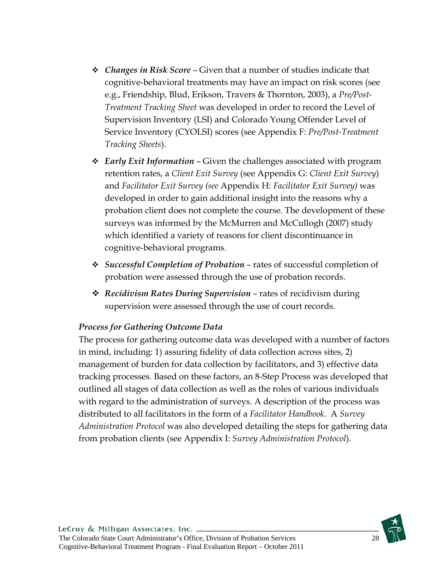- *Changes in Risk Score* Given that a number of studies indicate that cognitive-behavioral treatments may have an impact on risk scores (see e.g., Friendship, Blud, Erikson, Travers & Thornton, 2003), a *Pre/Post-Treatment Tracking Sheet* was developed in order to record the Level of Supervision Inventory (LSI) and Colorado Young Offender Level of Service Inventory (CYOLSI) scores (see Appendix F: *Pre/Post-Treatment Tracking Sheets*).
- *Early Exit Information* Given the challenges associated with program retention rates, a *Client Exit Survey* (see Appendix G: *Client Exit Survey*) and *Facilitator Exit Survey (see* Appendix H: *Facilitator Exit Survey)* was developed in order to gain additional insight into the reasons why a probation client does not complete the course. The development of these surveys was informed by the McMurren and McCullogh (2007) study which identified a variety of reasons for client discontinuance in cognitive-behavioral programs.
- *Successful Completion of Probation* rates of successful completion of probation were assessed through the use of probation records.
- *Recidivism Rates During Supervision* rates of recidivism during supervision were assessed through the use of court records.

#### *Process for Gathering Outcome Data*

The process for gathering outcome data was developed with a number of factors in mind, including: 1) assuring fidelity of data collection across sites, 2) management of burden for data collection by facilitators, and 3) effective data tracking processes. Based on these factors, an 8-Step Process was developed that outlined all stages of data collection as well as the roles of various individuals with regard to the administration of surveys. A description of the process was distributed to all facilitators in the form of a *Facilitator Handbook*. A *Survey Administration Protocol* was also developed detailing the steps for gathering data from probation clients (see Appendix I: *Survey Administration Protocol*).

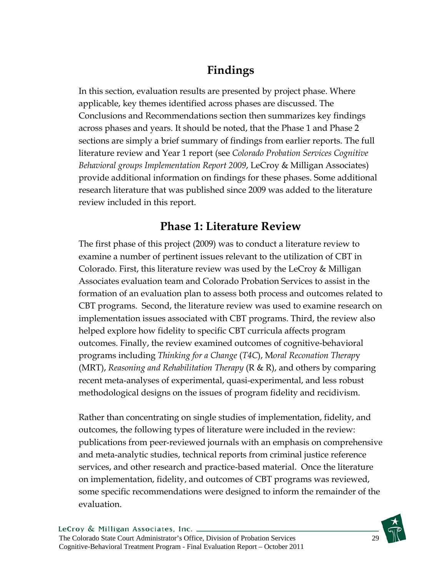# **Findings**

In this section, evaluation results are presented by project phase. Where applicable, key themes identified across phases are discussed. The Conclusions and Recommendations section then summarizes key findings across phases and years. It should be noted, that the Phase 1 and Phase 2 sections are simply a brief summary of findings from earlier reports. The full literature review and Year 1 report (see *Colorado Probation Services Cognitive Behavioral groups Implementation Report 2009*, LeCroy & Milligan Associates) provide additional information on findings for these phases. Some additional research literature that was published since 2009 was added to the literature review included in this report.

### **Phase 1: Literature Review**

The first phase of this project (2009) was to conduct a literature review to examine a number of pertinent issues relevant to the utilization of CBT in Colorado. First, this literature review was used by the LeCroy & Milligan Associates evaluation team and Colorado Probation Services to assist in the formation of an evaluation plan to assess both process and outcomes related to CBT programs. Second, the literature review was used to examine research on implementation issues associated with CBT programs. Third, the review also helped explore how fidelity to specific CBT curricula affects program outcomes. Finally, the review examined outcomes of cognitive-behavioral programs including *Thinking for a Change* (*T4C*), M*oral Reconation Therap*y (MRT), *Reasoning and Rehabilitation Therapy* (R & R), and others by comparing recent meta-analyses of experimental, quasi-experimental, and less robust methodological designs on the issues of program fidelity and recidivism.

Rather than concentrating on single studies of implementation, fidelity, and outcomes, the following types of literature were included in the review: publications from peer-reviewed journals with an emphasis on comprehensive and meta-analytic studies, technical reports from criminal justice reference services, and other research and practice-based material. Once the literature on implementation, fidelity, and outcomes of CBT programs was reviewed, some specific recommendations were designed to inform the remainder of the evaluation.

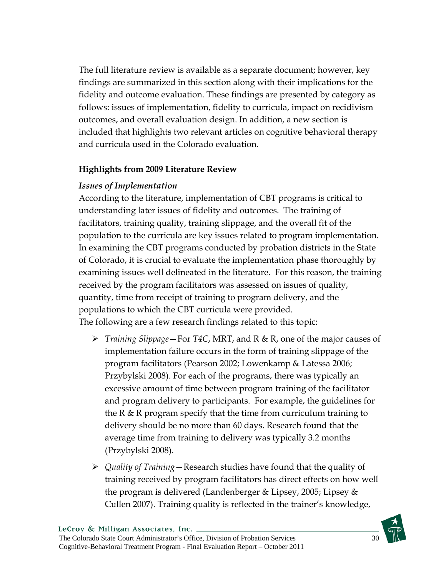The full literature review is available as a separate document; however, key findings are summarized in this section along with their implications for the fidelity and outcome evaluation. These findings are presented by category as follows: issues of implementation, fidelity to curricula, impact on recidivism outcomes, and overall evaluation design. In addition, a new section is included that highlights two relevant articles on cognitive behavioral therapy and curricula used in the Colorado evaluation.

#### **Highlights from 2009 Literature Review**

#### *Issues of Implementation*

According to the literature, implementation of CBT programs is critical to understanding later issues of fidelity and outcomes. The training of facilitators, training quality, training slippage, and the overall fit of the population to the curricula are key issues related to program implementation. In examining the CBT programs conducted by probation districts in the State of Colorado, it is crucial to evaluate the implementation phase thoroughly by examining issues well delineated in the literature. For this reason, the training received by the program facilitators was assessed on issues of quality, quantity, time from receipt of training to program delivery, and the populations to which the CBT curricula were provided. The following are a few research findings related to this topic:

- *Training Slippage*—For *T4C*, MRT, and R & R, one of the major causes of implementation failure occurs in the form of training slippage of the program facilitators (Pearson 2002; Lowenkamp & Latessa 2006; Przybylski 2008). For each of the programs, there was typically an excessive amount of time between program training of the facilitator and program delivery to participants. For example, the guidelines for the R & R program specify that the time from curriculum training to delivery should be no more than 60 days. Research found that the average time from training to delivery was typically 3.2 months (Przybylski 2008).
- *Quality of Training*—Research studies have found that the quality of training received by program facilitators has direct effects on how well the program is delivered (Landenberger & Lipsey, 2005; Lipsey & Cullen 2007). Training quality is reflected in the trainer's knowledge,

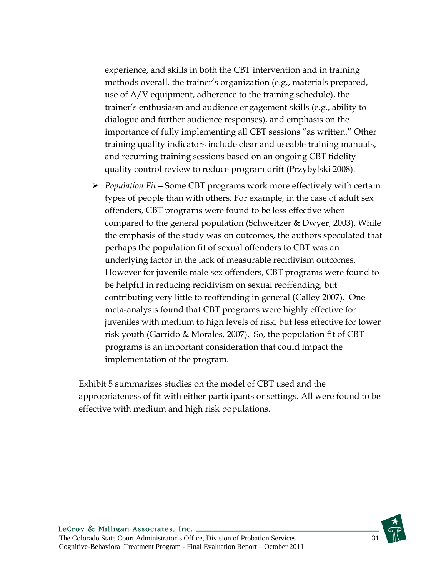experience, and skills in both the CBT intervention and in training methods overall, the trainer's organization (e.g., materials prepared, use of A/V equipment, adherence to the training schedule), the trainer's enthusiasm and audience engagement skills (e.g., ability to dialogue and further audience responses), and emphasis on the importance of fully implementing all CBT sessions "as written." Other training quality indicators include clear and useable training manuals, and recurring training sessions based on an ongoing CBT fidelity quality control review to reduce program drift (Przybylski 2008).

 *Population Fit*—Some CBT programs work more effectively with certain types of people than with others. For example, in the case of adult sex offenders, CBT programs were found to be less effective when compared to the general population (Schweitzer & Dwyer, 2003). While the emphasis of the study was on outcomes, the authors speculated that perhaps the population fit of sexual offenders to CBT was an underlying factor in the lack of measurable recidivism outcomes. However for juvenile male sex offenders, CBT programs were found to be helpful in reducing recidivism on sexual reoffending, but contributing very little to reoffending in general (Calley 2007). One meta-analysis found that CBT programs were highly effective for juveniles with medium to high levels of risk, but less effective for lower risk youth (Garrido & Morales, 2007). So, the population fit of CBT programs is an important consideration that could impact the implementation of the program.

Exhibit 5 summarizes studies on the model of CBT used and the appropriateness of fit with either participants or settings. All were found to be effective with medium and high risk populations.

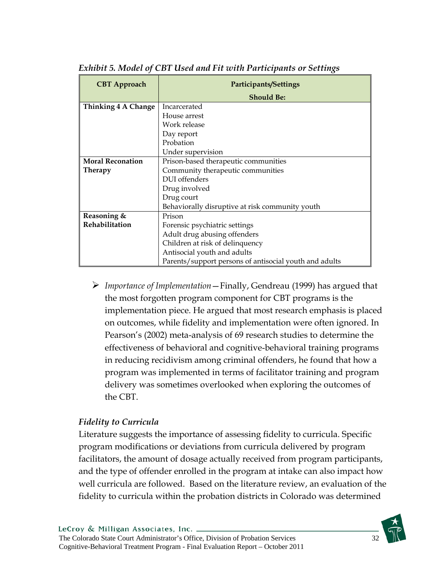| <b>CBT</b> Approach     | <b>Participants/Settings</b>                           |  |
|-------------------------|--------------------------------------------------------|--|
|                         | <b>Should Be:</b>                                      |  |
| Thinking 4 A Change     | Incarcerated                                           |  |
|                         | House arrest                                           |  |
|                         | Work release                                           |  |
|                         | Day report                                             |  |
|                         | Probation                                              |  |
|                         | Under supervision                                      |  |
| <b>Moral Reconation</b> | Prison-based therapeutic communities                   |  |
| Therapy                 | Community therapeutic communities                      |  |
|                         | DUI offenders                                          |  |
|                         | Drug involved                                          |  |
|                         | Drug court                                             |  |
|                         | Behaviorally disruptive at risk community youth        |  |
| Reasoning &             | Prison                                                 |  |
| <b>Rehabilitation</b>   | Forensic psychiatric settings                          |  |
|                         | Adult drug abusing offenders                           |  |
|                         | Children at risk of delinquency                        |  |
|                         | Antisocial youth and adults                            |  |
|                         | Parents/support persons of antisocial youth and adults |  |

*Exhibit 5. Model of CBT Used and Fit with Participants or Settings* 

 *Importance of Implementation*—Finally, Gendreau (1999) has argued that the most forgotten program component for CBT programs is the implementation piece. He argued that most research emphasis is placed on outcomes, while fidelity and implementation were often ignored. In Pearson's (2002) meta-analysis of 69 research studies to determine the effectiveness of behavioral and cognitive-behavioral training programs in reducing recidivism among criminal offenders, he found that how a program was implemented in terms of facilitator training and program delivery was sometimes overlooked when exploring the outcomes of the CBT.

#### *Fidelity to Curricula*

Literature suggests the importance of assessing fidelity to curricula. Specific program modifications or deviations from curricula delivered by program facilitators, the amount of dosage actually received from program participants, and the type of offender enrolled in the program at intake can also impact how well curricula are followed. Based on the literature review, an evaluation of the fidelity to curricula within the probation districts in Colorado was determined

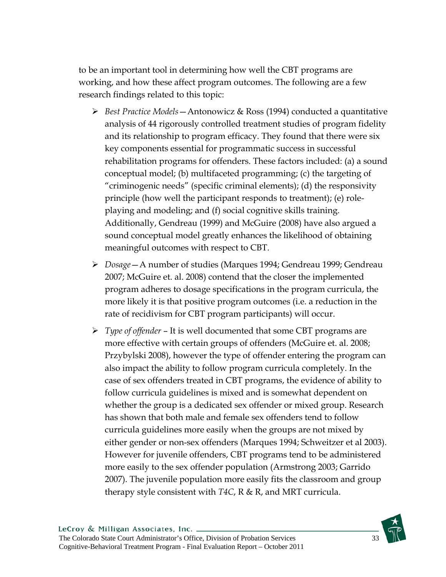to be an important tool in determining how well the CBT programs are working, and how these affect program outcomes. The following are a few research findings related to this topic:

- *Best Practice Models*—Antonowicz & Ross (1994) conducted a quantitative analysis of 44 rigorously controlled treatment studies of program fidelity and its relationship to program efficacy. They found that there were six key components essential for programmatic success in successful rehabilitation programs for offenders. These factors included: (a) a sound conceptual model; (b) multifaceted programming; (c) the targeting of "criminogenic needs" (specific criminal elements); (d) the responsivity principle (how well the participant responds to treatment); (e) roleplaying and modeling; and (f) social cognitive skills training. Additionally, Gendreau (1999) and McGuire (2008) have also argued a sound conceptual model greatly enhances the likelihood of obtaining meaningful outcomes with respect to CBT.
- *Dosage*—A number of studies (Marques 1994; Gendreau 1999; Gendreau 2007; McGuire et. al. 2008) contend that the closer the implemented program adheres to dosage specifications in the program curricula, the more likely it is that positive program outcomes (i.e. a reduction in the rate of recidivism for CBT program participants) will occur.
- *Type of offender* It is well documented that some CBT programs are more effective with certain groups of offenders (McGuire et. al. 2008; Przybylski 2008), however the type of offender entering the program can also impact the ability to follow program curricula completely. In the case of sex offenders treated in CBT programs, the evidence of ability to follow curricula guidelines is mixed and is somewhat dependent on whether the group is a dedicated sex offender or mixed group. Research has shown that both male and female sex offenders tend to follow curricula guidelines more easily when the groups are not mixed by either gender or non-sex offenders (Marques 1994; Schweitzer et al 2003). However for juvenile offenders, CBT programs tend to be administered more easily to the sex offender population (Armstrong 2003; Garrido 2007). The juvenile population more easily fits the classroom and group therapy style consistent with *T4C*, R & R, and MRT curricula.

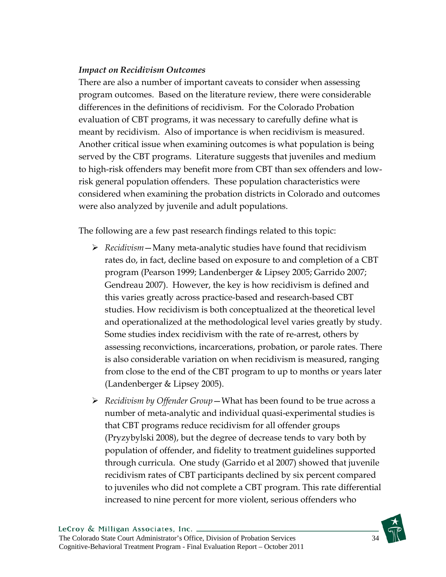#### *Impact on Recidivism Outcomes*

There are also a number of important caveats to consider when assessing program outcomes. Based on the literature review, there were considerable differences in the definitions of recidivism. For the Colorado Probation evaluation of CBT programs, it was necessary to carefully define what is meant by recidivism. Also of importance is when recidivism is measured. Another critical issue when examining outcomes is what population is being served by the CBT programs. Literature suggests that juveniles and medium to high-risk offenders may benefit more from CBT than sex offenders and lowrisk general population offenders. These population characteristics were considered when examining the probation districts in Colorado and outcomes were also analyzed by juvenile and adult populations.

The following are a few past research findings related to this topic:

- *Recidivism*—Many meta-analytic studies have found that recidivism rates do, in fact, decline based on exposure to and completion of a CBT program (Pearson 1999; Landenberger & Lipsey 2005; Garrido 2007; Gendreau 2007). However, the key is how recidivism is defined and this varies greatly across practice-based and research-based CBT studies. How recidivism is both conceptualized at the theoretical level and operationalized at the methodological level varies greatly by study. Some studies index recidivism with the rate of re-arrest, others by assessing reconvictions, incarcerations, probation, or parole rates. There is also considerable variation on when recidivism is measured, ranging from close to the end of the CBT program to up to months or years later (Landenberger & Lipsey 2005).
- *Recidivism by Offender Group*—What has been found to be true across a number of meta-analytic and individual quasi-experimental studies is that CBT programs reduce recidivism for all offender groups (Pryzybylski 2008), but the degree of decrease tends to vary both by population of offender, and fidelity to treatment guidelines supported through curricula. One study (Garrido et al 2007) showed that juvenile recidivism rates of CBT participants declined by six percent compared to juveniles who did not complete a CBT program. This rate differential increased to nine percent for more violent, serious offenders who

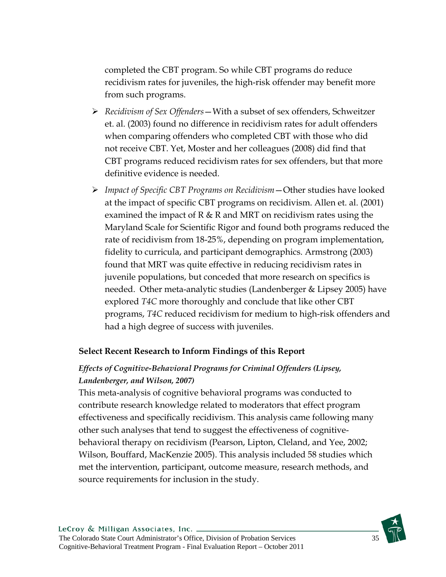completed the CBT program. So while CBT programs do reduce recidivism rates for juveniles, the high-risk offender may benefit more from such programs.

- *Recidivism of Sex Offenders*—With a subset of sex offenders, Schweitzer et. al. (2003) found no difference in recidivism rates for adult offenders when comparing offenders who completed CBT with those who did not receive CBT. Yet, Moster and her colleagues (2008) did find that CBT programs reduced recidivism rates for sex offenders, but that more definitive evidence is needed.
- *Impact of Specific CBT Programs on Recidivism*—Other studies have looked at the impact of specific CBT programs on recidivism. Allen et. al. (2001) examined the impact of  $R \& R$  and MRT on recidivism rates using the Maryland Scale for Scientific Rigor and found both programs reduced the rate of recidivism from 18-25%, depending on program implementation, fidelity to curricula, and participant demographics. Armstrong (2003) found that MRT was quite effective in reducing recidivism rates in juvenile populations, but conceded that more research on specifics is needed. Other meta-analytic studies (Landenberger & Lipsey 2005) have explored *T4C* more thoroughly and conclude that like other CBT programs, *T4C* reduced recidivism for medium to high-risk offenders and had a high degree of success with juveniles.

#### **Select Recent Research to Inform Findings of this Report**

### *Effects of Cognitive-Behavioral Programs for Criminal Offenders (Lipsey, Landenberger, and Wilson, 2007)*

This meta-analysis of cognitive behavioral programs was conducted to contribute research knowledge related to moderators that effect program effectiveness and specifically recidivism. This analysis came following many other such analyses that tend to suggest the effectiveness of cognitivebehavioral therapy on recidivism (Pearson, Lipton, Cleland, and Yee, 2002; Wilson, Bouffard, MacKenzie 2005). This analysis included 58 studies which met the intervention, participant, outcome measure, research methods, and source requirements for inclusion in the study.

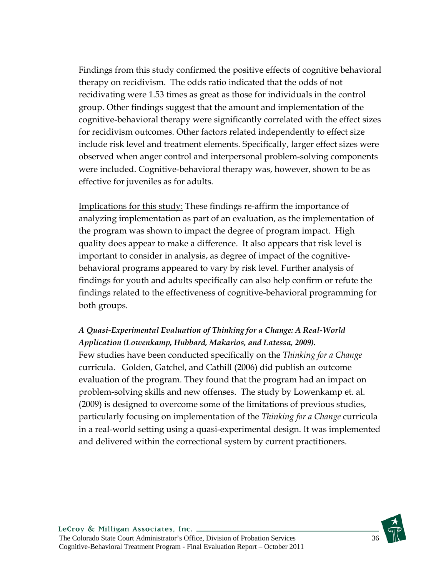Findings from this study confirmed the positive effects of cognitive behavioral therapy on recidivism. The odds ratio indicated that the odds of not recidivating were 1.53 times as great as those for individuals in the control group. Other findings suggest that the amount and implementation of the cognitive-behavioral therapy were significantly correlated with the effect sizes for recidivism outcomes. Other factors related independently to effect size include risk level and treatment elements. Specifically, larger effect sizes were observed when anger control and interpersonal problem-solving components were included. Cognitive-behavioral therapy was, however, shown to be as effective for juveniles as for adults.

Implications for this study: These findings re-affirm the importance of analyzing implementation as part of an evaluation, as the implementation of the program was shown to impact the degree of program impact. High quality does appear to make a difference. It also appears that risk level is important to consider in analysis, as degree of impact of the cognitivebehavioral programs appeared to vary by risk level. Further analysis of findings for youth and adults specifically can also help confirm or refute the findings related to the effectiveness of cognitive-behavioral programming for both groups.

## *A Quasi-Experimental Evaluation of Thinking for a Change: A Real-World Application (Lowenkamp, Hubbard, Makarios, and Latessa, 2009).*  Few studies have been conducted specifically on the *Thinking for a Change* curricula. Golden, Gatchel, and Cathill (2006) did publish an outcome evaluation of the program. They found that the program had an impact on

problem-solving skills and new offenses. The study by Lowenkamp et. al. (2009) is designed to overcome some of the limitations of previous studies, particularly focusing on implementation of the *Thinking for a Change* curricula in a real-world setting using a quasi-experimental design. It was implemented and delivered within the correctional system by current practitioners.

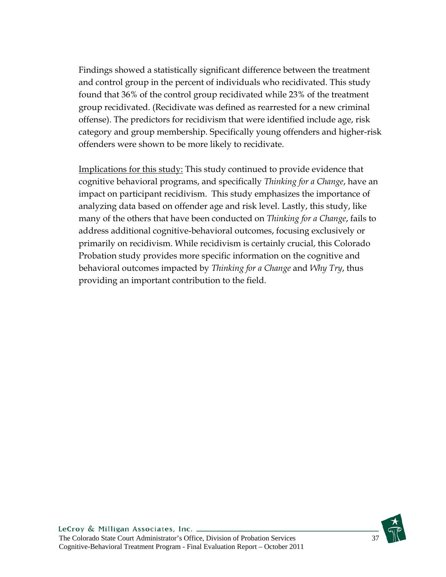Findings showed a statistically significant difference between the treatment and control group in the percent of individuals who recidivated. This study found that 36% of the control group recidivated while 23% of the treatment group recidivated. (Recidivate was defined as rearrested for a new criminal offense). The predictors for recidivism that were identified include age, risk category and group membership. Specifically young offenders and higher-risk offenders were shown to be more likely to recidivate.

Implications for this study: This study continued to provide evidence that cognitive behavioral programs, and specifically *Thinking for a Change*, have an impact on participant recidivism. This study emphasizes the importance of analyzing data based on offender age and risk level. Lastly, this study, like many of the others that have been conducted on *Thinking for a Change*, fails to address additional cognitive-behavioral outcomes, focusing exclusively or primarily on recidivism. While recidivism is certainly crucial, this Colorado Probation study provides more specific information on the cognitive and behavioral outcomes impacted by *Thinking for a Change* and *Why Try*, thus providing an important contribution to the field.

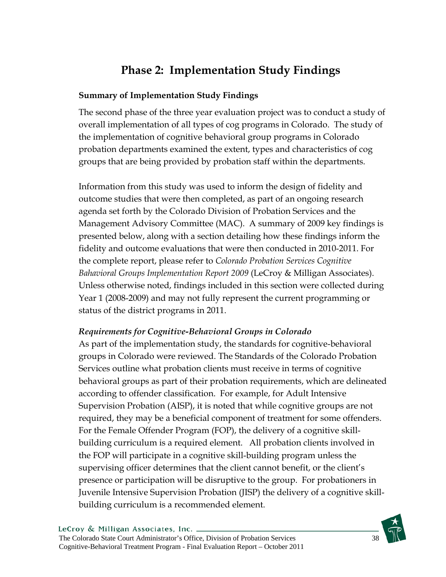# **Phase 2: Implementation Study Findings**

## **Summary of Implementation Study Findings**

The second phase of the three year evaluation project was to conduct a study of overall implementation of all types of cog programs in Colorado. The study of the implementation of cognitive behavioral group programs in Colorado probation departments examined the extent, types and characteristics of cog groups that are being provided by probation staff within the departments.

Information from this study was used to inform the design of fidelity and outcome studies that were then completed, as part of an ongoing research agenda set forth by the Colorado Division of Probation Services and the Management Advisory Committee (MAC). A summary of 2009 key findings is presented below, along with a section detailing how these findings inform the fidelity and outcome evaluations that were then conducted in 2010-2011. For the complete report, please refer to *Colorado Probation Services Cognitive Bahavioral Groups Implementation Report 2009* (LeCroy & Milligan Associates). Unless otherwise noted, findings included in this section were collected during Year 1 (2008-2009) and may not fully represent the current programming or status of the district programs in 2011.

## *Requirements for Cognitive-Behavioral Groups in Colorado*

As part of the implementation study, the standards for cognitive-behavioral groups in Colorado were reviewed. The Standards of the Colorado Probation Services outline what probation clients must receive in terms of cognitive behavioral groups as part of their probation requirements, which are delineated according to offender classification. For example, for Adult Intensive Supervision Probation (AISP), it is noted that while cognitive groups are not required, they may be a beneficial component of treatment for some offenders. For the Female Offender Program (FOP), the delivery of a cognitive skillbuilding curriculum is a required element. All probation clients involved in the FOP will participate in a cognitive skill-building program unless the supervising officer determines that the client cannot benefit, or the client's presence or participation will be disruptive to the group. For probationers in Juvenile Intensive Supervision Probation (JISP) the delivery of a cognitive skillbuilding curriculum is a recommended element.

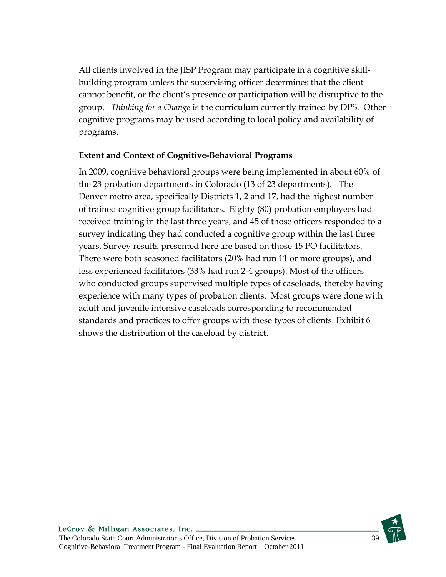All clients involved in the JISP Program may participate in a cognitive skillbuilding program unless the supervising officer determines that the client cannot benefit, or the client's presence or participation will be disruptive to the group. *Thinking for a Change* is the curriculum currently trained by DPS. Other cognitive programs may be used according to local policy and availability of programs.

## **Extent and Context of Cognitive-Behavioral Programs**

In 2009, cognitive behavioral groups were being implemented in about 60% of the 23 probation departments in Colorado (13 of 23 departments). The Denver metro area, specifically Districts 1, 2 and 17, had the highest number of trained cognitive group facilitators. Eighty (80) probation employees had received training in the last three years, and 45 of those officers responded to a survey indicating they had conducted a cognitive group within the last three years. Survey results presented here are based on those 45 PO facilitators. There were both seasoned facilitators (20% had run 11 or more groups), and less experienced facilitators (33% had run 2-4 groups). Most of the officers who conducted groups supervised multiple types of caseloads, thereby having experience with many types of probation clients. Most groups were done with adult and juvenile intensive caseloads corresponding to recommended standards and practices to offer groups with these types of clients. Exhibit 6 shows the distribution of the caseload by district.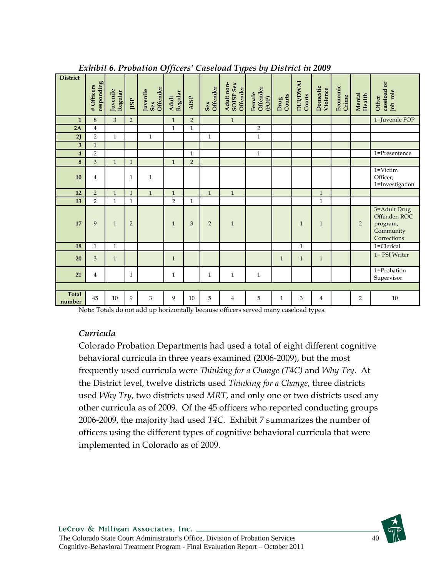|                         |                         |                     |                | Lation 6.1 Tobalion Officers Caseloud Types by District in 2009 |                  |                |                 |                                     |                             |                |                           |                      |                   |                         |                                                                       |
|-------------------------|-------------------------|---------------------|----------------|-----------------------------------------------------------------|------------------|----------------|-----------------|-------------------------------------|-----------------------------|----------------|---------------------------|----------------------|-------------------|-------------------------|-----------------------------------------------------------------------|
| <b>District</b>         | responding<br>#Officers | Juvenile<br>Regular | JISP           | Offender<br>Juvenile<br>Sex                                     | Adult<br>Regular | AISP           | Sex<br>Offender | Adult non-<br>SOISP Sex<br>Offender | Offender<br>Female<br>(FOP) | Drug<br>Courts | <b>DUI/DWAI</b><br>Courts | Domestic<br>Violence | Economic<br>Crime | <b>Mental</b><br>Health | caseload or<br>job role<br>Other                                      |
| $\mathbf{1}$            | $\,8\,$                 | $\overline{3}$      | $\overline{2}$ |                                                                 | $\mathbf{1}$     | $\overline{2}$ |                 | $\mathbf{1}$                        |                             |                |                           |                      |                   |                         | 1=Juvenile FOP                                                        |
| 2A                      | $\overline{4}$          |                     |                |                                                                 | $\mathbf{1}$     | $\mathbf{1}$   |                 |                                     | $\overline{2}$              |                |                           |                      |                   |                         |                                                                       |
| 2J                      | $\overline{2}$          | $\mathbf{1}$        |                | $\mathbf{1}$                                                    |                  |                | $\mathbf{1}$    |                                     | $\mathbf{1}$                |                |                           |                      |                   |                         |                                                                       |
| $\overline{\mathbf{3}}$ | $\mathbf{1}$            |                     |                |                                                                 |                  |                |                 |                                     |                             |                |                           |                      |                   |                         |                                                                       |
| $\overline{\mathbf{4}}$ | $\overline{2}$          |                     |                |                                                                 |                  | $\mathbf{1}$   |                 |                                     | $\mathbf{1}$                |                |                           |                      |                   |                         | 1=Presentence                                                         |
| $\bf 8$                 | $\overline{3}$          | $\mathbf{1}$        | $\mathbf{1}$   |                                                                 | $\mathbf{1}$     | $\overline{2}$ |                 |                                     |                             |                |                           |                      |                   |                         |                                                                       |
| 10                      | $\overline{4}$          |                     | 1              | $\mathbf 1$                                                     |                  |                |                 |                                     |                             |                |                           |                      |                   |                         | 1=Victim<br>Officer;<br>1=Investigation                               |
| 12                      | $\overline{2}$          | $\mathbf{1}$        | $\mathbf{1}$   | $\mathbf{1}$                                                    | $\mathbf{1}$     |                | $\mathbf{1}$    | $\mathbf{1}$                        |                             |                |                           | $\mathbf{1}$         |                   |                         |                                                                       |
| 13                      | $\overline{2}$          | $\mathbf{1}$        | $\mathbf{1}$   |                                                                 | $\overline{2}$   | $\mathbf{1}$   |                 |                                     |                             |                |                           | $\mathbf 1$          |                   |                         |                                                                       |
| 17                      | 9                       | $\mathbf{1}$        | $\overline{2}$ |                                                                 | $\mathbf{1}$     | 3              | $\overline{2}$  | $\mathbf{1}$                        |                             |                | $\mathbf{1}$              | $\mathbf{1}$         |                   | $\overline{2}$          | 3=Adult Drug<br>Offender, ROC<br>program,<br>Community<br>Corrections |
| 18                      | $\mathbf{1}$            | $\mathbf{1}$        |                |                                                                 |                  |                |                 |                                     |                             |                | $\mathbf{1}$              |                      |                   |                         | 1=Clerical                                                            |
| 20                      | 3                       | $\mathbf{1}$        |                |                                                                 | $\mathbf{1}$     |                |                 |                                     |                             | $\mathbf{1}$   | $\mathbf{1}$              | $\mathbf{1}$         |                   |                         | 1= PSI Writer                                                         |
| 21                      | $\overline{4}$          |                     | 1              |                                                                 | $\mathbf{1}$     |                | $\mathbf{1}$    | $\mathbf{1}$                        | $\mathbf{1}$                |                |                           |                      |                   |                         | 1=Probation<br>Supervisor                                             |
|                         |                         |                     |                |                                                                 |                  |                |                 |                                     |                             |                |                           |                      |                   |                         |                                                                       |
| <b>Total</b><br>number  | 45                      | 10                  | 9              | 3                                                               | 9                | 10             | 5               | $\overline{4}$                      | 5                           | $\mathbf{1}$   | 3                         | $\overline{4}$       |                   | $\overline{2}$          | 10                                                                    |

#### *Exhibit 6. Probation Officers' Caseload Types by District in 2009*

Note: Totals do not add up horizontally because officers served many caseload types.

### *Curricula*

Colorado Probation Departments had used a total of eight different cognitive behavioral curricula in three years examined (2006-2009), but the most frequently used curricula were *Thinking for a Change (T4C)* and *Why Try*. At the District level, twelve districts used *Thinking for a Change*, three districts used *Why Try*, two districts used *MRT*, and only one or two districts used any other curricula as of 2009. Of the 45 officers who reported conducting groups 2006-2009, the majority had used *T4C*. Exhibit 7 summarizes the number of officers using the different types of cognitive behavioral curricula that were implemented in Colorado as of 2009.

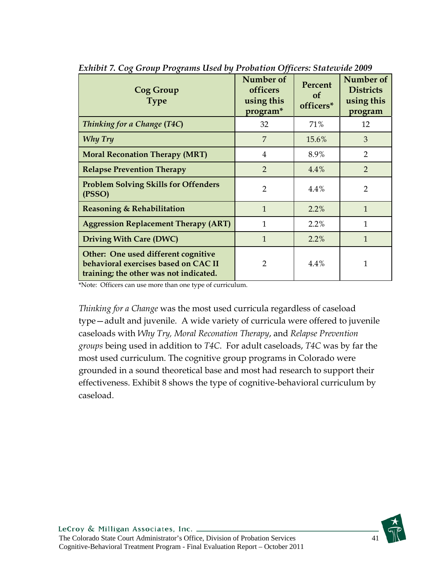| <b>Cog Group</b><br><b>Type</b>                                                                                       | Number of<br>officers<br>using this<br>program* | Percent<br><b>of</b><br>officers* | Number of<br><b>Districts</b><br>using this<br>program |
|-----------------------------------------------------------------------------------------------------------------------|-------------------------------------------------|-----------------------------------|--------------------------------------------------------|
| Thinking for a Change (T4C)                                                                                           | 32                                              | 71%                               | 12                                                     |
| Why Try                                                                                                               | 7                                               | 15.6%                             | 3                                                      |
| <b>Moral Reconation Therapy (MRT)</b>                                                                                 | 4                                               | 8.9%                              | $\overline{2}$                                         |
| <b>Relapse Prevention Therapy</b>                                                                                     | $\overline{2}$                                  | 4.4%                              | $\overline{2}$                                         |
| <b>Problem Solving Skills for Offenders</b><br>(PSSO)                                                                 | $\overline{2}$                                  | 4.4%                              | $\overline{2}$                                         |
| <b>Reasoning &amp; Rehabilitation</b>                                                                                 | $\mathbf{1}$                                    | 2.2%                              | $\mathbf{1}$                                           |
| <b>Aggression Replacement Therapy (ART)</b>                                                                           | $\mathbf{1}$                                    | 2.2%                              | 1                                                      |
| <b>Driving With Care (DWC)</b>                                                                                        | $\mathbf{1}$                                    | 2.2%                              | $\mathbf{1}$                                           |
| Other: One used different cognitive<br>behavioral exercises based on CAC II<br>training; the other was not indicated. | $\overline{2}$                                  | 4.4%                              | 1                                                      |

*Exhibit 7. Cog Group Programs Used by Probation Officers: Statewide 2009* 

\*Note: Officers can use more than one type of curriculum.

*Thinking for a Change* was the most used curricula regardless of caseload type—adult and juvenile. A wide variety of curricula were offered to juvenile caseloads with *Why Try, Moral Reconation Therapy*, and *Relapse Prevention groups* being used in addition to *T4C*. For adult caseloads, *T4C* was by far the most used curriculum. The cognitive group programs in Colorado were grounded in a sound theoretical base and most had research to support their effectiveness. Exhibit 8 shows the type of cognitive-behavioral curriculum by caseload.

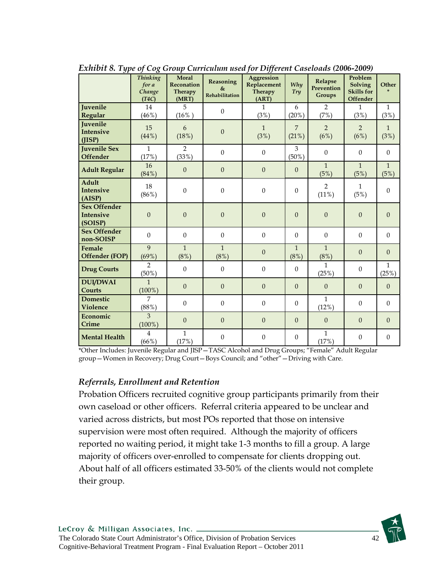| ◡ ・                                                | <b>Thinking</b><br>for a<br>Change<br>(T4C) | Moral<br><b>Reconation</b><br>Therapy<br>(MRT) | Reasoning<br>$\&$<br>Rehabilitation | ັັ<br>Aggression<br>Replacement<br><b>Therapy</b><br>(ART) | <b>Why</b><br>Try       | Relapse<br>Prevention<br>Groups | Problem<br><b>Solving</b><br><b>Skills</b> for<br><b>Offender</b> | Other                 |
|----------------------------------------------------|---------------------------------------------|------------------------------------------------|-------------------------------------|------------------------------------------------------------|-------------------------|---------------------------------|-------------------------------------------------------------------|-----------------------|
| Juvenile<br>Regular                                | 14<br>(46%)                                 | 5<br>$(16\%)$                                  | $\Omega$                            | $\mathbf{1}$<br>(3%)                                       | 6<br>(20%)              | $\overline{2}$<br>(7%)          | $\mathbf{1}$<br>(3%)                                              | $\mathbf{1}$<br>(3%)  |
| <b>Juvenile</b><br><b>Intensive</b><br>(IISP)      | 15<br>(44%)                                 | 6<br>(18%)                                     | $\boldsymbol{0}$                    | $\mathbf{1}$<br>(3%)                                       | $\overline{7}$<br>(21%) | $\overline{2}$<br>(6%)          | $\overline{2}$<br>(6%)                                            | $\mathbf{1}$<br>(3%)  |
| <b>Juvenile Sex</b><br><b>Offender</b>             | $\mathbf{1}$<br>(17%)                       | $\overline{2}$<br>(33%)                        | $\mathbf{0}$                        | $\boldsymbol{0}$                                           | 3<br>$(50\%)$           | $\boldsymbol{0}$                | $\theta$                                                          | $\boldsymbol{0}$      |
| <b>Adult Regular</b>                               | 16<br>(84%)                                 | $\overline{0}$                                 | $\Omega$                            | $\mathbf{0}$                                               | $\overline{0}$          | $\mathbf{1}$<br>(5%)            | $\mathbf{1}$<br>(5%)                                              | $\mathbf{1}$<br>(5%)  |
| Adult<br><b>Intensive</b><br>(AISP)                | 18<br>(86%)                                 | $\boldsymbol{0}$                               | $\boldsymbol{0}$                    | $\boldsymbol{0}$                                           | $\mathbf{0}$            | $\overline{2}$<br>(11%)         | $\mathbf{1}$<br>(5%)                                              | $\boldsymbol{0}$      |
| <b>Sex Offender</b><br><b>Intensive</b><br>(SOISP) | $\boldsymbol{0}$                            | $\boldsymbol{0}$                               | $\boldsymbol{0}$                    | $\boldsymbol{0}$                                           | $\Omega$                | $\mathbf{0}$                    | $\overline{0}$                                                    | $\mathbf{0}$          |
| <b>Sex Offender</b><br>non-SOISP                   | $\mathbf{0}$                                | $\Omega$                                       | $\Omega$                            | $\Omega$                                                   | $\Omega$                | $\Omega$                        | $\theta$                                                          | $\Omega$              |
| Female<br>Offender (FOP)                           | $\overline{9}$<br>(69%)                     | $\mathbf{1}$<br>$(8\%)$                        | $\mathbf{1}$<br>$(8\%)$             | $\overline{0}$                                             | $\mathbf{1}$<br>$(8\%)$ | $\mathbf{1}$<br>$(8\%)$         | $\Omega$                                                          | $\Omega$              |
| <b>Drug Courts</b>                                 | $\overline{2}$<br>$(50\%)$                  | $\boldsymbol{0}$                               | $\mathbf{0}$                        | $\boldsymbol{0}$                                           | $\overline{0}$          | $\mathbf{1}$<br>(25%)           | $\boldsymbol{0}$                                                  | $\mathbf{1}$<br>(25%) |
| <b>DUI/DWAI</b><br>Courts                          | $\mathbf{1}$<br>$(100\%)$                   | $\boldsymbol{0}$                               | $\mathbf{0}$                        | $\boldsymbol{0}$                                           | $\overline{0}$          | $\overline{0}$                  | $\overline{0}$                                                    | $\mathbf{0}$          |
| <b>Domestic</b><br><b>Violence</b>                 | $\overline{7}$<br>(88%)                     | $\boldsymbol{0}$                               | $\boldsymbol{0}$                    | $\boldsymbol{0}$                                           | $\mathbf{0}$            | $\mathbf{1}$<br>(12%)           | $\theta$                                                          | $\mathbf{0}$          |
| Economic<br>Crime                                  | $\overline{3}$<br>$(100\%)$                 | $\boldsymbol{0}$                               | $\mathbf{0}$                        | $\mathbf{0}$                                               | $\overline{0}$          | $\overline{0}$                  | $\overline{0}$                                                    | $\overline{0}$        |
| <b>Mental Health</b>                               | $\overline{4}$<br>(66%)                     | $\mathbf{1}$<br>(17%)                          | $\mathbf{0}$                        | $\theta$                                                   | $\theta$                | $\mathbf{1}$<br>(17%)           | $\theta$                                                          | $\overline{0}$        |

*Exhibit 8. Type of Cog Group Curriculum used for Different Caseloads (2006-2009)* 

\*Other Includes: Juvenile Regular and JISP—TASC Alcohol and Drug Groups; "Female" Adult Regular group—Women in Recovery; Drug Court—Boys Council; and "other"—Driving with Care.

### *Referrals, Enrollment and Retention*

Probation Officers recruited cognitive group participants primarily from their own caseload or other officers. Referral criteria appeared to be unclear and varied across districts, but most POs reported that those on intensive supervision were most often required. Although the majority of officers reported no waiting period, it might take 1-3 months to fill a group. A large majority of officers over-enrolled to compensate for clients dropping out. About half of all officers estimated 33-50% of the clients would not complete their group.

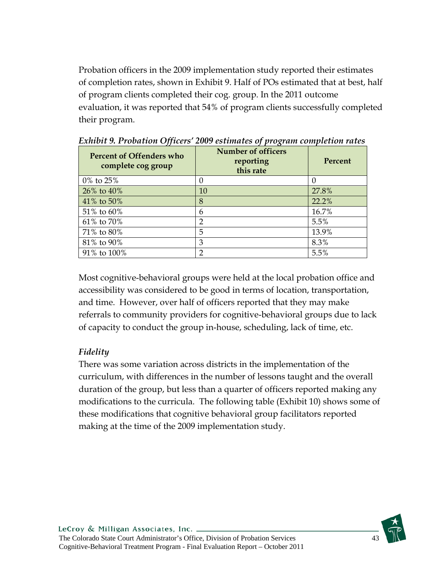Probation officers in the 2009 implementation study reported their estimates of completion rates, shown in Exhibit 9. Half of POs estimated that at best, half of program clients completed their cog. group. In the 2011 outcome evaluation, it was reported that 54% of program clients successfully completed their program.

| Percent of Offenders who<br>complete cog group | <b>Number of officers</b><br>reporting<br>this rate | Percent |
|------------------------------------------------|-----------------------------------------------------|---------|
| $0\%$ to $25\%$                                | 0                                                   |         |
| 26% to 40%                                     | 10                                                  | 27.8%   |
| 41% to 50%                                     | 8                                                   | 22.2%   |
| 51% to 60%                                     | 6                                                   | 16.7%   |
| 61% to 70%                                     | $\mathcal{D}$                                       | 5.5%    |
| 71% to 80%                                     | 5                                                   | 13.9%   |
| 81% to 90%                                     | 3                                                   | 8.3%    |
| 91% to 100%                                    |                                                     | 5.5%    |

*Exhibit 9. Probation Officers' 2009 estimates of program completion rates* 

Most cognitive-behavioral groups were held at the local probation office and accessibility was considered to be good in terms of location, transportation, and time. However, over half of officers reported that they may make referrals to community providers for cognitive-behavioral groups due to lack of capacity to conduct the group in-house, scheduling, lack of time, etc.

## *Fidelity*

There was some variation across districts in the implementation of the curriculum, with differences in the number of lessons taught and the overall duration of the group, but less than a quarter of officers reported making any modifications to the curricula. The following table (Exhibit 10) shows some of these modifications that cognitive behavioral group facilitators reported making at the time of the 2009 implementation study.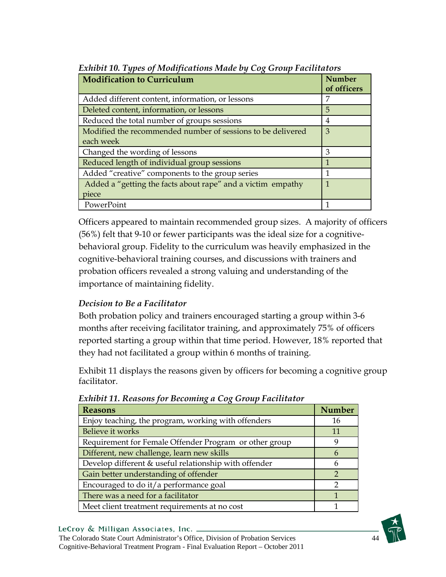| <b>Modification to Curriculum</b>                                        | <b>Number</b><br>of officers |
|--------------------------------------------------------------------------|------------------------------|
| Added different content, information, or lessons                         | 7                            |
| Deleted content, information, or lessons                                 | 5                            |
| Reduced the total number of groups sessions                              | 4                            |
| Modified the recommended number of sessions to be delivered<br>each week | 3                            |
| Changed the wording of lessons                                           | 3                            |
| Reduced length of individual group sessions                              | 1                            |
| Added "creative" components to the group series                          | 1                            |
| Added a "getting the facts about rape" and a victim empathy              | $\mathbf{1}$                 |
| piece                                                                    |                              |
| PowerPoint                                                               |                              |

*Exhibit 10. Types of Modifications Made by Cog Group Facilitators* 

Officers appeared to maintain recommended group sizes. A majority of officers (56%) felt that 9-10 or fewer participants was the ideal size for a cognitivebehavioral group. Fidelity to the curriculum was heavily emphasized in the cognitive-behavioral training courses, and discussions with trainers and probation officers revealed a strong valuing and understanding of the importance of maintaining fidelity.

## *Decision to Be a Facilitator*

Both probation policy and trainers encouraged starting a group within 3-6 months after receiving facilitator training, and approximately 75% of officers reported starting a group within that time period. However, 18% reported that they had not facilitated a group within 6 months of training.

Exhibit 11 displays the reasons given by officers for becoming a cognitive group facilitator.

| Lanton II. Reasons for Decoming a Cox Group Facturator |               |  |  |
|--------------------------------------------------------|---------------|--|--|
| <b>Reasons</b>                                         | <b>Number</b> |  |  |
| Enjoy teaching, the program, working with offenders    | 16            |  |  |
| Believe it works                                       | 11            |  |  |
| Requirement for Female Offender Program or other group |               |  |  |
| Different, new challenge, learn new skills             | n             |  |  |
| Develop different & useful relationship with offender  |               |  |  |
| Gain better understanding of offender                  |               |  |  |
| Encouraged to do it/a performance goal                 | ∍             |  |  |
| There was a need for a facilitator                     |               |  |  |
| Meet client treatment requirements at no cost          |               |  |  |

*Exhibit 11. Reasons for Becoming a Cog Group Facilitator* 

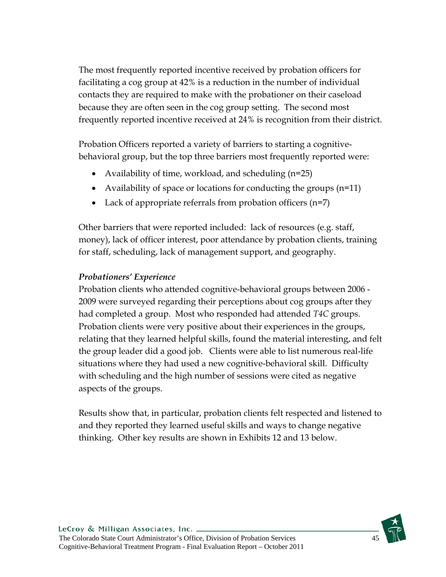The most frequently reported incentive received by probation officers for facilitating a cog group at 42% is a reduction in the number of individual contacts they are required to make with the probationer on their caseload because they are often seen in the cog group setting. The second most frequently reported incentive received at 24% is recognition from their district.

Probation Officers reported a variety of barriers to starting a cognitivebehavioral group, but the top three barriers most frequently reported were:

- Availability of time, workload, and scheduling (n=25)
- Availability of space or locations for conducting the groups (n=11)
- Lack of appropriate referrals from probation officers (n=7)

Other barriers that were reported included: lack of resources (e.g. staff, money), lack of officer interest, poor attendance by probation clients, training for staff, scheduling, lack of management support, and geography.

## *Probationers' Experience*

Probation clients who attended cognitive-behavioral groups between 2006 - 2009 were surveyed regarding their perceptions about cog groups after they had completed a group. Most who responded had attended *T4C* groups. Probation clients were very positive about their experiences in the groups, relating that they learned helpful skills, found the material interesting, and felt the group leader did a good job. Clients were able to list numerous real-life situations where they had used a new cognitive-behavioral skill. Difficulty with scheduling and the high number of sessions were cited as negative aspects of the groups.

Results show that, in particular, probation clients felt respected and listened to and they reported they learned useful skills and ways to change negative thinking. Other key results are shown in Exhibits 12 and 13 below.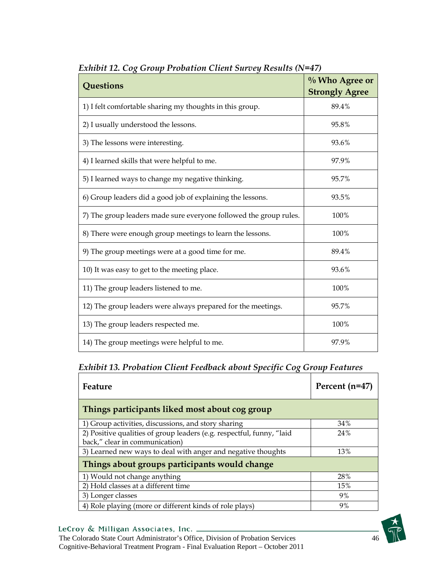| LAMON 12. COX OTOMP I TOOMNOM CHEM OMTOGY INESMIS (IV<br>Questions | $\%$ Who Agree or<br><b>Strongly Agree</b> |
|--------------------------------------------------------------------|--------------------------------------------|
| 1) I felt comfortable sharing my thoughts in this group.           | 89.4%                                      |
| 2) I usually understood the lessons.                               | 95.8%                                      |
| 3) The lessons were interesting.                                   | 93.6%                                      |
| 4) I learned skills that were helpful to me.                       | 97.9%                                      |
| 5) I learned ways to change my negative thinking.                  | 95.7%                                      |
| 6) Group leaders did a good job of explaining the lessons.         | 93.5%                                      |
| 7) The group leaders made sure everyone followed the group rules.  | 100%                                       |
| 8) There were enough group meetings to learn the lessons.          | 100%                                       |
| 9) The group meetings were at a good time for me.                  | 89.4%                                      |
| 10) It was easy to get to the meeting place.                       | 93.6%                                      |
| 11) The group leaders listened to me.                              | 100%                                       |
| 12) The group leaders were always prepared for the meetings.       | 95.7%                                      |
| 13) The group leaders respected me.                                | 100%                                       |
| 14) The group meetings were helpful to me.                         | 97.9%                                      |

*Exhibit 12. Cog Group Probation Client Survey Results (N=47)* 

## *Exhibit 13. Probation Client Feedback about Specific Cog Group Features*

| Feature                                                               | Percent (n=47) |  |  |  |  |
|-----------------------------------------------------------------------|----------------|--|--|--|--|
| Things participants liked most about cog group                        |                |  |  |  |  |
| 1) Group activities, discussions, and story sharing                   | 34%            |  |  |  |  |
| 2) Positive qualities of group leaders (e.g. respectful, funny, "laid | 24%            |  |  |  |  |
| back," clear in communication)                                        |                |  |  |  |  |
| 3) Learned new ways to deal with anger and negative thoughts          | 13%            |  |  |  |  |
| Things about groups participants would change                         |                |  |  |  |  |
| 1) Would not change anything                                          | 28%            |  |  |  |  |
| 2) Hold classes at a different time                                   | 15%            |  |  |  |  |
| 3) Longer classes                                                     | 9%             |  |  |  |  |
| 4) Role playing (more or different kinds of role plays)               | 9%             |  |  |  |  |

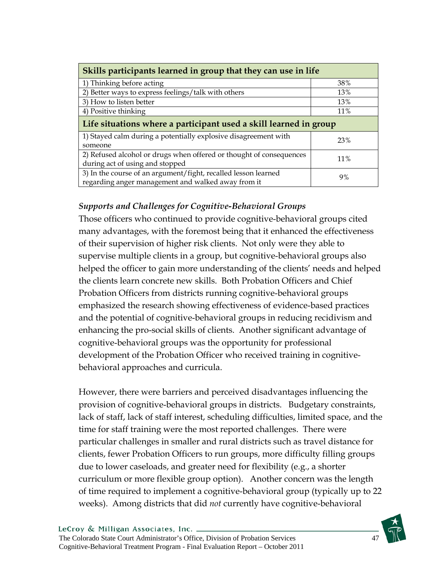| Skills participants learned in group that they can use in life                                                       |        |  |  |
|----------------------------------------------------------------------------------------------------------------------|--------|--|--|
| 1) Thinking before acting                                                                                            | 38%    |  |  |
| 2) Better ways to express feelings/talk with others                                                                  | 13%    |  |  |
| 3) How to listen better                                                                                              | 13%    |  |  |
| 4) Positive thinking                                                                                                 | 11%    |  |  |
| Life situations where a participant used a skill learned in group                                                    |        |  |  |
| 1) Stayed calm during a potentially explosive disagreement with<br>someone                                           | 23%    |  |  |
| 2) Refused alcohol or drugs when offered or thought of consequences<br>during act of using and stopped               | $11\%$ |  |  |
| 3) In the course of an argument/fight, recalled lesson learned<br>regarding anger management and walked away from it | 9%     |  |  |

## *Supports and Challenges for Cognitive-Behavioral Groups*

Those officers who continued to provide cognitive-behavioral groups cited many advantages, with the foremost being that it enhanced the effectiveness of their supervision of higher risk clients. Not only were they able to supervise multiple clients in a group, but cognitive-behavioral groups also helped the officer to gain more understanding of the clients' needs and helped the clients learn concrete new skills. Both Probation Officers and Chief Probation Officers from districts running cognitive-behavioral groups emphasized the research showing effectiveness of evidence-based practices and the potential of cognitive-behavioral groups in reducing recidivism and enhancing the pro-social skills of clients. Another significant advantage of cognitive-behavioral groups was the opportunity for professional development of the Probation Officer who received training in cognitivebehavioral approaches and curricula.

However, there were barriers and perceived disadvantages influencing the provision of cognitive-behavioral groups in districts. Budgetary constraints, lack of staff, lack of staff interest, scheduling difficulties, limited space, and the time for staff training were the most reported challenges. There were particular challenges in smaller and rural districts such as travel distance for clients, fewer Probation Officers to run groups, more difficulty filling groups due to lower caseloads, and greater need for flexibility (e.g., a shorter curriculum or more flexible group option). Another concern was the length of time required to implement a cognitive-behavioral group (typically up to 22 weeks). Among districts that did *not* currently have cognitive-behavioral

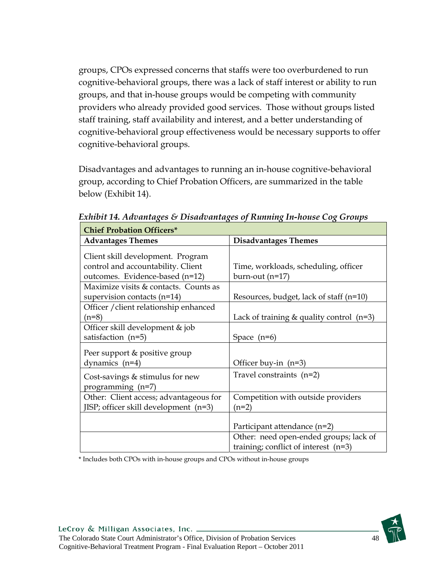groups, CPOs expressed concerns that staffs were too overburdened to run cognitive-behavioral groups, there was a lack of staff interest or ability to run groups, and that in-house groups would be competing with community providers who already provided good services. Those without groups listed staff training, staff availability and interest, and a better understanding of cognitive-behavioral group effectiveness would be necessary supports to offer cognitive-behavioral groups.

Disadvantages and advantages to running an in-house cognitive-behavioral group, according to Chief Probation Officers, are summarized in the table below (Exhibit 14).

| <b>Chief Probation Officers*</b>                                                                           |                                                                                  |  |  |  |
|------------------------------------------------------------------------------------------------------------|----------------------------------------------------------------------------------|--|--|--|
| <b>Advantages Themes</b>                                                                                   | <b>Disadvantages Themes</b>                                                      |  |  |  |
| Client skill development. Program<br>control and accountability. Client<br>outcomes. Evidence-based (n=12) | Time, workloads, scheduling, officer<br>burn-out (n=17)                          |  |  |  |
| Maximize visits & contacts. Counts as<br>supervision contacts $(n=14)$                                     | Resources, budget, lack of staff $(n=10)$                                        |  |  |  |
| Officer / client relationship enhanced<br>$(n=8)$                                                          | Lack of training $&$ quality control (n=3)                                       |  |  |  |
| Officer skill development & job<br>satisfaction $(n=5)$                                                    | Space $(n=6)$                                                                    |  |  |  |
| Peer support & positive group<br>dynamics $(n=4)$                                                          | Officer buy-in $(n=3)$                                                           |  |  |  |
| Cost-savings & stimulus for new<br>programming (n=7)                                                       | Travel constraints $(n=2)$                                                       |  |  |  |
| Other: Client access; advantageous for<br>JISP; officer skill development (n=3)                            | Competition with outside providers<br>(n=2)                                      |  |  |  |
|                                                                                                            | Participant attendance (n=2)                                                     |  |  |  |
|                                                                                                            | Other: need open-ended groups; lack of<br>training; conflict of interest $(n=3)$ |  |  |  |

*Exhibit 14. Advantages & Disadvantages of Running In-house Cog Groups* 

\* Includes both CPOs with in-house groups and CPOs without in-house groups

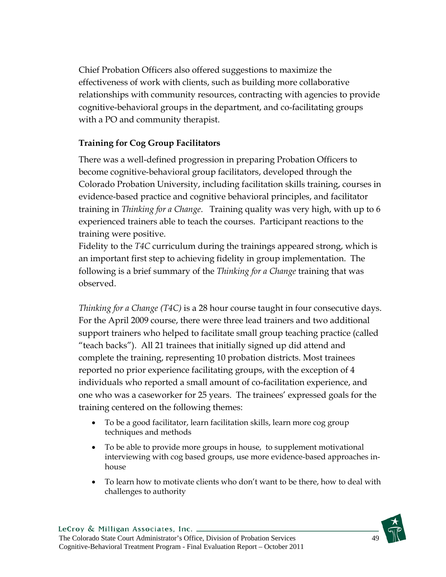Chief Probation Officers also offered suggestions to maximize the effectiveness of work with clients, such as building more collaborative relationships with community resources, contracting with agencies to provide cognitive-behavioral groups in the department, and co-facilitating groups with a PO and community therapist.

## **Training for Cog Group Facilitators**

There was a well-defined progression in preparing Probation Officers to become cognitive-behavioral group facilitators, developed through the Colorado Probation University, including facilitation skills training, courses in evidence-based practice and cognitive behavioral principles, and facilitator training in *Thinking for a Change*. Training quality was very high, with up to 6 experienced trainers able to teach the courses. Participant reactions to the training were positive.

Fidelity to the *T4C* curriculum during the trainings appeared strong, which is an important first step to achieving fidelity in group implementation. The following is a brief summary of the *Thinking for a Change* training that was observed.

*Thinking for a Change (T4C)* is a 28 hour course taught in four consecutive days. For the April 2009 course, there were three lead trainers and two additional support trainers who helped to facilitate small group teaching practice (called "teach backs"). All 21 trainees that initially signed up did attend and complete the training, representing 10 probation districts. Most trainees reported no prior experience facilitating groups, with the exception of 4 individuals who reported a small amount of co-facilitation experience, and one who was a caseworker for 25 years. The trainees' expressed goals for the training centered on the following themes:

- To be a good facilitator, learn facilitation skills, learn more cog group techniques and methods
- To be able to provide more groups in house, to supplement motivational interviewing with cog based groups, use more evidence-based approaches inhouse
- To learn how to motivate clients who don't want to be there, how to deal with challenges to authority

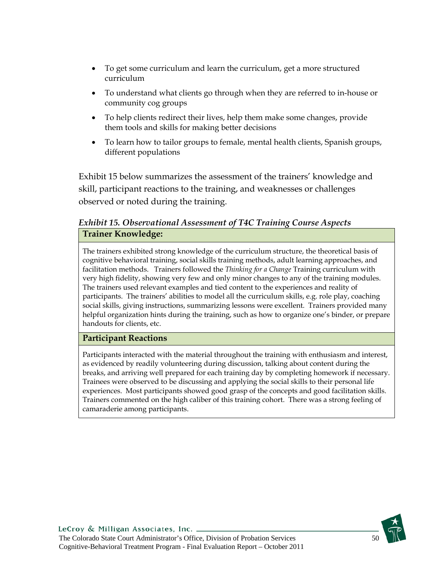- To get some curriculum and learn the curriculum, get a more structured curriculum
- To understand what clients go through when they are referred to in-house or community cog groups
- To help clients redirect their lives, help them make some changes, provide them tools and skills for making better decisions
- To learn how to tailor groups to female, mental health clients, Spanish groups, different populations

Exhibit 15 below summarizes the assessment of the trainers' knowledge and skill, participant reactions to the training, and weaknesses or challenges observed or noted during the training.

## *Exhibit 15. Observational Assessment of T4C Training Course Aspects*  **Trainer Knowledge:**

The trainers exhibited strong knowledge of the curriculum structure, the theoretical basis of cognitive behavioral training, social skills training methods, adult learning approaches, and facilitation methods. Trainers followed the *Thinking for a Change* Training curriculum with very high fidelity, showing very few and only minor changes to any of the training modules. The trainers used relevant examples and tied content to the experiences and reality of participants. The trainers' abilities to model all the curriculum skills, e.g. role play, coaching social skills, giving instructions, summarizing lessons were excellent. Trainers provided many helpful organization hints during the training, such as how to organize one's binder, or prepare handouts for clients, etc.

### **Participant Reactions**

Participants interacted with the material throughout the training with enthusiasm and interest, as evidenced by readily volunteering during discussion, talking about content during the breaks, and arriving well prepared for each training day by completing homework if necessary. Trainees were observed to be discussing and applying the social skills to their personal life experiences. Most participants showed good grasp of the concepts and good facilitation skills. Trainers commented on the high caliber of this training cohort. There was a strong feeling of camaraderie among participants.

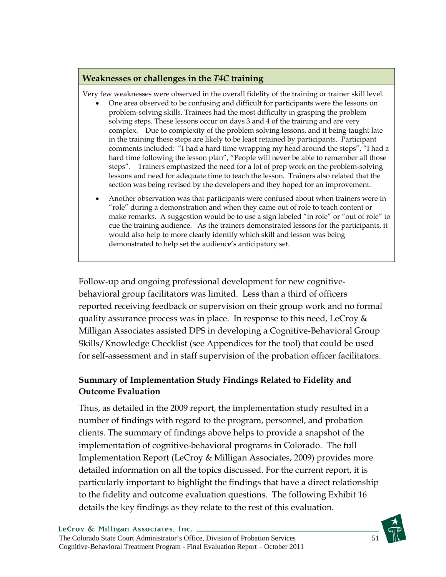#### **Weaknesses or challenges in the** *T4C* **training**

Very few weaknesses were observed in the overall fidelity of the training or trainer skill level.

- One area observed to be confusing and difficult for participants were the lessons on problem-solving skills. Trainees had the most difficulty in grasping the problem solving steps. These lessons occur on days 3 and 4 of the training and are very complex. Due to complexity of the problem solving lessons, and it being taught late in the training these steps are likely to be least retained by participants. Participant comments included: "I had a hard time wrapping my head around the steps", "I had a hard time following the lesson plan", "People will never be able to remember all those steps". Trainers emphasized the need for a lot of prep work on the problem-solving lessons and need for adequate time to teach the lesson. Trainers also related that the section was being revised by the developers and they hoped for an improvement.
- Another observation was that participants were confused about when trainers were in "role" during a demonstration and when they came out of role to teach content or make remarks. A suggestion would be to use a sign labeled "in role" or "out of role" to cue the training audience. As the trainers demonstrated lessons for the participants, it would also help to more clearly identify which skill and lesson was being demonstrated to help set the audience's anticipatory set.

Follow-up and ongoing professional development for new cognitivebehavioral group facilitators was limited. Less than a third of officers reported receiving feedback or supervision on their group work and no formal quality assurance process was in place. In response to this need, LeCroy  $\&$ Milligan Associates assisted DPS in developing a Cognitive-Behavioral Group Skills/Knowledge Checklist (see Appendices for the tool) that could be used for self-assessment and in staff supervision of the probation officer facilitators.

## **Summary of Implementation Study Findings Related to Fidelity and Outcome Evaluation**

Thus, as detailed in the 2009 report, the implementation study resulted in a number of findings with regard to the program, personnel, and probation clients. The summary of findings above helps to provide a snapshot of the implementation of cognitive-behavioral programs in Colorado. The full Implementation Report (LeCroy & Milligan Associates, 2009) provides more detailed information on all the topics discussed. For the current report, it is particularly important to highlight the findings that have a direct relationship to the fidelity and outcome evaluation questions. The following Exhibit 16 details the key findings as they relate to the rest of this evaluation.

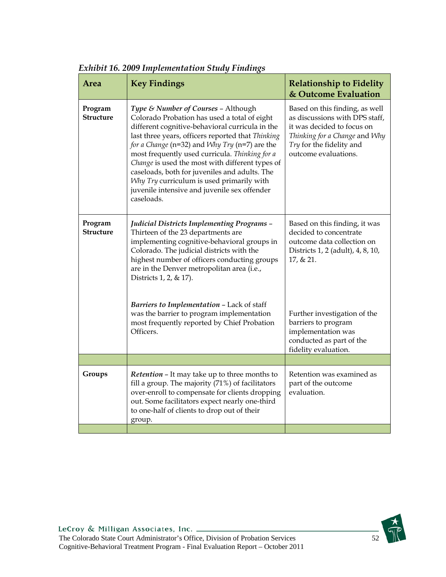| Area                        | <b>Key Findings</b>                                                                                                                                                                                                                                                                                                                                                                                                                                                                                           | <b>Relationship to Fidelity</b><br>& Outcome Evaluation                                                                                                                             |
|-----------------------------|---------------------------------------------------------------------------------------------------------------------------------------------------------------------------------------------------------------------------------------------------------------------------------------------------------------------------------------------------------------------------------------------------------------------------------------------------------------------------------------------------------------|-------------------------------------------------------------------------------------------------------------------------------------------------------------------------------------|
| Program<br><b>Structure</b> | Type & Number of Courses - Although<br>Colorado Probation has used a total of eight<br>different cognitive-behavioral curricula in the<br>last three years, officers reported that Thinking<br>for a Change (n=32) and Why Try (n=7) are the<br>most frequently used curricula. Thinking for a<br>Change is used the most with different types of<br>caseloads, both for juveniles and adults. The<br>Why Try curriculum is used primarily with<br>juvenile intensive and juvenile sex offender<br>caseloads. | Based on this finding, as well<br>as discussions with DPS staff,<br>it was decided to focus on<br>Thinking for a Change and Why<br>Try for the fidelity and<br>outcome evaluations. |
| Program<br><b>Structure</b> | <b>Judicial Districts Implementing Programs -</b><br>Thirteen of the 23 departments are<br>implementing cognitive-behavioral groups in<br>Colorado. The judicial districts with the<br>highest number of officers conducting groups<br>are in the Denver metropolitan area (i.e.,<br>Districts 1, 2, & 17).                                                                                                                                                                                                   | Based on this finding, it was<br>decided to concentrate<br>outcome data collection on<br>Districts 1, 2 (adult), 4, 8, 10,<br>17, & 21.                                             |
|                             | Barriers to Implementation - Lack of staff<br>was the barrier to program implementation<br>most frequently reported by Chief Probation<br>Officers.                                                                                                                                                                                                                                                                                                                                                           | Further investigation of the<br>barriers to program<br>implementation was<br>conducted as part of the<br>fidelity evaluation.                                                       |
|                             |                                                                                                                                                                                                                                                                                                                                                                                                                                                                                                               |                                                                                                                                                                                     |
| Groups                      | Retention - It may take up to three months to<br>fill a group. The majority (71%) of facilitators<br>over-enroll to compensate for clients dropping<br>out. Some facilitators expect nearly one-third<br>to one-half of clients to drop out of their<br>group.                                                                                                                                                                                                                                                | Retention was examined as<br>part of the outcome<br>evaluation.                                                                                                                     |
|                             |                                                                                                                                                                                                                                                                                                                                                                                                                                                                                                               |                                                                                                                                                                                     |

*Exhibit 16. 2009 Implementation Study Findings* 

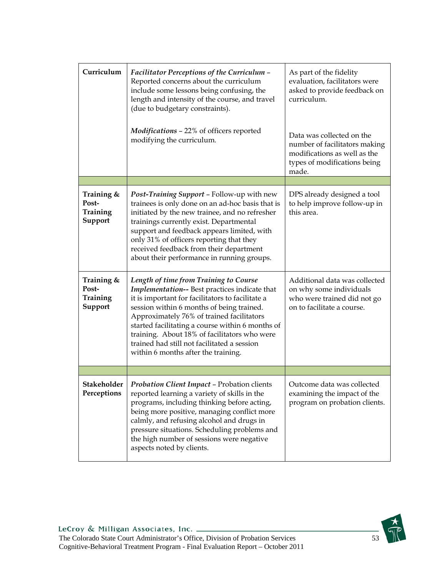| Curriculum                                 | <b>Facilitator Perceptions of the Curriculum -</b><br>Reported concerns about the curriculum<br>include some lessons being confusing, the<br>length and intensity of the course, and travel<br>(due to budgetary constraints).                                                                                                                                                                                                  | As part of the fidelity<br>evaluation, facilitators were<br>asked to provide feedback on<br>curriculum.                             |
|--------------------------------------------|---------------------------------------------------------------------------------------------------------------------------------------------------------------------------------------------------------------------------------------------------------------------------------------------------------------------------------------------------------------------------------------------------------------------------------|-------------------------------------------------------------------------------------------------------------------------------------|
|                                            | Modifications - 22% of officers reported<br>modifying the curriculum.                                                                                                                                                                                                                                                                                                                                                           | Data was collected on the<br>number of facilitators making<br>modifications as well as the<br>types of modifications being<br>made. |
|                                            |                                                                                                                                                                                                                                                                                                                                                                                                                                 |                                                                                                                                     |
| Training &<br>Post-<br>Training<br>Support | Post-Training Support - Follow-up with new<br>trainees is only done on an ad-hoc basis that is<br>initiated by the new trainee, and no refresher<br>trainings currently exist. Departmental<br>support and feedback appears limited, with<br>only 31% of officers reporting that they<br>received feedback from their department<br>about their performance in running groups.                                                  | DPS already designed a tool<br>to help improve follow-up in<br>this area.                                                           |
| Training &<br>Post-<br>Training<br>Support | Length of time from Training to Course<br>Implementation-- Best practices indicate that<br>it is important for facilitators to facilitate a<br>session within 6 months of being trained.<br>Approximately 76% of trained facilitators<br>started facilitating a course within 6 months of<br>training. About 18% of facilitators who were<br>trained had still not facilitated a session<br>within 6 months after the training. | Additional data was collected<br>on why some individuals<br>who were trained did not go<br>on to facilitate a course.               |
|                                            |                                                                                                                                                                                                                                                                                                                                                                                                                                 |                                                                                                                                     |
| Stakeholder<br>Perceptions                 | <b>Probation Client Impact - Probation clients</b><br>reported learning a variety of skills in the<br>programs, including thinking before acting,<br>being more positive, managing conflict more<br>calmly, and refusing alcohol and drugs in<br>pressure situations. Scheduling problems and<br>the high number of sessions were negative<br>aspects noted by clients.                                                         | Outcome data was collected<br>examining the impact of the<br>program on probation clients.                                          |

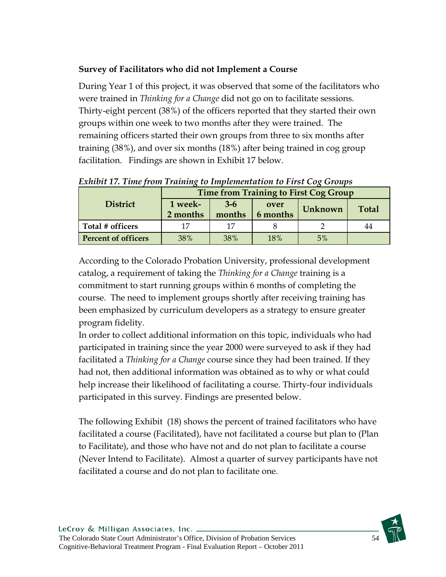## **Survey of Facilitators who did not Implement a Course**

During Year 1 of this project, it was observed that some of the facilitators who were trained in *Thinking for a Change* did not go on to facilitate sessions. Thirty-eight percent (38%) of the officers reported that they started their own groups within one week to two months after they were trained. The remaining officers started their own groups from three to six months after training (38%), and over six months (18%) after being trained in cog group facilitation. Findings are shown in Exhibit 17 below.

|                            | Time from Training to First Cog Group |                 |                  |                         |    |  |  |
|----------------------------|---------------------------------------|-----------------|------------------|-------------------------|----|--|--|
| <b>District</b>            | 1 week-<br>2 months                   | $3-6$<br>months | over<br>6 months | <b>Total</b><br>Unknown |    |  |  |
| Total # officers           | 17                                    | 17              |                  |                         | 44 |  |  |
| <b>Percent of officers</b> | 38%                                   | 38%             | 18%              | 5%                      |    |  |  |

*Exhibit 17. Time from Training to Implementation to First Cog Groups* 

According to the Colorado Probation University, professional development catalog, a requirement of taking the *Thinking for a Change* training is a commitment to start running groups within 6 months of completing the course. The need to implement groups shortly after receiving training has been emphasized by curriculum developers as a strategy to ensure greater program fidelity.

In order to collect additional information on this topic, individuals who had participated in training since the year 2000 were surveyed to ask if they had facilitated a *Thinking for a Change* course since they had been trained. If they had not, then additional information was obtained as to why or what could help increase their likelihood of facilitating a course. Thirty-four individuals participated in this survey. Findings are presented below.

The following Exhibit (18) shows the percent of trained facilitators who have facilitated a course (Facilitated), have not facilitated a course but plan to (Plan to Facilitate), and those who have not and do not plan to facilitate a course (Never Intend to Facilitate). Almost a quarter of survey participants have not facilitated a course and do not plan to facilitate one.

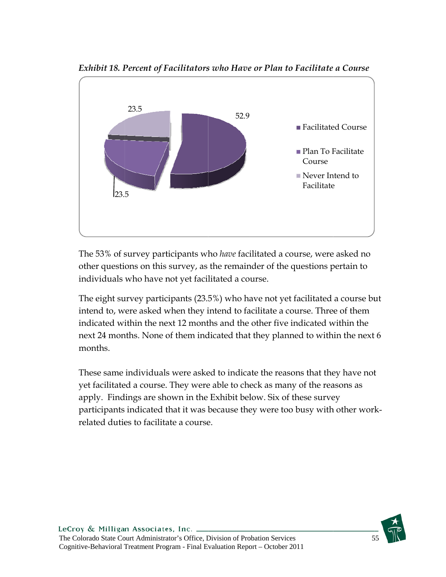

*E Exhibit 18. P Percent of F Facilitators s who Have e or Plan to o Facilitate*

The 53% of survey participants who *have* facilitated a course, were asked no other questions on this survey, as the remainder of the questions pertain to individuals who have not yet facilitated a course.

The eight survey participants (23.5%) who have not yet facilitated a course but intend to, were asked when they intend to facilitate a course. Three of them indicated within the next 12 months and the other five indicated within the next 24 months. None of them indicated that they planned to within the next 6 m months.

These same individuals were asked to indicate the reasons that they have not yet facilitated a course. They were able to check as many of the reasons as apply. Findings are shown in the Exhibit below. Six of these survey participants indicated that it was because they were too busy with other work related duties to facilitate a course. t<br>k-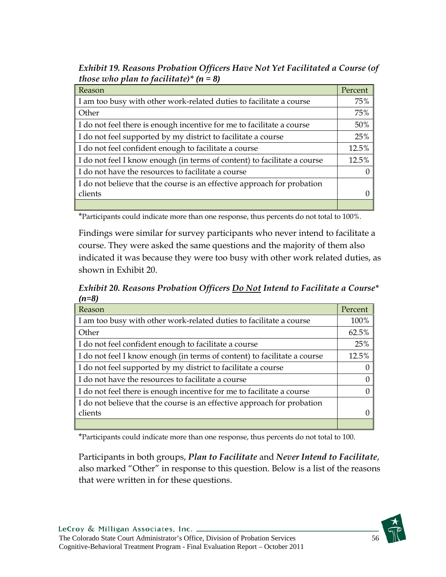*Exhibit 19. Reasons Probation Officers Have Not Yet Facilitated a Course (of those who plan to facilitate)\* (n = 8)*

| <b>Reason</b>                                                              | Percent |
|----------------------------------------------------------------------------|---------|
| I am too busy with other work-related duties to facilitate a course        | 75%     |
| <b>Other</b>                                                               | 75%     |
| I I do not feel there is enough incentive for me to facilitate a course    | 50%     |
| I do not feel supported by my district to facilitate a course              | 25%     |
| I do not feel confident enough to facilitate a course                      | 12.5%   |
| I I do not feel I know enough (in terms of content) to facilitate a course | 12.5%   |
| I do not have the resources to facilitate a course                         |         |
| I do not believe that the course is an effective approach for probation    |         |
| <b>clients</b>                                                             |         |
|                                                                            |         |

\*Participants could indicate more than one response, thus percents do not total to 100%.

Findings were similar for survey participants who never intend to facilitate a course. They were asked the same questions and the majority of them also indicated it was because they were too busy with other work related duties, as shown in Exhibit 20.

*Exhibit 20. Reasons Probation Officers Do Not Intend to Facilitate a Course\* (n=8)*

| Reason                                                                   | Percent |
|--------------------------------------------------------------------------|---------|
| I am too busy with other work-related duties to facilitate a course      | 100%    |
| Other                                                                    | 62.5%   |
| I do not feel confident enough to facilitate a course                    | 25%     |
| I do not feel I know enough (in terms of content) to facilitate a course | 12.5%   |
| I do not feel supported by my district to facilitate a course            |         |
| I do not have the resources to facilitate a course                       |         |
| I I do not feel there is enough incentive for me to facilitate a course  |         |
| I do not believe that the course is an effective approach for probation  |         |
| clients                                                                  |         |
|                                                                          |         |

\*Participants could indicate more than one response, thus percents do not total to 100.

Participants in both groups, *Plan to Facilitate* and *Never Intend to Facilitate*, also marked "Other" in response to this question. Below is a list of the reasons that were written in for these questions.

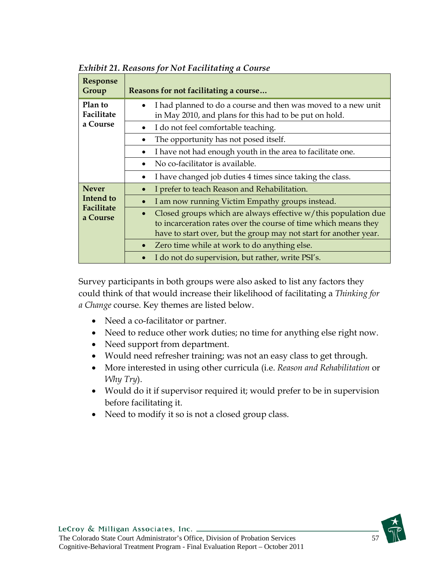| <b>Response</b><br>Group                   | Reasons for not facilitating a course                                                                                                                                                                  |
|--------------------------------------------|--------------------------------------------------------------------------------------------------------------------------------------------------------------------------------------------------------|
| Plan to<br>Facilitate                      | I had planned to do a course and then was moved to a new unit<br>in May 2010, and plans for this had to be put on hold.                                                                                |
| a Course                                   | I do not feel comfortable teaching.                                                                                                                                                                    |
|                                            | The opportunity has not posed itself.                                                                                                                                                                  |
|                                            | I have not had enough youth in the area to facilitate one.                                                                                                                                             |
|                                            | No co-facilitator is available.                                                                                                                                                                        |
|                                            | I have changed job duties 4 times since taking the class.                                                                                                                                              |
| <b>Never</b>                               | I prefer to teach Reason and Rehabilitation.                                                                                                                                                           |
| <b>Intend</b> to<br>Facilitate<br>a Course | I am now running Victim Empathy groups instead.                                                                                                                                                        |
|                                            | Closed groups which are always effective w/this population due<br>to incarceration rates over the course of time which means they<br>have to start over, but the group may not start for another year. |
|                                            | Zero time while at work to do anything else.                                                                                                                                                           |
|                                            | I do not do supervision, but rather, write PSI's.                                                                                                                                                      |

*Exhibit 21. Reasons for Not Facilitating a Course* 

Survey participants in both groups were also asked to list any factors they could think of that would increase their likelihood of facilitating a *Thinking for a Change* course. Key themes are listed below.

- Need a co-facilitator or partner.
- Need to reduce other work duties; no time for anything else right now.
- Need support from department.
- Would need refresher training; was not an easy class to get through.
- More interested in using other curricula (i.e. *Reason and Rehabilitation* or *Why Try*).
- Would do it if supervisor required it; would prefer to be in supervision before facilitating it.
- Need to modify it so is not a closed group class.

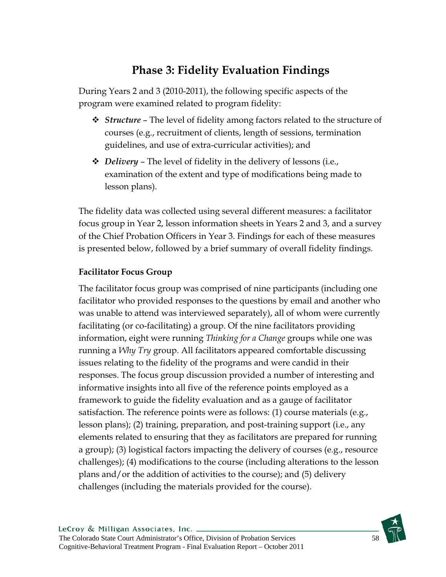## **Phase 3: Fidelity Evaluation Findings**

During Years 2 and 3 (2010-2011), the following specific aspects of the program were examined related to program fidelity:

- *Structure* The level of fidelity among factors related to the structure of courses (e.g., recruitment of clients, length of sessions, termination guidelines, and use of extra-curricular activities); and
- *Delivery*  The level of fidelity in the delivery of lessons (i.e., examination of the extent and type of modifications being made to lesson plans).

The fidelity data was collected using several different measures: a facilitator focus group in Year 2, lesson information sheets in Years 2 and 3, and a survey of the Chief Probation Officers in Year 3. Findings for each of these measures is presented below, followed by a brief summary of overall fidelity findings.

## **Facilitator Focus Group**

The facilitator focus group was comprised of nine participants (including one facilitator who provided responses to the questions by email and another who was unable to attend was interviewed separately), all of whom were currently facilitating (or co-facilitating) a group. Of the nine facilitators providing information, eight were running *Thinking for a Change* groups while one was running a *Why Try* group. All facilitators appeared comfortable discussing issues relating to the fidelity of the programs and were candid in their responses. The focus group discussion provided a number of interesting and informative insights into all five of the reference points employed as a framework to guide the fidelity evaluation and as a gauge of facilitator satisfaction. The reference points were as follows: (1) course materials (e.g., lesson plans); (2) training, preparation, and post-training support (i.e., any elements related to ensuring that they as facilitators are prepared for running a group); (3) logistical factors impacting the delivery of courses (e.g., resource challenges); (4) modifications to the course (including alterations to the lesson plans and/or the addition of activities to the course); and (5) delivery challenges (including the materials provided for the course).

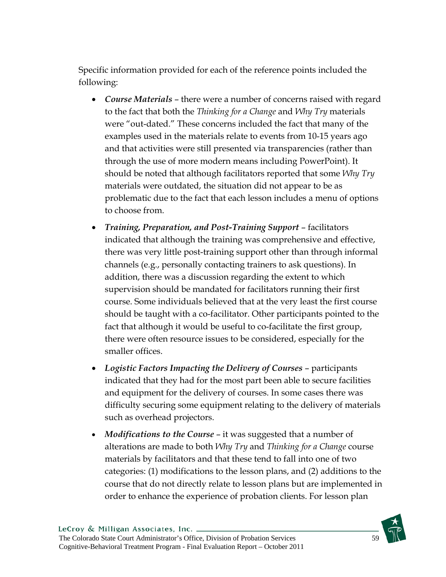Specific information provided for each of the reference points included the following:

- *Course Materials* there were a number of concerns raised with regard to the fact that both the *Thinking for a Change* and *Why Try* materials were "out-dated." These concerns included the fact that many of the examples used in the materials relate to events from 10-15 years ago and that activities were still presented via transparencies (rather than through the use of more modern means including PowerPoint). It should be noted that although facilitators reported that some *Why Try*  materials were outdated, the situation did not appear to be as problematic due to the fact that each lesson includes a menu of options to choose from.
- *Training, Preparation, and Post-Training Support* facilitators indicated that although the training was comprehensive and effective, there was very little post-training support other than through informal channels (e.g., personally contacting trainers to ask questions). In addition, there was a discussion regarding the extent to which supervision should be mandated for facilitators running their first course. Some individuals believed that at the very least the first course should be taught with a co-facilitator. Other participants pointed to the fact that although it would be useful to co-facilitate the first group, there were often resource issues to be considered, especially for the smaller offices.
- *Logistic Factors Impacting the Delivery of Courses* participants indicated that they had for the most part been able to secure facilities and equipment for the delivery of courses. In some cases there was difficulty securing some equipment relating to the delivery of materials such as overhead projectors.
- *Modifications to the Course* it was suggested that a number of alterations are made to both *Why Try* and *Thinking for a Change* course materials by facilitators and that these tend to fall into one of two categories: (1) modifications to the lesson plans, and (2) additions to the course that do not directly relate to lesson plans but are implemented in order to enhance the experience of probation clients. For lesson plan

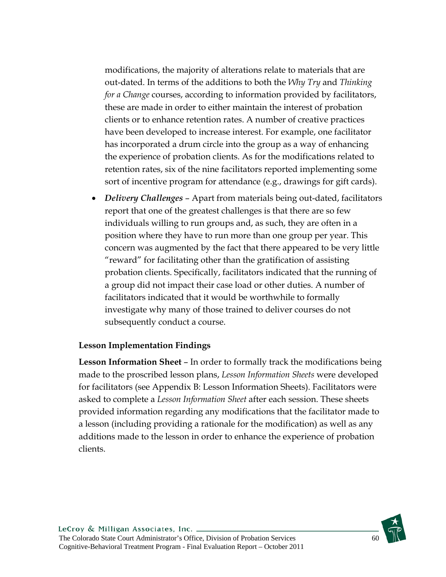modifications, the majority of alterations relate to materials that are out-dated. In terms of the additions to both the *Why Try* and *Thinking for a Change* courses, according to information provided by facilitators, these are made in order to either maintain the interest of probation clients or to enhance retention rates. A number of creative practices have been developed to increase interest. For example, one facilitator has incorporated a drum circle into the group as a way of enhancing the experience of probation clients. As for the modifications related to retention rates, six of the nine facilitators reported implementing some sort of incentive program for attendance (e.g., drawings for gift cards).

 *Delivery Challenges* – Apart from materials being out-dated, facilitators report that one of the greatest challenges is that there are so few individuals willing to run groups and, as such, they are often in a position where they have to run more than one group per year. This concern was augmented by the fact that there appeared to be very little "reward" for facilitating other than the gratification of assisting probation clients. Specifically, facilitators indicated that the running of a group did not impact their case load or other duties. A number of facilitators indicated that it would be worthwhile to formally investigate why many of those trained to deliver courses do not subsequently conduct a course.

#### **Lesson Implementation Findings**

**Lesson Information Sheet** – In order to formally track the modifications being made to the proscribed lesson plans, *Lesson Information Sheets* were developed for facilitators (see Appendix B: Lesson Information Sheets). Facilitators were asked to complete a *Lesson Information Sheet* after each session. These sheets provided information regarding any modifications that the facilitator made to a lesson (including providing a rationale for the modification) as well as any additions made to the lesson in order to enhance the experience of probation clients.

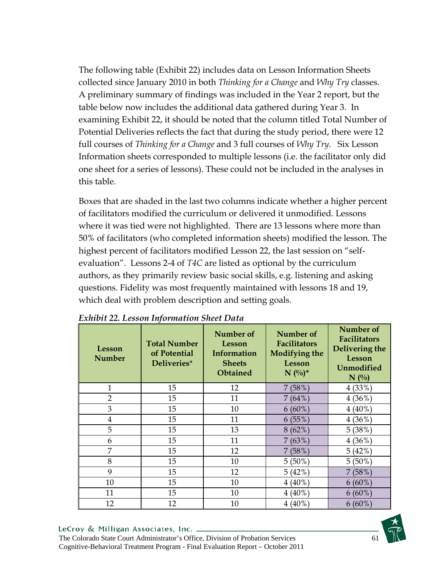The following table (Exhibit 22) includes data on Lesson Information Sheets collected since January 2010 in both *Thinking for a Change* and *Why Try* classes. A preliminary summary of findings was included in the Year 2 report, but the table below now includes the additional data gathered during Year 3. In examining Exhibit 22, it should be noted that the column titled Total Number of Potential Deliveries reflects the fact that during the study period, there were 12 full courses of *Thinking for a Change* and 3 full courses of *Why Try*. Six Lesson Information sheets corresponded to multiple lessons (i.e. the facilitator only did one sheet for a series of lessons). These could not be included in the analyses in this table.

Boxes that are shaded in the last two columns indicate whether a higher percent of facilitators modified the curriculum or delivered it unmodified. Lessons where it was tied were not highlighted. There are 13 lessons where more than 50% of facilitators (who completed information sheets) modified the lesson. The highest percent of facilitators modified Lesson 22, the last session on "selfevaluation". Lessons 2-4 of *T4C* are listed as optional by the curriculum authors, as they primarily review basic social skills, e.g. listening and asking questions. Fidelity was most frequently maintained with lessons 18 and 19, which deal with problem description and setting goals.

| Lesson<br><b>Number</b> | <b>Total Number</b><br>of Potential<br>Deliveries* | Number of<br>Lesson<br>Information<br><b>Sheets</b><br>Obtained | Number of<br><b>Facilitators</b><br><b>Modifying the</b><br>Lesson<br>$N (%)^*$ | Number of<br><b>Facilitators</b><br>Delivering the<br>Lesson<br><b>Unmodified</b><br>$N($ %) |
|-------------------------|----------------------------------------------------|-----------------------------------------------------------------|---------------------------------------------------------------------------------|----------------------------------------------------------------------------------------------|
| 1                       | 15                                                 | 12                                                              | 7(58%)                                                                          | 4(33%)                                                                                       |
| $\overline{2}$          | 15                                                 | 11                                                              | 7(64%)                                                                          | $4(36\%)$                                                                                    |
| 3                       | 15                                                 | 10                                                              | $6(60\%)$                                                                       | $4(40\%)$                                                                                    |
| 4                       | 15                                                 | 11                                                              | 6(55%)                                                                          | $4(36\%)$                                                                                    |
| 5                       | 15                                                 | 13                                                              | 8(62%)                                                                          | 5(38%)                                                                                       |
| 6                       | 15                                                 | 11                                                              | 7(63%)                                                                          | $4(36\%)$                                                                                    |
| 7                       | 15                                                 | 12                                                              | 7(58%)                                                                          | 5(42%                                                                                        |
| 8                       | 15                                                 | 10                                                              | $5(50\%)$                                                                       | $5(50\%)$                                                                                    |
| 9                       | 15                                                 | 12                                                              | $5(42\%)$                                                                       | 7(58%)                                                                                       |
| 10                      | 15                                                 | 10                                                              | $4(40\%)$                                                                       | $6(60\%)$                                                                                    |
| 11                      | 15                                                 | 10                                                              | $4(40\%)$                                                                       | $6(60\%)$                                                                                    |
| 12                      | 12                                                 | 10                                                              | $4(40\%)$                                                                       | $6(60\%)$                                                                                    |

#### *Exhibit 22. Lesson Information Sheet Data*

#### LeCroy & Milligan Associates, Inc. \_

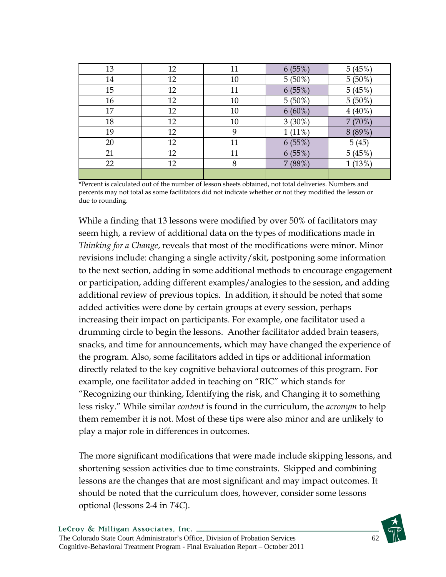| 13 | 12 | 11 | 6(55%)    | 5(45%)    |
|----|----|----|-----------|-----------|
| 14 | 12 | 10 | $5(50\%)$ | $5(50\%)$ |
| 15 | 12 | 11 | 6(55%)    | 5(45%     |
| 16 | 12 | 10 | $5(50\%)$ | $5(50\%)$ |
| 17 | 12 | 10 | $6(60\%)$ | $4(40\%)$ |
| 18 | 12 | 10 | $3(30\%)$ | $7(70\%)$ |
| 19 | 12 | 9  | $1(11\%)$ | $8(89\%)$ |
| 20 | 12 | 11 | $6(55\%)$ | 5(45)     |
| 21 | 12 | 11 | 6(55%)    | 5(45%)    |
| 22 | 12 | 8  | 7(88%)    | 1(13%)    |
|    |    |    |           |           |

\*Percent is calculated out of the number of lesson sheets obtained, not total deliveries. Numbers and percents may not total as some facilitators did not indicate whether or not they modified the lesson or due to rounding.

While a finding that 13 lessons were modified by over 50% of facilitators may seem high, a review of additional data on the types of modifications made in *Thinking for a Change*, reveals that most of the modifications were minor. Minor revisions include: changing a single activity/skit, postponing some information to the next section, adding in some additional methods to encourage engagement or participation, adding different examples/analogies to the session, and adding additional review of previous topics. In addition, it should be noted that some added activities were done by certain groups at every session, perhaps increasing their impact on participants. For example, one facilitator used a drumming circle to begin the lessons. Another facilitator added brain teasers, snacks, and time for announcements, which may have changed the experience of the program. Also, some facilitators added in tips or additional information directly related to the key cognitive behavioral outcomes of this program. For example, one facilitator added in teaching on "RIC" which stands for "Recognizing our thinking, Identifying the risk, and Changing it to something less risky." While similar *content* is found in the curriculum, the *acronym* to help them remember it is not. Most of these tips were also minor and are unlikely to play a major role in differences in outcomes.

The more significant modifications that were made include skipping lessons, and shortening session activities due to time constraints. Skipped and combining lessons are the changes that are most significant and may impact outcomes. It should be noted that the curriculum does, however, consider some lessons optional (lessons 2-4 in *T4C*).

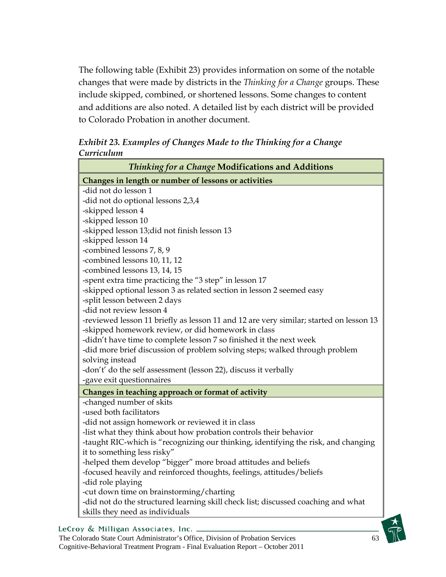The following table (Exhibit 23) provides information on some of the notable changes that were made by districts in the *Thinking for a Change* groups. These include skipped, combined, or shortened lessons. Some changes to content and additions are also noted. A detailed list by each district will be provided to Colorado Probation in another document.

*Exhibit 23. Examples of Changes Made to the Thinking for a Change Curriculum* 

| Thinking for a Change Modifications and Additions                                                                         |
|---------------------------------------------------------------------------------------------------------------------------|
| Changes in length or number of lessons or activities                                                                      |
| -did not do lesson 1                                                                                                      |
| -did not do optional lessons 2,3,4                                                                                        |
| -skipped lesson 4                                                                                                         |
| -skipped lesson 10                                                                                                        |
| -skipped lesson 13;did not finish lesson 13                                                                               |
| -skipped lesson 14                                                                                                        |
| -combined lessons 7, 8, 9                                                                                                 |
| -combined lessons 10, 11, 12                                                                                              |
| -combined lessons 13, 14, 15                                                                                              |
| -spent extra time practicing the "3 step" in lesson 17                                                                    |
| -skipped optional lesson 3 as related section in lesson 2 seemed easy                                                     |
| -split lesson between 2 days                                                                                              |
| -did not review lesson 4                                                                                                  |
| -reviewed lesson 11 briefly as lesson 11 and 12 are very similar; started on lesson 13                                    |
| -skipped homework review, or did homework in class<br>-didn't have time to complete lesson 7 so finished it the next week |
| -did more brief discussion of problem solving steps; walked through problem                                               |
| solving instead                                                                                                           |
| -don't' do the self assessment (lesson 22), discuss it verbally                                                           |
| -gave exit questionnaires                                                                                                 |
| Changes in teaching approach or format of activity                                                                        |
| -changed number of skits                                                                                                  |
| -used both facilitators                                                                                                   |
| -did not assign homework or reviewed it in class                                                                          |
| -list what they think about how probation controls their behavior                                                         |
| -taught RIC-which is "recognizing our thinking, identifying the risk, and changing                                        |
| it to something less risky"                                                                                               |
| -helped them develop "bigger" more broad attitudes and beliefs                                                            |
| -focused heavily and reinforced thoughts, feelings, attitudes/beliefs                                                     |
| -did role playing                                                                                                         |
| -cut down time on brainstorming/charting                                                                                  |
| -did not do the structured learning skill check list; discussed coaching and what                                         |
| skills they need as individuals                                                                                           |

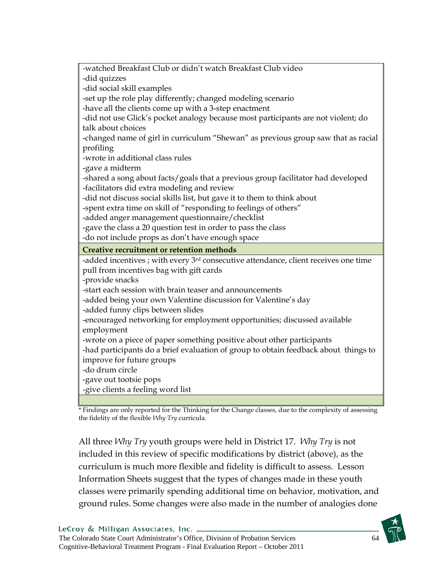| -watched Breakfast Club or didn't watch Breakfast Club video                                    |
|-------------------------------------------------------------------------------------------------|
| -did quizzes                                                                                    |
| -did social skill examples                                                                      |
| -set up the role play differently; changed modeling scenario                                    |
| -have all the clients come up with a 3-step enactment                                           |
| -did not use Glick's pocket analogy because most participants are not violent; do               |
| talk about choices                                                                              |
| -changed name of girl in curriculum "Shewan" as previous group saw that as racial               |
| profiling                                                                                       |
| -wrote in additional class rules                                                                |
| -gave a midterm                                                                                 |
| -shared a song about facts/goals that a previous group facilitator had developed                |
| -facilitators did extra modeling and review                                                     |
| -did not discuss social skills list, but gave it to them to think about                         |
| -spent extra time on skill of "responding to feelings of others"                                |
| -added anger management questionnaire/checklist                                                 |
| -gave the class a 20 question test in order to pass the class                                   |
|                                                                                                 |
| -do not include props as don't have enough space                                                |
| Creative recruitment or retention methods                                                       |
| -added incentives ; with every 3 <sup>rd</sup> consecutive attendance, client receives one time |
| pull from incentives bag with gift cards                                                        |
| -provide snacks                                                                                 |
| -start each session with brain teaser and announcements                                         |
| -added being your own Valentine discussion for Valentine's day                                  |
| -added funny clips between slides                                                               |
| -encouraged networking for employment opportunities; discussed available                        |
| employment                                                                                      |
| -wrote on a piece of paper something positive about other participants                          |
| -had participants do a brief evaluation of group to obtain feedback about things to             |
| improve for future groups                                                                       |
| -do drum circle                                                                                 |
| -gave out tootsie pops                                                                          |
| -give clients a feeling word list                                                               |

\* Findings are only reported for the Thinking for the Change classes, due to the complexity of assessing the fidelity of the flexible *Why Try* curricula.

All three *Why Try* youth groups were held in District 17. *Why Try* is not included in this review of specific modifications by district (above), as the curriculum is much more flexible and fidelity is difficult to assess. Lesson Information Sheets suggest that the types of changes made in these youth classes were primarily spending additional time on behavior, motivation, and ground rules. Some changes were also made in the number of analogies done

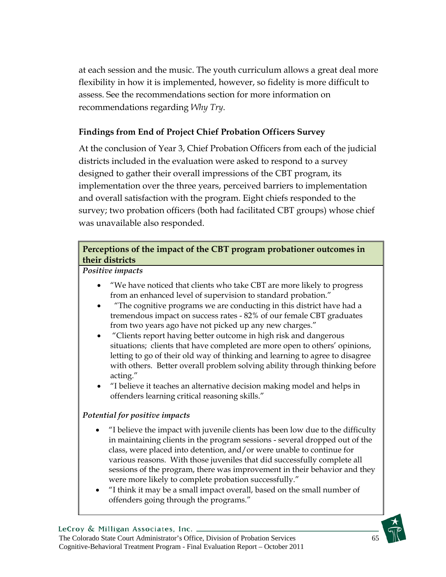at each session and the music. The youth curriculum allows a great deal more flexibility in how it is implemented, however, so fidelity is more difficult to assess. See the recommendations section for more information on recommendations regarding *Why Try*.

## **Findings from End of Project Chief Probation Officers Survey**

At the conclusion of Year 3, Chief Probation Officers from each of the judicial districts included in the evaluation were asked to respond to a survey designed to gather their overall impressions of the CBT program, its implementation over the three years, perceived barriers to implementation and overall satisfaction with the program. Eight chiefs responded to the survey; two probation officers (both had facilitated CBT groups) whose chief was unavailable also responded.

## **Perceptions of the impact of the CBT program probationer outcomes in their districts**

*Positive impacts*

- "We have noticed that clients who take CBT are more likely to progress from an enhanced level of supervision to standard probation."
- "The cognitive programs we are conducting in this district have had a tremendous impact on success rates - 82% of our female CBT graduates from two years ago have not picked up any new charges."
- "Clients report having better outcome in high risk and dangerous situations; clients that have completed are more open to others' opinions, letting to go of their old way of thinking and learning to agree to disagree with others. Better overall problem solving ability through thinking before acting."
- "I believe it teaches an alternative decision making model and helps in offenders learning critical reasoning skills."

### *Potential for positive impacts*

- "I believe the impact with juvenile clients has been low due to the difficulty in maintaining clients in the program sessions - several dropped out of the class, were placed into detention, and/or were unable to continue for various reasons. With those juveniles that did successfully complete all sessions of the program, there was improvement in their behavior and they were more likely to complete probation successfully."
- "I think it may be a small impact overall, based on the small number of offenders going through the programs."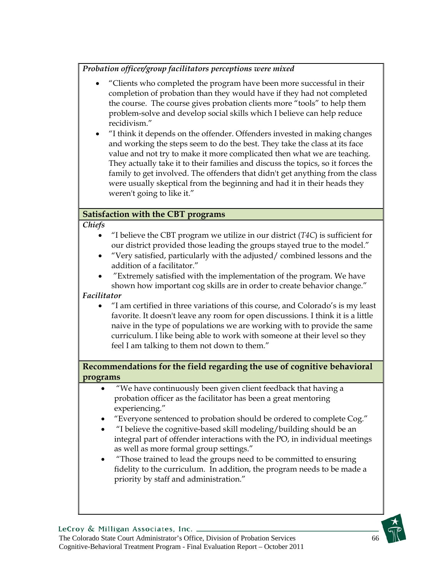*Probation officer/group facilitators perceptions were mixed* 

- "Clients who completed the program have been more successful in their completion of probation than they would have if they had not completed the course. The course gives probation clients more "tools" to help them problem-solve and develop social skills which I believe can help reduce recidivism."
- "I think it depends on the offender. Offenders invested in making changes and working the steps seem to do the best. They take the class at its face value and not try to make it more complicated then what we are teaching. They actually take it to their families and discuss the topics, so it forces the family to get involved. The offenders that didn't get anything from the class were usually skeptical from the beginning and had it in their heads they weren't going to like it."

### **Satisfaction with the CBT programs**

*Chiefs* 

- "I believe the CBT program we utilize in our district (*T4C*) is sufficient for our district provided those leading the groups stayed true to the model."
- "Very satisfied, particularly with the adjusted/ combined lessons and the addition of a facilitator."
- "Extremely satisfied with the implementation of the program. We have shown how important cog skills are in order to create behavior change."

### *Facilitator*

 "I am certified in three variations of this course, and Colorado's is my least favorite. It doesn't leave any room for open discussions. I think it is a little naive in the type of populations we are working with to provide the same curriculum. I like being able to work with someone at their level so they feel I am talking to them not down to them."

## **Recommendations for the field regarding the use of cognitive behavioral programs**

- "We have continuously been given client feedback that having a probation officer as the facilitator has been a great mentoring experiencing."
- "Everyone sentenced to probation should be ordered to complete Cog."
- "I believe the cognitive-based skill modeling/building should be an integral part of offender interactions with the PO, in individual meetings as well as more formal group settings."
- "Those trained to lead the groups need to be committed to ensuring fidelity to the curriculum. In addition, the program needs to be made a priority by staff and administration."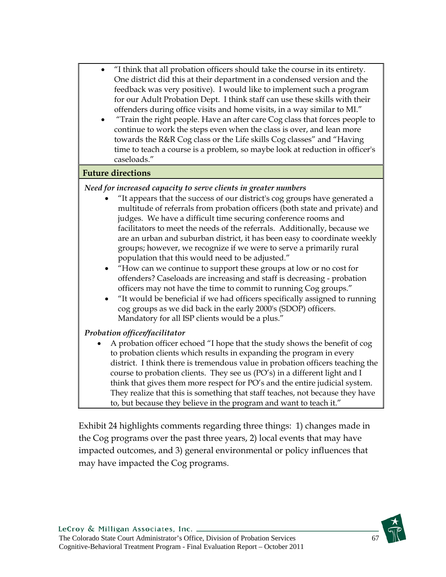- "I think that all probation officers should take the course in its entirety. One district did this at their department in a condensed version and the feedback was very positive). I would like to implement such a program for our Adult Probation Dept. I think staff can use these skills with their offenders during office visits and home visits, in a way similar to MI."
- "Train the right people. Have an after care Cog class that forces people to continue to work the steps even when the class is over, and lean more towards the R&R Cog class or the Life skills Cog classes" and "Having time to teach a course is a problem, so maybe look at reduction in officer's caseloads."

#### **Future directions**

#### *Need for increased capacity to serve clients in greater numbers*

- "It appears that the success of our district's cog groups have generated a multitude of referrals from probation officers (both state and private) and judges. We have a difficult time securing conference rooms and facilitators to meet the needs of the referrals. Additionally, because we are an urban and suburban district, it has been easy to coordinate weekly groups; however, we recognize if we were to serve a primarily rural population that this would need to be adjusted."
- "How can we continue to support these groups at low or no cost for offenders? Caseloads are increasing and staff is decreasing - probation officers may not have the time to commit to running Cog groups."
- "It would be beneficial if we had officers specifically assigned to running cog groups as we did back in the early 2000's (SDOP) officers. Mandatory for all ISP clients would be a plus."

#### *Probation officer/facilitator*

 A probation officer echoed "I hope that the study shows the benefit of cog to probation clients which results in expanding the program in every district. I think there is tremendous value in probation officers teaching the course to probation clients. They see us (PO's) in a different light and I think that gives them more respect for PO's and the entire judicial system. They realize that this is something that staff teaches, not because they have to, but because they believe in the program and want to teach it."

Exhibit 24 highlights comments regarding three things: 1) changes made in the Cog programs over the past three years, 2) local events that may have impacted outcomes, and 3) general environmental or policy influences that may have impacted the Cog programs.

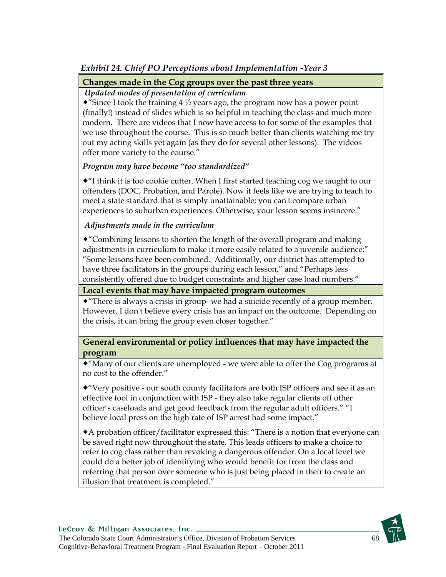## *Exhibit 24. Chief PO Perceptions about Implementation -Year 3*

#### **Changes made in the Cog groups over the past three years**

#### *Updated modes of presentation of curriculum*

• "Since I took the training  $4\frac{1}{2}$  years ago, the program now has a power point (finally!) instead of slides which is so helpful in teaching the class and much more modern. There are videos that I now have access to for some of the examples that we use throughout the course. This is so much better than clients watching me try out my acting skills yet again (as they do for several other lessons). The videos offer more variety to the course."

#### *Program may have become "too standardized"*

 $\cdot$  T think it is too cookie cutter. When I first started teaching cog we taught to our offenders (DOC, Probation, and Parole). Now it feels like we are trying to teach to meet a state standard that is simply unattainable; you can't compare urban experiences to suburban experiences. Otherwise, your lesson seems insincere."

#### *Adjustments made in the curriculum*

"Combining lessons to shorten the length of the overall program and making adjustments in curriculum to make it more easily related to a juvenile audience;" "Some lessons have been combined. Additionally, our district has attempted to have three facilitators in the groups during each lesson," and "Perhaps less consistently offered due to budget constraints and higher case load numbers."

#### **Local events that may have impacted program outcomes**

 $\bullet$  "There is always a crisis in group- we had a suicide recently of a group member. However, I don't believe every crisis has an impact on the outcome. Depending on the crisis, it can bring the group even closer together."

#### **General environmental or policy influences that may have impacted the program**

"Many of our clients are unemployed - we were able to offer the Cog programs at no cost to the offender."

"Very positive - our south county facilitators are both ISP officers and see it as an effective tool in conjunction with ISP - they also take regular clients off other officer's caseloads and get good feedback from the regular adult officers." "I believe local press on the high rate of ISP arrest had some impact."

A probation officer/facilitator expressed this: "There is a notion that everyone can be saved right now throughout the state. This leads officers to make a choice to refer to cog class rather than revoking a dangerous offender. On a local level we could do a better job of identifying who would benefit for from the class and referring that person over someone who is just being placed in their to create an illusion that treatment is completed."

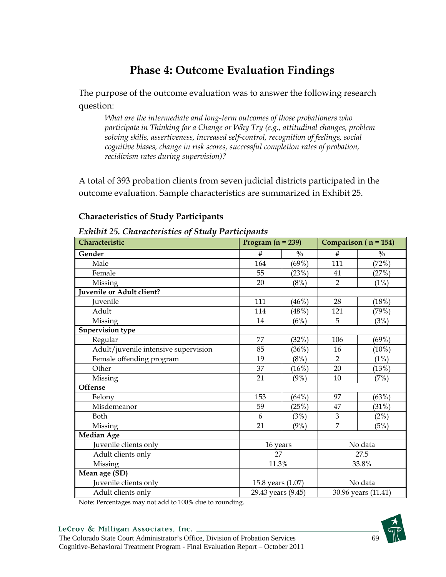## **Phase 4: Outcome Evaluation Findings**

The purpose of the outcome evaluation was to answer the following research question:

*What are the intermediate and long-term outcomes of those probationers who participate in Thinking for a Change or Why Try (e.g., attitudinal changes, problem solving skills, assertiveness, increased self-control, recognition of feelings, social cognitive biases, change in risk scores, successful completion rates of probation, recidivism rates during supervision)?* 

A total of 393 probation clients from seven judicial districts participated in the outcome evaluation. Sample characteristics are summarized in Exhibit 25.

| Lanton zo. Characteristics of Staag Furticipants |                                           |               |                |                          |  |  |
|--------------------------------------------------|-------------------------------------------|---------------|----------------|--------------------------|--|--|
| Characteristic                                   | Program $(n = 239)$                       |               |                | Comparison ( $n = 154$ ) |  |  |
| Gender                                           | #                                         | $\frac{0}{0}$ | #              | $\frac{0}{0}$            |  |  |
| Male                                             | 164                                       | (69%)         | 111            | (72%)                    |  |  |
| Female                                           | 55                                        | (23%)         | 41             | (27%)                    |  |  |
| Missing                                          | 20                                        | (8%)          | $\overline{2}$ | (1%)                     |  |  |
| Juvenile or Adult client?                        |                                           |               |                |                          |  |  |
| <b>Iuvenile</b>                                  | 111                                       | $(46\%)$      | 28             | (18%)                    |  |  |
| Adult                                            | 114                                       | (48%)         | 121            | (79%)                    |  |  |
| Missing                                          | 14                                        | (6%)          | 5              | (3%)                     |  |  |
| <b>Supervision type</b>                          |                                           |               |                |                          |  |  |
| Regular                                          | 77                                        | (32%)         | 106            | (69%)                    |  |  |
| Adult/juvenile intensive supervision             | 85                                        | (36%)         | 16             | (10%)                    |  |  |
| Female offending program                         | 19                                        | $(8\%)$       | $\overline{2}$ | $(1\%)$                  |  |  |
| Other                                            | 37                                        | (16%)         | 20             | (13%)                    |  |  |
| Missing                                          | 21                                        | (9%)          | 10             | (7%)                     |  |  |
| <b>Offense</b>                                   |                                           |               |                |                          |  |  |
| Felony                                           | 153                                       | (64%)         | 97             | (63%)                    |  |  |
| Misdemeanor                                      | 59                                        | (25%)         | 47             | (31%)                    |  |  |
| <b>Both</b>                                      | 6                                         | (3%)          | 3              | (2%)                     |  |  |
| Missing                                          | 21                                        | $(9\%)$       | $\overline{7}$ | (5%)                     |  |  |
| <b>Median Age</b>                                |                                           |               |                |                          |  |  |
| Juvenile clients only                            | 16 years                                  |               |                | No data                  |  |  |
| Adult clients only                               | 27                                        |               |                | 27.5                     |  |  |
| Missing                                          | 11.3%                                     |               |                | 33.8%                    |  |  |
| Mean age (SD)                                    |                                           |               |                |                          |  |  |
| Juvenile clients only                            | 15.8 years (1.07)                         |               |                | No data                  |  |  |
| Adult clients only                               | 29.43 years (9.45)<br>30.96 years (11.41) |               |                |                          |  |  |

#### **Characteristics of Study Participants**

| <b>Exhibit 25. Characteristics of Study Participants</b> |  |  |
|----------------------------------------------------------|--|--|
|                                                          |  |  |

Note: Percentages may not add to 100% due to rounding.

#### LeCroy & Milligan Associates, Inc. \_

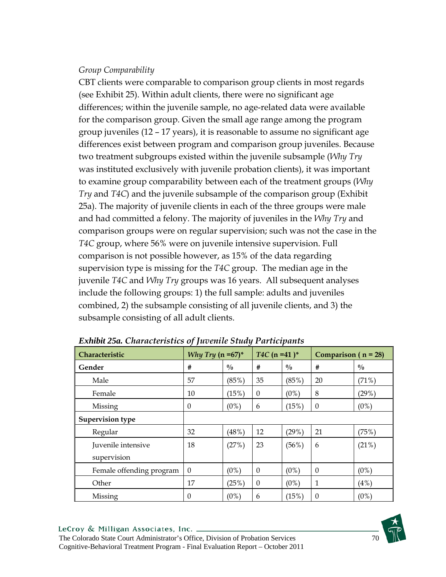## *Group Comparability*

CBT clients were comparable to comparison group clients in most regards (see Exhibit 25). Within adult clients, there were no significant age differences; within the juvenile sample, no age-related data were available for the comparison group. Given the small age range among the program group juveniles (12 – 17 years), it is reasonable to assume no significant age differences exist between program and comparison group juveniles. Because two treatment subgroups existed within the juvenile subsample (*Why Try* was instituted exclusively with juvenile probation clients), it was important to examine group comparability between each of the treatment groups (*Why Try* and *T4C*) and the juvenile subsample of the comparison group (Exhibit 25a). The majority of juvenile clients in each of the three groups were male and had committed a felony. The majority of juveniles in the *Why Try* and comparison groups were on regular supervision; such was not the case in the *T4C* group, where 56% were on juvenile intensive supervision. Full comparison is not possible however, as 15% of the data regarding supervision type is missing for the *T4C* group. The median age in the juvenile *T4C* and *Why Try* groups was 16 years. All subsequent analyses include the following groups: 1) the full sample: adults and juveniles combined, 2) the subsample consisting of all juvenile clients, and 3) the subsample consisting of all adult clients.

| -<br>$\sim$ $\sim$<br>. <b>r</b> |                             |               |                            |               |                         |               |  |
|----------------------------------|-----------------------------|---------------|----------------------------|---------------|-------------------------|---------------|--|
| Characteristic                   | <i>Why Try</i> $(n = 67)^*$ |               | $T4C$ (n =41) <sup>*</sup> |               | Comparison ( $n = 28$ ) |               |  |
| Gender                           | #                           | $\frac{0}{0}$ | #                          | $\frac{0}{0}$ | #                       | $\frac{0}{0}$ |  |
| Male                             | 57                          | (85%)         | 35                         | (85%)         | 20                      | (71%)         |  |
| Female                           | 10                          | (15%)         | $\mathbf{0}$               | (0%)          | 8                       | (29%)         |  |
| Missing                          | $\theta$                    | (0%)          | 6                          | (15%)         | $\boldsymbol{0}$        | $(0\%)$       |  |
| Supervision type                 |                             |               |                            |               |                         |               |  |
| Regular                          | 32                          | (48%)         | 12                         | (29%)         | 21                      | (75%)         |  |
| Juvenile intensive               | 18                          | (27%)         | 23                         | $(56\%)$      | 6                       | (21%)         |  |
| supervision                      |                             |               |                            |               |                         |               |  |
| Female offending program         | $\theta$                    | $(0\%)$       | $\theta$                   | $(0\%)$       | $\theta$                | $(0\%)$       |  |
| Other                            | 17                          | (25%)         | $\theta$                   | (0%)          | $\mathbf{1}$            | (4%)          |  |
| Missing                          | $\boldsymbol{0}$            | $(0\%)$       | 6                          | (15%)         | $\theta$                | $(0\%)$       |  |

*Exhibit 25a. Characteristics of Juvenile Study Participants*

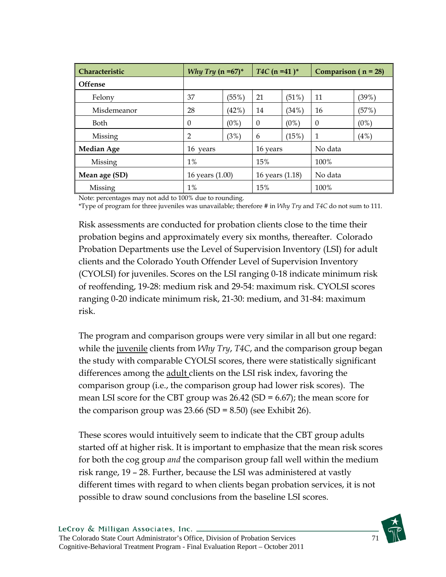| <b>Characteristic</b> | $T4C$ (n =41) <sup>*</sup><br><i>Why Try</i> (n = 67) <sup>*</sup> |       | Comparison $(n = 28)$ |         |          |         |
|-----------------------|--------------------------------------------------------------------|-------|-----------------------|---------|----------|---------|
| <b>Offense</b>        |                                                                    |       |                       |         |          |         |
| Felony                | 37                                                                 | (55%) | 21                    | (51%)   | 11       | (39%)   |
| Misdemeanor           | 28                                                                 | (42%) | 14                    | (34%)   | 16       | (57%)   |
| <b>Both</b>           | $\Omega$                                                           | (0%)  | $\Omega$              | $(0\%)$ | $\Omega$ | $(0\%)$ |
| Missing               | $\overline{2}$                                                     | (3%)  | 6                     | (15%)   | 1        | (4%)    |
| <b>Median Age</b>     | 16 years                                                           |       | 16 years              |         | No data  |         |
| Missing               | $1\%$                                                              |       | 15%                   |         | 100%     |         |
| Mean age (SD)         | 16 years (1.00)                                                    |       | 16 years (1.18)       |         | No data  |         |
| Missing               | 1%                                                                 |       | 15%                   |         | 100%     |         |

Note: percentages may not add to 100% due to rounding.

\*Type of program for three juveniles was unavailable; therefore # in *Why Try* and *T4C* do not sum to 111.

Risk assessments are conducted for probation clients close to the time their probation begins and approximately every six months, thereafter. Colorado Probation Departments use the Level of Supervision Inventory (LSI) for adult clients and the Colorado Youth Offender Level of Supervision Inventory (CYOLSI) for juveniles. Scores on the LSI ranging 0-18 indicate minimum risk of reoffending, 19-28: medium risk and 29-54: maximum risk. CYOLSI scores ranging 0-20 indicate minimum risk, 21-30: medium, and 31-84: maximum risk.

The program and comparison groups were very similar in all but one regard: while the juvenile clients from *Why Try*, *T4C*, and the comparison group began the study with comparable CYOLSI scores, there were statistically significant differences among the adult clients on the LSI risk index, favoring the comparison group (i.e., the comparison group had lower risk scores). The mean LSI score for the CBT group was  $26.42$  (SD = 6.67); the mean score for the comparison group was  $23.66$  (SD =  $8.50$ ) (see Exhibit 26).

These scores would intuitively seem to indicate that the CBT group adults started off at higher risk. It is important to emphasize that the mean risk scores for both the cog group *and* the comparison group fall well within the medium risk range, 19 – 28. Further, because the LSI was administered at vastly different times with regard to when clients began probation services, it is not possible to draw sound conclusions from the baseline LSI scores.

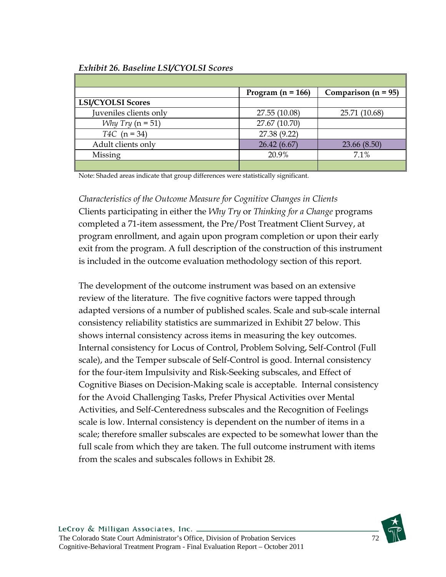# **Program (n = 166) Comparison (n = 95) LSI/CYOLSI Scores**  Juveniles clients only 27.55 (10.08) 25.71 (10.68) *Why Try* (n = 51) 27.67 (10.70) *T4C* (n = 34) 27.38 (9.22) Adult clients only 26.42 (6.67) 23.66 (8.50) Missing 20.9% 7.1%

### *Exhibit 26. Baseline LSI/CYOLSI Scores*

Note: Shaded areas indicate that group differences were statistically significant.

*Characteristics of the Outcome Measure for Cognitive Changes in Clients* Clients participating in either the *Why Try* or *Thinking for a Change* programs completed a 71-item assessment, the Pre/Post Treatment Client Survey, at program enrollment, and again upon program completion or upon their early exit from the program. A full description of the construction of this instrument is included in the outcome evaluation methodology section of this report.

The development of the outcome instrument was based on an extensive review of the literature. The five cognitive factors were tapped through adapted versions of a number of published scales. Scale and sub-scale internal consistency reliability statistics are summarized in Exhibit 27 below. This shows internal consistency across items in measuring the key outcomes. Internal consistency for Locus of Control, Problem Solving, Self-Control (Full scale), and the Temper subscale of Self-Control is good. Internal consistency for the four-item Impulsivity and Risk-Seeking subscales, and Effect of Cognitive Biases on Decision-Making scale is acceptable. Internal consistency for the Avoid Challenging Tasks, Prefer Physical Activities over Mental Activities, and Self-Centeredness subscales and the Recognition of Feelings scale is low. Internal consistency is dependent on the number of items in a scale; therefore smaller subscales are expected to be somewhat lower than the full scale from which they are taken. The full outcome instrument with items from the scales and subscales follows in Exhibit 28.

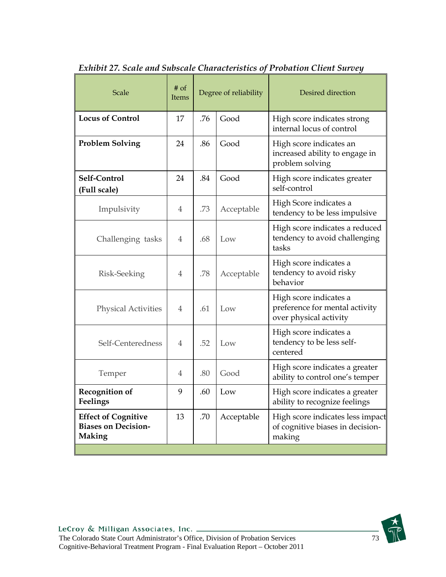| Scale                                                                     | $#$ of<br><b>Items</b> | Degree of reliability |            | Desired direction                                                                  |
|---------------------------------------------------------------------------|------------------------|-----------------------|------------|------------------------------------------------------------------------------------|
| <b>Locus of Control</b>                                                   | 17                     | .76                   | Good       | High score indicates strong<br>internal locus of control                           |
| <b>Problem Solving</b>                                                    | 24                     | .86                   | Good       | High score indicates an<br>increased ability to engage in<br>problem solving       |
| Self-Control<br>(Full scale)                                              | 24                     | .84                   | Good       | High score indicates greater<br>self-control                                       |
| Impulsivity                                                               | 4                      | .73                   | Acceptable | High Score indicates a<br>tendency to be less impulsive                            |
| Challenging tasks                                                         | 4                      | .68                   | Low        | High score indicates a reduced<br>tendency to avoid challenging<br>tasks           |
| Risk-Seeking                                                              | 4                      | .78                   | Acceptable | High score indicates a<br>tendency to avoid risky<br>behavior                      |
| <b>Physical Activities</b>                                                | $\overline{4}$         | .61                   | Low        | High score indicates a<br>preference for mental activity<br>over physical activity |
| Self-Centeredness                                                         | 4                      | .52                   | Low        | High score indicates a<br>tendency to be less self-<br>centered                    |
| Temper                                                                    | 4                      | .80                   | Good       | High score indicates a greater<br>ability to control one's temper                  |
| <b>Recognition of</b><br>Feelings                                         | 9                      | .60                   | Low        | High score indicates a greater<br>ability to recognize feelings                    |
| <b>Effect of Cognitive</b><br><b>Biases on Decision-</b><br><b>Making</b> | 13                     | .70                   | Acceptable | High score indicates less impact<br>of cognitive biases in decision-<br>making     |
|                                                                           |                        |                       |            |                                                                                    |

*Exhibit 27. Scale and Subscale Characteristics of Probation Client Survey* 

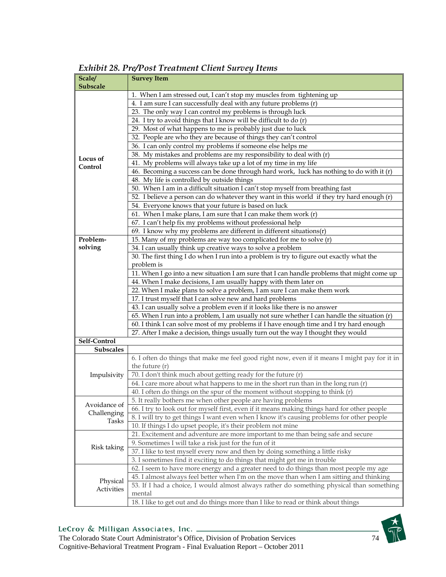| Scale/          | <b>Survey Item</b>                                                                            |  |  |  |  |  |  |  |
|-----------------|-----------------------------------------------------------------------------------------------|--|--|--|--|--|--|--|
| <b>Subscale</b> |                                                                                               |  |  |  |  |  |  |  |
|                 | 1. When I am stressed out, I can't stop my muscles from tightening up                         |  |  |  |  |  |  |  |
|                 | 4. I am sure I can successfully deal with any future problems (r)                             |  |  |  |  |  |  |  |
|                 | 23. The only way I can control my problems is through luck                                    |  |  |  |  |  |  |  |
|                 | 24. I try to avoid things that I know will be difficult to do (r)                             |  |  |  |  |  |  |  |
|                 | 29. Most of what happens to me is probably just due to luck                                   |  |  |  |  |  |  |  |
|                 | 32. People are who they are because of things they can't control                              |  |  |  |  |  |  |  |
|                 | 36. I can only control my problems if someone else helps me                                   |  |  |  |  |  |  |  |
|                 | 38. My mistakes and problems are my responsibility to deal with (r)                           |  |  |  |  |  |  |  |
| Locus of        |                                                                                               |  |  |  |  |  |  |  |
| Control         | 41. My problems will always take up a lot of my time in my life                               |  |  |  |  |  |  |  |
|                 | 46. Becoming a success can be done through hard work, luck has nothing to do with it (r)      |  |  |  |  |  |  |  |
|                 | 48. My life is controlled by outside things                                                   |  |  |  |  |  |  |  |
|                 | 50. When I am in a difficult situation I can't stop myself from breathing fast                |  |  |  |  |  |  |  |
|                 | 52. I believe a person can do whatever they want in this world if they try hard enough (r)    |  |  |  |  |  |  |  |
|                 | 54. Everyone knows that your future is based on luck                                          |  |  |  |  |  |  |  |
|                 | 61. When I make plans, I am sure that I can make them work (r)                                |  |  |  |  |  |  |  |
|                 | 67. I can't help fix my problems without professional help                                    |  |  |  |  |  |  |  |
|                 | 69. I know why my problems are different in different situations $(r)$                        |  |  |  |  |  |  |  |
| Problem-        | 15. Many of my problems are way too complicated for me to solve (r)                           |  |  |  |  |  |  |  |
| solving         | 34. I can usually think up creative ways to solve a problem                                   |  |  |  |  |  |  |  |
|                 |                                                                                               |  |  |  |  |  |  |  |
|                 | 30. The first thing I do when I run into a problem is try to figure out exactly what the      |  |  |  |  |  |  |  |
|                 | problem is                                                                                    |  |  |  |  |  |  |  |
|                 | 11. When I go into a new situation I am sure that I can handle problems that might come up    |  |  |  |  |  |  |  |
|                 | 44. When I make decisions, I am usually happy with them later on                              |  |  |  |  |  |  |  |
|                 | 22. When I make plans to solve a problem, I am sure I can make them work                      |  |  |  |  |  |  |  |
|                 | 17. I trust myself that I can solve new and hard problems                                     |  |  |  |  |  |  |  |
|                 | 43. I can usually solve a problem even if it looks like there is no answer                    |  |  |  |  |  |  |  |
|                 | 65. When I run into a problem, I am usually not sure whether I can handle the situation (r)   |  |  |  |  |  |  |  |
|                 | 60. I think I can solve most of my problems if I have enough time and I try hard enough       |  |  |  |  |  |  |  |
|                 | 27. After I make a decision, things usually turn out the way I thought they would             |  |  |  |  |  |  |  |
| Self-Control    |                                                                                               |  |  |  |  |  |  |  |
| Subscales       |                                                                                               |  |  |  |  |  |  |  |
|                 | 6. I often do things that make me feel good right now, even if it means I might pay for it in |  |  |  |  |  |  |  |
|                 |                                                                                               |  |  |  |  |  |  |  |
|                 | the future $(r)$                                                                              |  |  |  |  |  |  |  |
| Impulsivity     | 70. I don't think much about getting ready for the future (r)                                 |  |  |  |  |  |  |  |
|                 | 64. I care more about what happens to me in the short run than in the long run (r)            |  |  |  |  |  |  |  |
|                 | 40. I often do things on the spur of the moment without stopping to think (r)                 |  |  |  |  |  |  |  |
| Avoidance of    | 5. It really bothers me when other people are having problems                                 |  |  |  |  |  |  |  |
| Challenging     | 66. I try to look out for myself first, even if it means making things hard for other people  |  |  |  |  |  |  |  |
| Tasks           | 8. I will try to get things I want even when I know it's causing problems for other people    |  |  |  |  |  |  |  |
|                 | 10. If things I do upset people, it's their problem not mine                                  |  |  |  |  |  |  |  |
|                 | 21. Excitement and adventure are more important to me than being safe and secure              |  |  |  |  |  |  |  |
|                 | 9. Sometimes I will take a risk just for the fun of it                                        |  |  |  |  |  |  |  |
| Risk taking     | 37. I like to test myself every now and then by doing something a little risky                |  |  |  |  |  |  |  |
|                 | 3. I sometimes find it exciting to do things that might get me in trouble                     |  |  |  |  |  |  |  |
|                 |                                                                                               |  |  |  |  |  |  |  |
|                 | 62. I seem to have more energy and a greater need to do things than most people my age        |  |  |  |  |  |  |  |
| Physical        | 45. I almost always feel better when I'm on the move than when I am sitting and thinking      |  |  |  |  |  |  |  |
| Activities      | 53. If I had a choice, I would almost always rather do something physical than something      |  |  |  |  |  |  |  |
|                 | mental                                                                                        |  |  |  |  |  |  |  |
|                 | 18. I like to get out and do things more than I like to read or think about things            |  |  |  |  |  |  |  |

*Exhibit 28. Pre/Post Treatment Client Survey Items* 

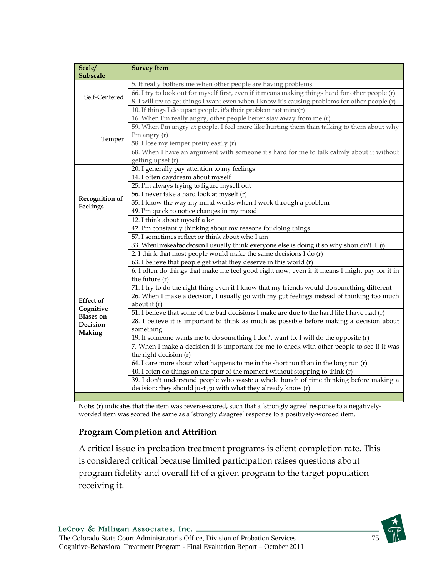| Scale/                        | <b>Survey Item</b>                                                                               |
|-------------------------------|--------------------------------------------------------------------------------------------------|
| Subscale                      |                                                                                                  |
|                               | 5. It really bothers me when other people are having problems                                    |
| Self-Centered                 | 66. I try to look out for myself first, even if it means making things hard for other people (r) |
|                               | 8. I will try to get things I want even when I know it's causing problems for other people (r)   |
|                               | 10. If things I do upset people, it's their problem not mine(r)                                  |
|                               | 16. When I'm really angry, other people better stay away from me (r)                             |
|                               | 59. When I'm angry at people, I feel more like hurting them than talking to them about why       |
| Temper                        | I'm angry $(r)$                                                                                  |
|                               | 58. I lose my temper pretty easily (r)                                                           |
|                               | 68. When I have an argument with someone it's hard for me to talk calmly about it without        |
|                               | getting upset (r)                                                                                |
|                               | 20. I generally pay attention to my feelings                                                     |
|                               | 14. I often daydream about myself                                                                |
|                               | 25. I'm always trying to figure myself out                                                       |
| <b>Recognition of</b>         | 56. I never take a hard look at myself (r)                                                       |
| Feelings                      | 35. I know the way my mind works when I work through a problem                                   |
|                               | 49. I'm quick to notice changes in my mood                                                       |
|                               | 12. I think about myself a lot                                                                   |
|                               | 42. I'm constantly thinking about my reasons for doing things                                    |
|                               | 57. I sometimes reflect or think about who I am                                                  |
|                               | 33. WhenImakeabaddecision I usually think everyone else is doing it so why shouldn't I (r)       |
|                               | 2. I think that most people would make the same decisions I do $(r)$                             |
|                               | 63. I believe that people get what they deserve in this world (r)                                |
|                               | 6. I often do things that make me feel good right now, even if it means I might pay for it in    |
|                               | the future $(r)$                                                                                 |
|                               | 71. I try to do the right thing even if I know that my friends would do something different      |
|                               | 26. When I make a decision, I usually go with my gut feelings instead of thinking too much       |
| <b>Effect</b> of              | about it $(r)$                                                                                   |
| Cognitive<br><b>Biases on</b> | 51. I believe that some of the bad decisions I make are due to the hard life I have had (r)      |
| Decision-                     | 28. I believe it is important to think as much as possible before making a decision about        |
| Making                        | something                                                                                        |
|                               | 19. If someone wants me to do something I don't want to, I will do the opposite (r)              |
|                               | 7. When I make a decision it is important for me to check with other people to see if it was     |
|                               | the right decision (r)                                                                           |
|                               | 64. I care more about what happens to me in the short run than in the long run (r)               |
|                               | 40. I often do things on the spur of the moment without stopping to think (r)                    |
|                               | 39. I don't understand people who waste a whole bunch of time thinking before making a           |
|                               | decision; they should just go with what they already know (r)                                    |
|                               |                                                                                                  |

Note: (r) indicates that the item was reverse-scored, such that a 'strongly agree' response to a negativelyworded item was scored the same as a 'strongly *dis*agree' response to a positively-worded item.

## **Program Completion and Attrition**

A critical issue in probation treatment programs is client completion rate. This is considered critical because limited participation raises questions about program fidelity and overall fit of a given program to the target population receiving it.

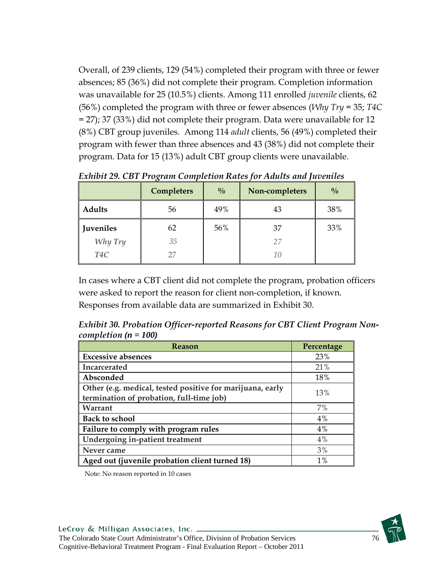Overall, of 239 clients, 129 (54%) completed their program with three or fewer absences; 85 (36%) did not complete their program. Completion information was unavailable for 25 (10.5%) clients. Among 111 enrolled *juvenile* clients, 62 (56%) completed the program with three or fewer absences (*Why Try* = 35; *T4C* = 27); 37 (33%) did not complete their program. Data were unavailable for 12 (8%) CBT group juveniles. Among 114 *adult* clients, 56 (49%) completed their program with fewer than three absences and 43 (38%) did not complete their program. Data for 15 (13%) adult CBT group clients were unavailable.

|                  | Completers | $\frac{0}{0}$ | Non-completers | $\frac{0}{0}$ |
|------------------|------------|---------------|----------------|---------------|
| Adults           | 56         | 49%           | 43             | 38%           |
| <b>Juveniles</b> | 62         | 56%           | 37             | 33%           |
| Why Try          | 35         |               | 27             |               |
| T <sub>4</sub> C |            |               | 10             |               |

*Exhibit 29. CBT Program Completion Rates for Adults and Juveniles*

In cases where a CBT client did not complete the program, probation officers were asked to report the reason for client non-completion, if known. Responses from available data are summarized in Exhibit 30.

*Exhibit 30. Probation Officer-reported Reasons for CBT Client Program Noncompletion (n = 100)*

| <b>Reason</b>                                             | Percentage |  |
|-----------------------------------------------------------|------------|--|
| <b>Excessive absences</b>                                 | 23%        |  |
| Incarcerated                                              | 21%        |  |
| Absconded                                                 | 18%        |  |
| Other (e.g. medical, tested positive for marijuana, early | 13%        |  |
| termination of probation, full-time job)                  |            |  |
| Warrant                                                   | 7%         |  |
| <b>Back to school</b>                                     | 4%         |  |
| Failure to comply with program rules                      | 4%         |  |
| Undergoing in-patient treatment                           | 4%         |  |
| Never came                                                | 3%         |  |
| Aged out (juvenile probation client turned 18)            | $1\%$      |  |

Note: No reason reported in 10 cases

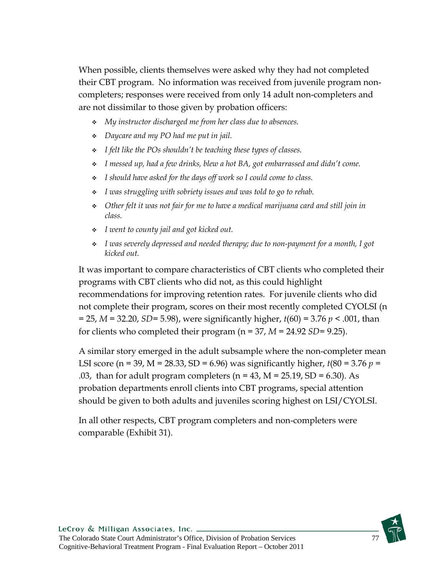When possible, clients themselves were asked why they had not completed their CBT program. No information was received from juvenile program noncompleters; responses were received from only 14 adult non-completers and are not dissimilar to those given by probation officers:

- *My instructor discharged me from her class due to absences.*
- *Daycare and my PO had me put in jail.*
- *I felt like the POs shouldn't be teaching these types of classes.*
- *I messed up, had a few drinks, blew a hot BA, got embarrassed and didn't come.*
- *I should have asked for the days off work so I could come to class.*
- *I was struggling with sobriety issues and was told to go to rehab.*
- *Other felt it was not fair for me to have a medical marijuana card and still join in class.*
- *I went to county jail and got kicked out.*
- *I was severely depressed and needed therapy; due to non-payment for a month, I got kicked out.*

It was important to compare characteristics of CBT clients who completed their programs with CBT clients who did not, as this could highlight recommendations for improving retention rates. For juvenile clients who did not complete their program, scores on their most recently completed CYOLSI (n = 25, *M* = 32.20, *SD*= 5.98), were significantly higher, *t*(60) = 3.76 *p* < .001, than for clients who completed their program (n = 37, *M* = 24.92 *SD*= 9.25).

A similar story emerged in the adult subsample where the non-completer mean LSI score (n = 39, M = 28.33, SD = 6.96) was significantly higher, *t*(80 = 3.76 *p* = .03, than for adult program completers ( $n = 43$ ,  $M = 25.19$ ,  $SD = 6.30$ ). As probation departments enroll clients into CBT programs, special attention should be given to both adults and juveniles scoring highest on LSI/CYOLSI.

In all other respects, CBT program completers and non-completers were comparable (Exhibit 31).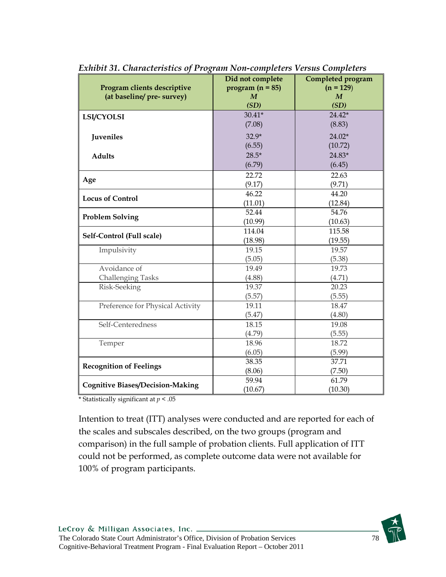| o                                       |                    |                   |  |
|-----------------------------------------|--------------------|-------------------|--|
|                                         | Did not complete   | Completed program |  |
| Program clients descriptive             | program $(n = 85)$ | $(n = 129)$       |  |
| (at baseline/ pre- survey)              | $\boldsymbol{M}$   | $\boldsymbol{M}$  |  |
|                                         | (SD)               | (SD)              |  |
| <b>LSI/CYOLSI</b>                       | $30.41*$           | $24.42*$          |  |
|                                         | (7.08)             | (8.83)            |  |
| Juveniles                               | $32.9*$            | 24.02*            |  |
|                                         | (6.55)             | (10.72)           |  |
| <b>Adults</b>                           | $28.5*$            | 24.83*            |  |
|                                         | (6.79)             | (6.45)            |  |
|                                         | 22.72              | 22.63             |  |
| Age                                     | (9.17)             | (9.71)            |  |
| <b>Locus of Control</b>                 | 46.22              | 44.20             |  |
|                                         | (11.01)            | (12.84)           |  |
|                                         | 52.44              | 54.76             |  |
| <b>Problem Solving</b>                  | (10.99)            | (10.63)           |  |
| Self-Control (Full scale)               | 114.04             | 115.58            |  |
|                                         | (18.98)            | (19.55)           |  |
| Impulsivity                             | 19.15              | 19.57             |  |
|                                         | (5.05)             | (5.38)            |  |
| Avoidance of                            | 19.49              | 19.73             |  |
| <b>Challenging Tasks</b>                | (4.88)             | (4.71)            |  |
| Risk-Seeking                            | 19.37              | 20.23             |  |
|                                         | (5.57)             | (5.55)            |  |
| Preference for Physical Activity        | 19.11              | 18.47             |  |
|                                         | (5.47)             | (4.80)            |  |
| Self-Centeredness                       | 18.15              | 19.08             |  |
|                                         | (4.79)             | (5.55)            |  |
| Temper                                  | 18.96              | 18.72             |  |
|                                         | (6.05)             | (5.99)            |  |
|                                         | 38.35              | 37.71             |  |
| <b>Recognition of Feelings</b>          | (8.06)             | (7.50)            |  |
|                                         | 59.94              | 61.79             |  |
| <b>Cognitive Biases/Decision-Making</b> | (10.67)            | (10.30)           |  |

*Exhibit 31. Characteristics of Program Non-completers Versus Completers* 

\* Statistically significant at *p* < .05

Intention to treat (ITT) analyses were conducted and are reported for each of the scales and subscales described, on the two groups (program and comparison) in the full sample of probation clients. Full application of ITT could not be performed, as complete outcome data were not available for 100% of program participants.

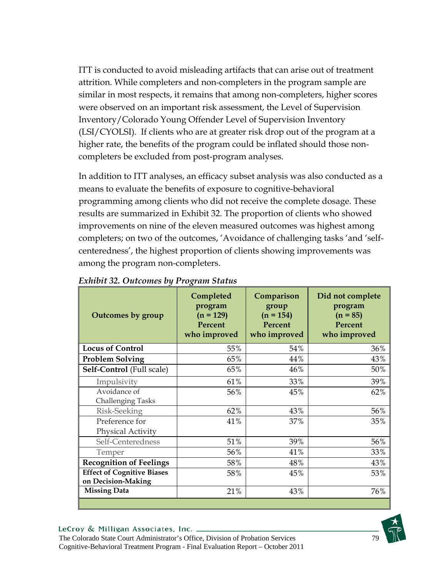ITT is conducted to avoid misleading artifacts that can arise out of treatment attrition. While completers and non-completers in the program sample are similar in most respects, it remains that among non-completers, higher scores were observed on an important risk assessment, the Level of Supervision Inventory/Colorado Young Offender Level of Supervision Inventory (LSI/CYOLSI). If clients who are at greater risk drop out of the program at a higher rate, the benefits of the program could be inflated should those noncompleters be excluded from post-program analyses.

In addition to ITT analyses, an efficacy subset analysis was also conducted as a means to evaluate the benefits of exposure to cognitive-behavioral programming among clients who did not receive the complete dosage. These results are summarized in Exhibit 32. The proportion of clients who showed improvements on nine of the eleven measured outcomes was highest among completers; on two of the outcomes, 'Avoidance of challenging tasks 'and 'selfcenteredness', the highest proportion of clients showing improvements was among the program non-completers.

| Outcomes by group                                       | Completed<br>program<br>$(n = 129)$<br>Percent<br>who improved | Comparison<br>group<br>$(n = 154)$<br>Percent<br>who improved | Did not complete<br>program<br>$(n = 85)$<br>Percent<br>who improved |
|---------------------------------------------------------|----------------------------------------------------------------|---------------------------------------------------------------|----------------------------------------------------------------------|
| <b>Locus of Control</b>                                 | 55%                                                            | 54%                                                           | 36%                                                                  |
| <b>Problem Solving</b>                                  | 65%                                                            | 44%                                                           | 43%                                                                  |
| Self-Control (Full scale)                               | 65%                                                            | 46%                                                           | 50%                                                                  |
| Impulsivity                                             | 61%                                                            | 33%                                                           | 39%                                                                  |
| Avoidance of<br><b>Challenging Tasks</b>                | 56%                                                            | 45%                                                           | 62%                                                                  |
| Risk-Seeking                                            | 62%                                                            | 43%                                                           | 56%                                                                  |
| Preference for<br>Physical Activity                     | 41%                                                            | 37%                                                           | 35%                                                                  |
| Self-Centeredness                                       | 51%                                                            | 39%                                                           | 56%                                                                  |
| Temper                                                  | 56%                                                            | 41%                                                           | 33%                                                                  |
| <b>Recognition of Feelings</b>                          | 58%                                                            | 48%                                                           | 43%                                                                  |
| <b>Effect of Cognitive Biases</b><br>on Decision-Making | 58%                                                            | 45%                                                           | 53%                                                                  |
| <b>Missing Data</b>                                     | 21%                                                            | 43%                                                           | 76%                                                                  |
|                                                         |                                                                |                                                               |                                                                      |

### *Exhibit 32. Outcomes by Program Status*

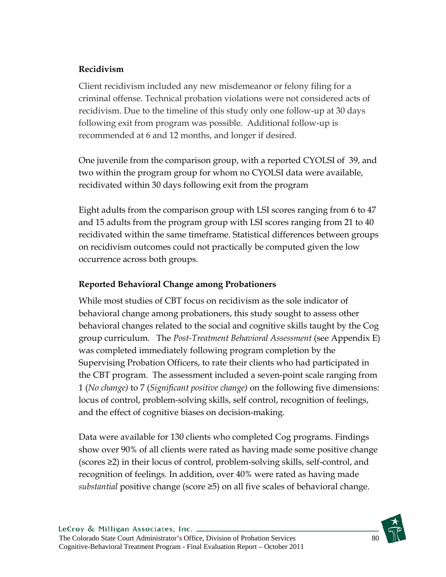## **Recidivism**

Client recidivism included any new misdemeanor or felony filing for a criminal offense. Technical probation violations were not considered acts of recidivism. Due to the timeline of this study only one follow-up at 30 days following exit from program was possible. Additional follow-up is recommended at 6 and 12 months, and longer if desired.

One juvenile from the comparison group, with a reported CYOLSI of 39, and two within the program group for whom no CYOLSI data were available, recidivated within 30 days following exit from the program

Eight adults from the comparison group with LSI scores ranging from 6 to 47 and 15 adults from the program group with LSI scores ranging from 21 to 40 recidivated within the same timeframe. Statistical differences between groups on recidivism outcomes could not practically be computed given the low occurrence across both groups.

## **Reported Behavioral Change among Probationers**

While most studies of CBT focus on recidivism as the sole indicator of behavioral change among probationers, this study sought to assess other behavioral changes related to the social and cognitive skills taught by the Cog group curriculum. The *Post-Treatment Behavioral Assessment* (see Appendix E) was completed immediately following program completion by the Supervising Probation Officers, to rate their clients who had participated in the CBT program. The assessment included a seven-point scale ranging from 1 (*No change)* to 7 (*Significant positive change)* on the following five dimensions: locus of control, problem-solving skills, self control, recognition of feelings, and the effect of cognitive biases on decision-making.

Data were available for 130 clients who completed Cog programs. Findings show over 90% of all clients were rated as having made some positive change (scores ≥2) in their locus of control, problem-solving skills, self-control, and recognition of feelings. In addition, over 40% were rated as having made *substantial* positive change (score ≥5) on all five scales of behavioral change.

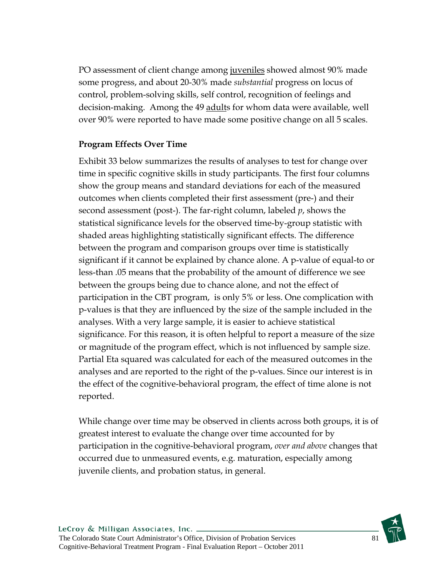PO assessment of client change among juveniles showed almost 90% made some progress, and about 20-30% made *substantial* progress on locus of control, problem-solving skills, self control, recognition of feelings and decision-making. Among the 49 adults for whom data were available, well over 90% were reported to have made some positive change on all 5 scales.

## **Program Effects Over Time**

Exhibit 33 below summarizes the results of analyses to test for change over time in specific cognitive skills in study participants. The first four columns show the group means and standard deviations for each of the measured outcomes when clients completed their first assessment (pre-) and their second assessment (post-). The far-right column, labeled *p*, shows the statistical significance levels for the observed time-by-group statistic with shaded areas highlighting statistically significant effects. The difference between the program and comparison groups over time is statistically significant if it cannot be explained by chance alone. A p-value of equal-to or less-than .05 means that the probability of the amount of difference we see between the groups being due to chance alone, and not the effect of participation in the CBT program, is only 5% or less. One complication with p-values is that they are influenced by the size of the sample included in the analyses. With a very large sample, it is easier to achieve statistical significance. For this reason, it is often helpful to report a measure of the size or magnitude of the program effect, which is not influenced by sample size. Partial Eta squared was calculated for each of the measured outcomes in the analyses and are reported to the right of the p-values. Since our interest is in the effect of the cognitive-behavioral program, the effect of time alone is not reported.

While change over time may be observed in clients across both groups, it is of greatest interest to evaluate the change over time accounted for by participation in the cognitive-behavioral program, *over and above* changes that occurred due to unmeasured events, e.g. maturation, especially among juvenile clients, and probation status, in general.

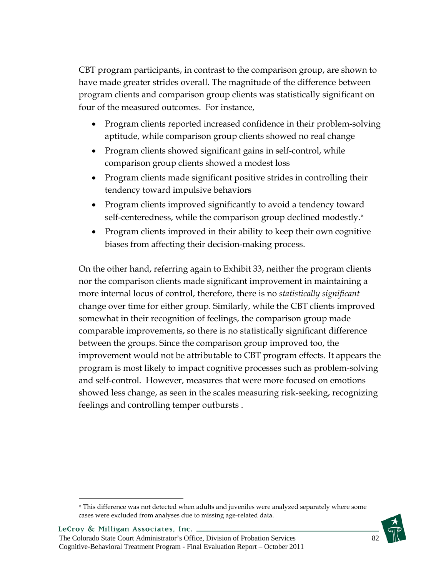CBT program participants, in contrast to the comparison group, are shown to have made greater strides overall. The magnitude of the difference between program clients and comparison group clients was statistically significant on four of the measured outcomes. For instance,

- Program clients reported increased confidence in their problem-solving aptitude, while comparison group clients showed no real change
- Program clients showed significant gains in self-control, while comparison group clients showed a modest loss
- Program clients made significant positive strides in controlling their tendency toward impulsive behaviors
- Program clients improved significantly to avoid a tendency toward self-centeredness, while the comparison group declined modestly.<sup>×</sup>
- Program clients improved in their ability to keep their own cognitive biases from affecting their decision-making process.

On the other hand, referring again to Exhibit 33, neither the program clients nor the comparison clients made significant improvement in maintaining a more internal locus of control, therefore, there is no *statistically significant* change over time for either group. Similarly, while the CBT clients improved somewhat in their recognition of feelings, the comparison group made comparable improvements, so there is no statistically significant difference between the groups. Since the comparison group improved too, the improvement would not be attributable to CBT program effects. It appears the program is most likely to impact cognitive processes such as problem-solving and self-control. However, measures that were more focused on emotions showed less change, as seen in the scales measuring risk-seeking, recognizing feelings and controlling temper outbursts .

<u>.</u>

<sup>×</sup> This difference was not detected when adults and juveniles were analyzed separately where some cases were excluded from analyses due to missing age-related data.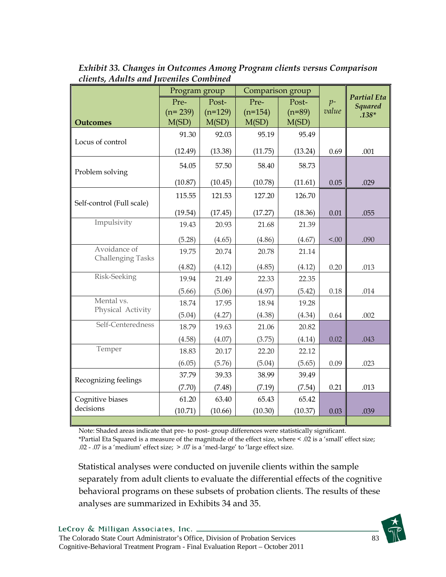|                                          | Program group |           | Comparison group |          |        |                                      |
|------------------------------------------|---------------|-----------|------------------|----------|--------|--------------------------------------|
|                                          | Pre-          | Post-     | Pre-             | Post-    | $p-$   | <b>Partial Eta</b><br><b>Squared</b> |
|                                          | $(n=239)$     | $(n=129)$ | $(n=154)$        | $(n=89)$ | value  | $.138*$                              |
| <b>Outcomes</b>                          | M(SD)         | M(SD)     | M(SD)            | M(SD)    |        |                                      |
| Locus of control                         | 91.30         | 92.03     | 95.19            | 95.49    |        |                                      |
|                                          | (12.49)       | (13.38)   | (11.75)          | (13.24)  | 0.69   | .001                                 |
| Problem solving                          | 54.05         | 57.50     | 58.40            | 58.73    |        |                                      |
|                                          | (10.87)       | (10.45)   | (10.78)          | (11.61)  | 0.05   | .029                                 |
| Self-control (Full scale)                | 115.55        | 121.53    | 127.20           | 126.70   |        |                                      |
|                                          | (19.54)       | (17.45)   | (17.27)          | (18.36)  | 0.01   | .055                                 |
| Impulsivity                              | 19.43         | 20.93     | 21.68            | 21.39    |        |                                      |
|                                          | (5.28)        | (4.65)    | (4.86)           | (4.67)   | < 0.00 | .090                                 |
| Avoidance of<br><b>Challenging Tasks</b> | 19.75         | 20.74     | 20.78            | 21.14    |        |                                      |
|                                          | (4.82)        | (4.12)    | (4.85)           | (4.12)   | 0.20   | .013                                 |
| Risk-Seeking                             | 19.94         | 21.49     | 22.33            | 22.35    |        |                                      |
|                                          | (5.66)        | (5.06)    | (4.97)           | (5.42)   | 0.18   | .014                                 |
| Mental vs.                               | 18.74         | 17.95     | 18.94            | 19.28    |        |                                      |
| Physical Activity                        | (5.04)        | (4.27)    | (4.38)           | (4.34)   | 0.64   | .002                                 |
| Self-Centeredness                        | 18.79         | 19.63     | 21.06            | 20.82    |        |                                      |
|                                          | (4.58)        | (4.07)    | (3.75)           | (4.14)   | 0.02   | .043                                 |
| Temper                                   | 18.83         | 20.17     | 22.20            | 22.12    |        |                                      |
|                                          | (6.05)        | (5.76)    | (5.04)           | (5.65)   | 0.09   | .023                                 |
| Recognizing feelings                     | 37.79         | 39.33     | 38.99            | 39.49    |        |                                      |
|                                          | (7.70)        | (7.48)    | (7.19)           | (7.54)   | 0.21   | .013                                 |
| Cognitive biases                         | 61.20         | 63.40     | 65.43            | 65.42    |        |                                      |
| decisions                                | (10.71)       | (10.66)   | (10.30)          | (10.37)  | 0.03   | .039                                 |
|                                          |               |           |                  |          |        |                                      |

*Exhibit 33. Changes in Outcomes Among Program clients versus Comparison clients, Adults and Juveniles Combined* 

Note: Shaded areas indicate that pre- to post- group differences were statistically significant. \*Partial Eta Squared is a measure of the magnitude of the effect size, where < .02 is a 'small' effect size; .02 - .07 is a 'medium' effect size; > .07 is a 'med-large' to 'large effect size.

Statistical analyses were conducted on juvenile clients within the sample separately from adult clients to evaluate the differential effects of the cognitive behavioral programs on these subsets of probation clients. The results of these analyses are summarized in Exhibits 34 and 35.

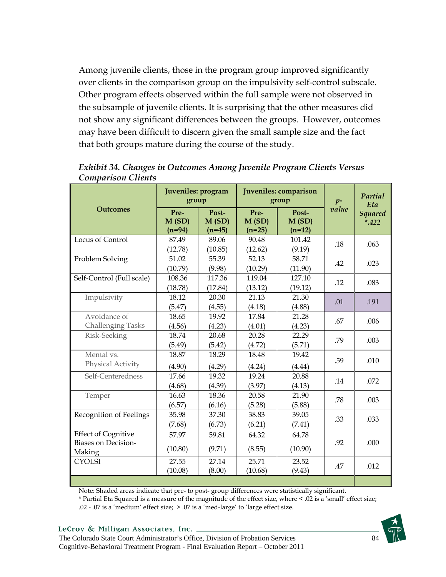Among juvenile clients, those in the program group improved significantly over clients in the comparison group on the impulsivity self-control subscale. Other program effects observed within the full sample were not observed in the subsample of juvenile clients. It is surprising that the other measures did not show any significant differences between the groups. However, outcomes may have been difficult to discern given the small sample size and the fact that both groups mature during the course of the study.

|                                                                    | Juveniles: program<br>group |                            |                           | Juveniles: comparison<br>group | $p-$  | Partial<br>Eta           |
|--------------------------------------------------------------------|-----------------------------|----------------------------|---------------------------|--------------------------------|-------|--------------------------|
| <b>Outcomes</b>                                                    | Pre-<br>M(SD)<br>$(n=94)$   | Post-<br>M(SD)<br>$(n=45)$ | Pre-<br>M(SD)<br>$(n=25)$ | Post-<br>M(SD)<br>$(n=12)$     | value | <b>Squared</b><br>$*422$ |
| Locus of Control                                                   | 87.49<br>(12.78)            | 89.06<br>(10.85)           | 90.48<br>(12.62)          | 101.42<br>(9.19)               | .18   | .063                     |
| Problem Solving                                                    | 51.02<br>(10.79)            | 55.39<br>(9.98)            | 52.13<br>(10.29)          | 58.71<br>(11.90)               | .42   | .023                     |
| Self-Control (Full scale)                                          | 108.36<br>(18.78)           | 117.36<br>(17.84)          | 119.04<br>(13.12)         | 127.10<br>(19.12)              | .12   | .083                     |
| Impulsivity                                                        | 18.12<br>(5.47)             | 20.30<br>(4.55)            | 21.13<br>(4.18)           | 21.30<br>(4.88)                | .01   | .191                     |
| Avoidance of<br><b>Challenging Tasks</b>                           | 18.65<br>(4.56)             | 19.92<br>(4.23)            | 17.84<br>(4.01)           | 21.28<br>(4.23)                | .67   | .006                     |
| Risk-Seeking                                                       | 18.74<br>(5.49)             | 20.68<br>(5.42)            | 20.28<br>(4.72)           | 22.29<br>(5.71)                | .79   | .003                     |
| Mental vs.<br>Physical Activity                                    | 18.87<br>(4.90)             | 18.29<br>(4.29)            | 18.48<br>(4.24)           | 19.42<br>(4.44)                | .59   | .010                     |
| Self-Centeredness                                                  | 17.66<br>(4.68)             | 19.32<br>(4.39)            | 19.24<br>(3.97)           | 20.88<br>(4.13)                | .14   | .072                     |
| Temper                                                             | 16.63<br>(6.57)             | 18.36<br>(6.16)            | 20.58<br>(5.28)           | 21.90<br>(5.88)                | .78   | .003                     |
| Recognition of Feelings                                            | 35.98<br>(7.68)             | 37.30<br>(6.73)            | 38.83<br>(6.21)           | 39.05<br>(7.41)                | .33   | .033                     |
| <b>Effect of Cognitive</b><br><b>Biases on Decision-</b><br>Making | 57.97<br>(10.80)            | 59.81<br>(9.71)            | 64.32<br>(8.55)           | 64.78<br>(10.90)               | .92   | .000                     |
| <b>CYOLSI</b>                                                      | 27.55<br>(10.08)            | 27.14<br>(8.00)            | 25.71<br>(10.68)          | 23.52<br>(9.43)                | .47   | .012                     |

*Exhibit 34. Changes in Outcomes Among Juvenile Program Clients Versus Comparison Clients* 

Note: Shaded areas indicate that pre- to post- group differences were statistically significant.

\* Partial Eta Squared is a measure of the magnitude of the effect size, where < .02 is a 'small' effect size; .02 - .07 is a 'medium' effect size; > .07 is a 'med-large' to 'large effect size.

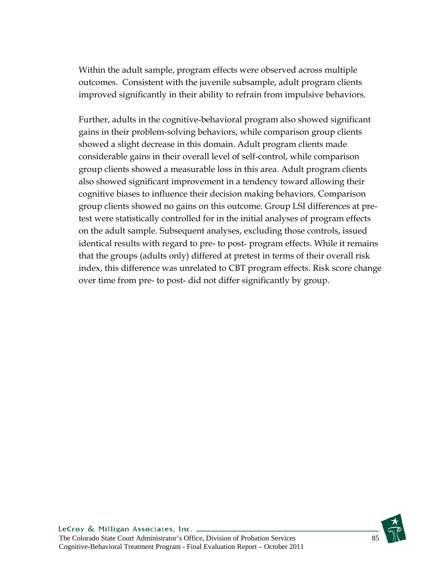Within the adult sample, program effects were observed across multiple outcomes. Consistent with the juvenile subsample, adult program clients improved significantly in their ability to refrain from impulsive behaviors.

Further, adults in the cognitive-behavioral program also showed significant gains in their problem-solving behaviors, while comparison group clients showed a slight decrease in this domain. Adult program clients made considerable gains in their overall level of self-control, while comparison group clients showed a measurable loss in this area. Adult program clients also showed significant improvement in a tendency toward allowing their cognitive biases to influence their decision making behaviors. Comparison group clients showed no gains on this outcome. Group LSI differences at pretest were statistically controlled for in the initial analyses of program effects on the adult sample. Subsequent analyses, excluding those controls, issued identical results with regard to pre- to post- program effects. While it remains that the groups (adults only) differed at pretest in terms of their overall risk index, this difference was unrelated to CBT program effects. Risk score change over time from pre- to post- did not differ significantly by group.

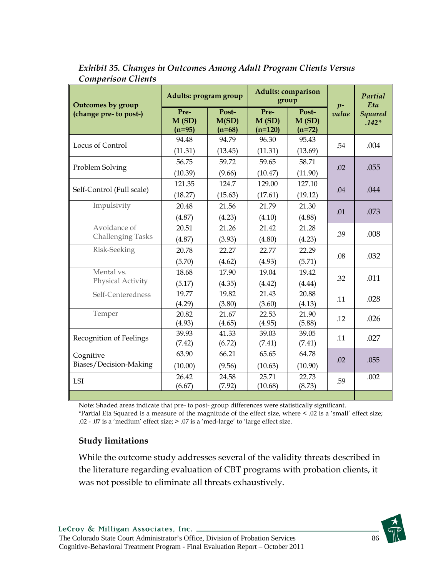| <b>Outcomes by group</b>                 | Adults: program group     |                            | <b>Adults: comparison</b><br>group |                            | $p-$  | Partial<br>Eta            |
|------------------------------------------|---------------------------|----------------------------|------------------------------------|----------------------------|-------|---------------------------|
| (change pre- to post-)                   | Pre-<br>M(SD)<br>$(n=95)$ | Post-<br>M(SD)<br>$(n=68)$ | Pre-<br>M(SD)<br>$(n=120)$         | Post-<br>M(SD)<br>$(n=72)$ | value | <b>Squared</b><br>$.142*$ |
| Locus of Control                         | 94.48<br>(11.31)          | 94.79<br>(13.45)           | 96.30<br>(11.31)                   | 95.43<br>(13.69)           | .54   | .004                      |
| Problem Solving                          | 56.75<br>(10.39)          | 59.72<br>(9.66)            | 59.65<br>(10.47)                   | 58.71<br>(11.90)           | .02   | .055                      |
| Self-Control (Full scale)                | 121.35<br>(18.27)         | 124.7<br>(15.63)           | 129.00<br>(17.61)                  | 127.10<br>(19.12)          | .04   | .044                      |
| Impulsivity                              | 20.48<br>(4.87)           | 21.56<br>(4.23)            | 21.79<br>(4.10)                    | 21.30<br>(4.88)            | .01   | .073                      |
| Avoidance of<br><b>Challenging Tasks</b> | 20.51<br>(4.87)           | 21.26<br>(3.93)            | 21.42<br>(4.80)                    | 21.28<br>(4.23)            | .39   | .008                      |
| Risk-Seeking                             | 20.78<br>(5.70)           | 22.27<br>(4.62)            | 22.77<br>(4.93)                    | 22.29<br>(5.71)            | .08   | .032                      |
| Mental vs.<br>Physical Activity          | 18.68<br>(5.17)           | 17.90<br>(4.35)            | 19.04<br>(4.42)                    | 19.42<br>(4.44)            | .32   | .011                      |
| Self-Centeredness                        | 19.77<br>(4.29)           | 19.82<br>(3.80)            | 21.43<br>(3.60)                    | 20.88<br>(4.13)            | .11   | .028                      |
| Temper                                   | 20.82<br>(4.93)           | 21.67<br>(4.65)            | 22.53<br>(4.95)                    | 21.90<br>(5.88)            | .12   | .026                      |
| Recognition of Feelings                  | 39.93<br>(7.42)           | 41.33<br>(6.72)            | 39.03<br>(7.41)                    | 39.05<br>(7.41)            | .11   | .027                      |
| Cognitive<br>Biases/Decision-Making      | 63.90<br>(10.00)          | 66.21<br>(9.56)            | 65.65<br>(10.63)                   | 64.78<br>(10.90)           | .02   | .055                      |
| LSI                                      | 26.42<br>(6.67)           | 24.58<br>(7.92)            | 25.71<br>(10.68)                   | 22.73<br>(8.73)            | .59   | .002                      |

*Exhibit 35. Changes in Outcomes Among Adult Program Clients Versus Comparison Clients* 

Note: Shaded areas indicate that pre- to post- group differences were statistically significant. \*Partial Eta Squared is a measure of the magnitude of the effect size, where < .02 is a 'small' effect size; .02 - .07 is a 'medium' effect size; > .07 is a 'med-large' to 'large effect size.

## **Study limitations**

While the outcome study addresses several of the validity threats described in the literature regarding evaluation of CBT programs with probation clients, it was not possible to eliminate all threats exhaustively.

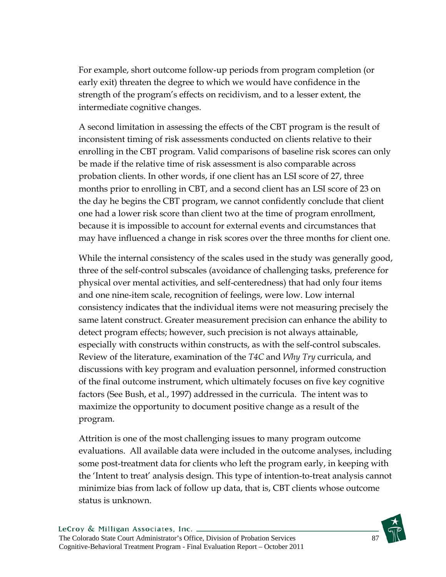For example, short outcome follow-up periods from program completion (or early exit) threaten the degree to which we would have confidence in the strength of the program's effects on recidivism, and to a lesser extent, the intermediate cognitive changes.

A second limitation in assessing the effects of the CBT program is the result of inconsistent timing of risk assessments conducted on clients relative to their enrolling in the CBT program. Valid comparisons of baseline risk scores can only be made if the relative time of risk assessment is also comparable across probation clients. In other words, if one client has an LSI score of 27, three months prior to enrolling in CBT, and a second client has an LSI score of 23 on the day he begins the CBT program, we cannot confidently conclude that client one had a lower risk score than client two at the time of program enrollment, because it is impossible to account for external events and circumstances that may have influenced a change in risk scores over the three months for client one.

While the internal consistency of the scales used in the study was generally good, three of the self-control subscales (avoidance of challenging tasks, preference for physical over mental activities, and self-centeredness) that had only four items and one nine-item scale, recognition of feelings, were low. Low internal consistency indicates that the individual items were not measuring precisely the same latent construct. Greater measurement precision can enhance the ability to detect program effects; however, such precision is not always attainable, especially with constructs within constructs, as with the self-control subscales. Review of the literature, examination of the *T4C* and *Why Try* curricula, and discussions with key program and evaluation personnel, informed construction of the final outcome instrument, which ultimately focuses on five key cognitive factors (See Bush, et al., 1997) addressed in the curricula.The intent was to maximize the opportunity to document positive change as a result of the program.

Attrition is one of the most challenging issues to many program outcome evaluations. All available data were included in the outcome analyses, including some post-treatment data for clients who left the program early, in keeping with the 'Intent to treat' analysis design. This type of intention-to-treat analysis cannot minimize bias from lack of follow up data, that is, CBT clients whose outcome status is unknown.

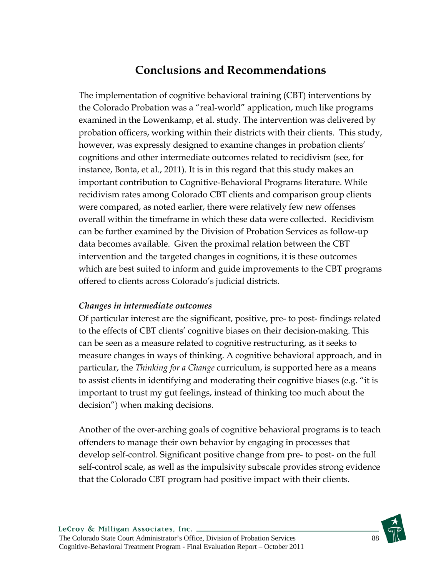# **Conclusions and Recommendations**

The implementation of cognitive behavioral training (CBT) interventions by the Colorado Probation was a "real-world" application, much like programs examined in the Lowenkamp, et al. study. The intervention was delivered by probation officers, working within their districts with their clients. This study, however, was expressly designed to examine changes in probation clients' cognitions and other intermediate outcomes related to recidivism (see, for instance, Bonta, et al., 2011). It is in this regard that this study makes an important contribution to Cognitive-Behavioral Programs literature. While recidivism rates among Colorado CBT clients and comparison group clients were compared, as noted earlier, there were relatively few new offenses overall within the timeframe in which these data were collected. Recidivism can be further examined by the Division of Probation Services as follow-up data becomes available. Given the proximal relation between the CBT intervention and the targeted changes in cognitions, it is these outcomes which are best suited to inform and guide improvements to the CBT programs offered to clients across Colorado's judicial districts.

## *Changes in intermediate outcomes*

Of particular interest are the significant, positive, pre- to post- findings related to the effects of CBT clients' cognitive biases on their decision-making. This can be seen as a measure related to cognitive restructuring, as it seeks to measure changes in ways of thinking. A cognitive behavioral approach, and in particular, the *Thinking for a Change* curriculum, is supported here as a means to assist clients in identifying and moderating their cognitive biases (e.g. "it is important to trust my gut feelings, instead of thinking too much about the decision") when making decisions.

Another of the over-arching goals of cognitive behavioral programs is to teach offenders to manage their own behavior by engaging in processes that develop self-control. Significant positive change from pre- to post- on the full self-control scale, as well as the impulsivity subscale provides strong evidence that the Colorado CBT program had positive impact with their clients.

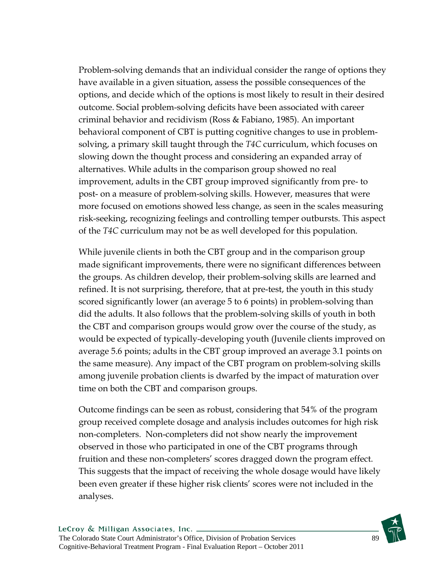Problem-solving demands that an individual consider the range of options they have available in a given situation, assess the possible consequences of the options, and decide which of the options is most likely to result in their desired outcome. Social problem-solving deficits have been associated with career criminal behavior and recidivism (Ross & Fabiano, 1985). An important behavioral component of CBT is putting cognitive changes to use in problemsolving, a primary skill taught through the *T4C* curriculum, which focuses on slowing down the thought process and considering an expanded array of alternatives. While adults in the comparison group showed no real improvement, adults in the CBT group improved significantly from pre- to post- on a measure of problem-solving skills. However, measures that were more focused on emotions showed less change, as seen in the scales measuring risk-seeking, recognizing feelings and controlling temper outbursts. This aspect of the *T4C* curriculum may not be as well developed for this population.

While juvenile clients in both the CBT group and in the comparison group made significant improvements, there were no significant differences between the groups. As children develop, their problem-solving skills are learned and refined. It is not surprising, therefore, that at pre-test, the youth in this study scored significantly lower (an average 5 to 6 points) in problem-solving than did the adults. It also follows that the problem-solving skills of youth in both the CBT and comparison groups would grow over the course of the study, as would be expected of typically-developing youth (Juvenile clients improved on average 5.6 points; adults in the CBT group improved an average 3.1 points on the same measure). Any impact of the CBT program on problem-solving skills among juvenile probation clients is dwarfed by the impact of maturation over time on both the CBT and comparison groups.

Outcome findings can be seen as robust, considering that 54% of the program group received complete dosage and analysis includes outcomes for high risk non-completers. Non-completers did not show nearly the improvement observed in those who participated in one of the CBT programs through fruition and these non-completers' scores dragged down the program effect. This suggests that the impact of receiving the whole dosage would have likely been even greater if these higher risk clients' scores were not included in the analyses.

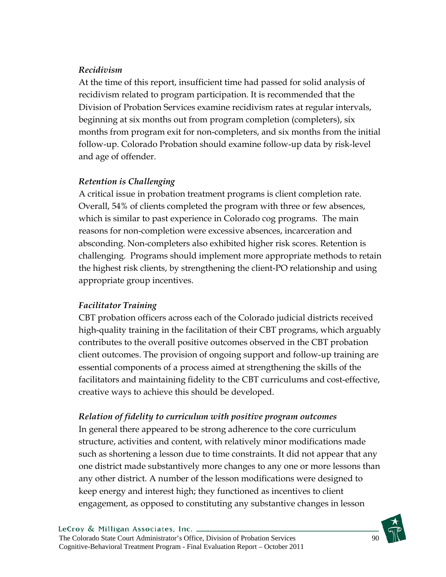## *Recidivism*

At the time of this report, insufficient time had passed for solid analysis of recidivism related to program participation. It is recommended that the Division of Probation Services examine recidivism rates at regular intervals, beginning at six months out from program completion (completers), six months from program exit for non-completers, and six months from the initial follow-up. Colorado Probation should examine follow-up data by risk-level and age of offender.

## *Retention is Challenging*

A critical issue in probation treatment programs is client completion rate. Overall, 54% of clients completed the program with three or few absences, which is similar to past experience in Colorado cog programs. The main reasons for non-completion were excessive absences, incarceration and absconding. Non-completers also exhibited higher risk scores. Retention is challenging. Programs should implement more appropriate methods to retain the highest risk clients, by strengthening the client-PO relationship and using appropriate group incentives.

## *Facilitator Training*

CBT probation officers across each of the Colorado judicial districts received high-quality training in the facilitation of their CBT programs, which arguably contributes to the overall positive outcomes observed in the CBT probation client outcomes. The provision of ongoing support and follow-up training are essential components of a process aimed at strengthening the skills of the facilitators and maintaining fidelity to the CBT curriculums and cost-effective, creative ways to achieve this should be developed.

## *Relation of fidelity to curriculum with positive program outcomes*

In general there appeared to be strong adherence to the core curriculum structure, activities and content, with relatively minor modifications made such as shortening a lesson due to time constraints. It did not appear that any one district made substantively more changes to any one or more lessons than any other district. A number of the lesson modifications were designed to keep energy and interest high; they functioned as incentives to client engagement, as opposed to constituting any substantive changes in lesson

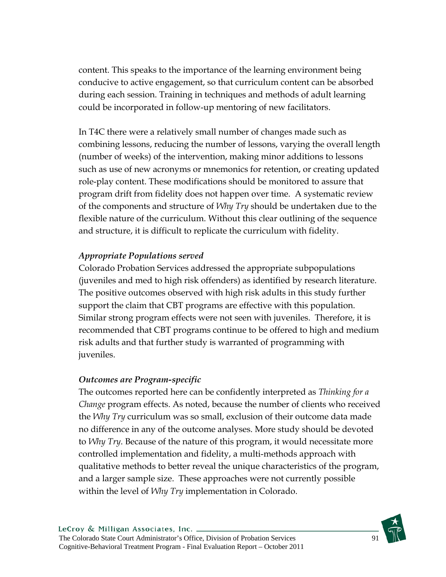content. This speaks to the importance of the learning environment being conducive to active engagement, so that curriculum content can be absorbed during each session. Training in techniques and methods of adult learning could be incorporated in follow-up mentoring of new facilitators.

In T4C there were a relatively small number of changes made such as combining lessons, reducing the number of lessons, varying the overall length (number of weeks) of the intervention, making minor additions to lessons such as use of new acronyms or mnemonics for retention, or creating updated role-play content. These modifications should be monitored to assure that program drift from fidelity does not happen over time. A systematic review of the components and structure of *Why Try* should be undertaken due to the flexible nature of the curriculum. Without this clear outlining of the sequence and structure, it is difficult to replicate the curriculum with fidelity.

## *Appropriate Populations served*

Colorado Probation Services addressed the appropriate subpopulations (juveniles and med to high risk offenders) as identified by research literature. The positive outcomes observed with high risk adults in this study further support the claim that CBT programs are effective with this population. Similar strong program effects were not seen with juveniles. Therefore, it is recommended that CBT programs continue to be offered to high and medium risk adults and that further study is warranted of programming with juveniles.

## *Outcomes are Program-specific*

The outcomes reported here can be confidently interpreted as *Thinking for a Change* program effects. As noted, because the number of clients who received the *Why Try* curriculum was so small, exclusion of their outcome data made no difference in any of the outcome analyses. More study should be devoted to *Why Try*. Because of the nature of this program, it would necessitate more controlled implementation and fidelity, a multi-methods approach with qualitative methods to better reveal the unique characteristics of the program, and a larger sample size. These approaches were not currently possible within the level of *Why Try* implementation in Colorado.

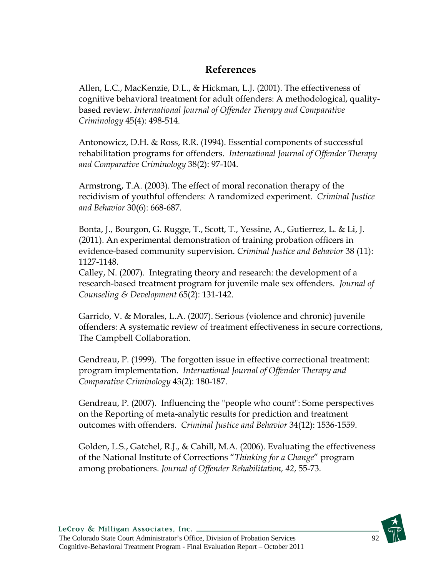## **References**

Allen, L.C., MacKenzie, D.L., & Hickman, L.J. (2001). The effectiveness of cognitive behavioral treatment for adult offenders: A methodological, qualitybased review. *International Journal of Offender Therapy and Comparative Criminology* 45(4): 498-514.

Antonowicz, D.H. & Ross, R.R. (1994). Essential components of successful rehabilitation programs for offenders. *International Journal of Offender Therapy and Comparative Criminology* 38(2): 97-104.

Armstrong, T.A. (2003). The effect of moral reconation therapy of the recidivism of youthful offenders: A randomized experiment. *Criminal Justice and Behavior* 30(6): 668-687.

Bonta, J., Bourgon, G. Rugge, T., Scott, T., Yessine, A., Gutierrez, L. & Li, J. (2011). An experimental demonstration of training probation officers in evidence-based community supervision. *Criminal Justice and Behavior* 38 (11): 1127-1148.

Calley, N. (2007). Integrating theory and research: the development of a research-based treatment program for juvenile male sex offenders. *Journal of Counseling & Development* 65(2): 131-142.

Garrido, V. & Morales, L.A. (2007). Serious (violence and chronic) juvenile offenders: A systematic review of treatment effectiveness in secure corrections, The Campbell Collaboration.

Gendreau, P. (1999). The forgotten issue in effective correctional treatment: program implementation. *International Journal of Offender Therapy and Comparative Criminology* 43(2): 180-187.

Gendreau, P. (2007). Influencing the "people who count": Some perspectives on the Reporting of meta-analytic results for prediction and treatment outcomes with offenders. *Criminal Justice and Behavior* 34(12): 1536-1559.

Golden, L.S., Gatchel, R.J., & Cahill, M.A. (2006). Evaluating the effectiveness of the National Institute of Corrections "*Thinking for a Change*" program among probationers. *Journal of Offender Rehabilitation, 42*, 55-73.

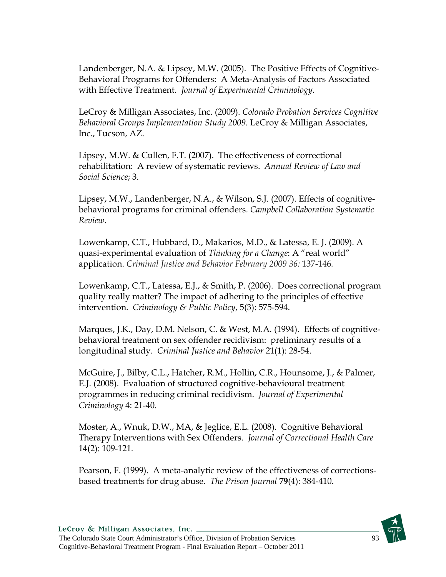Landenberger, N.A. & Lipsey, M.W. (2005). The Positive Effects of Cognitive-Behavioral Programs for Offenders: A Meta-Analysis of Factors Associated with Effective Treatment. *Journal of Experimental Criminology*.

LeCroy & Milligan Associates, Inc. (2009). *Colorado Probation Services Cognitive Behavioral Groups Implementation Study 2009*. LeCroy & Milligan Associates, Inc., Tucson, AZ.

Lipsey, M.W. & Cullen, F.T. (2007). The effectiveness of correctional rehabilitation: A review of systematic reviews. *Annual Review of Law and Social Science*; 3.

Lipsey, M.W., Landenberger, N.A., & Wilson, S.J. (2007). Effects of cognitivebehavioral programs for criminal offenders. *Campbell Collaboration Systematic Review*.

Lowenkamp, C.T., Hubbard, D., Makarios, M.D., & Latessa, E. J. (2009). A quasi-experimental evaluation of *Thinking for a Change*: A "real world" application. *Criminal Justice and Behavior February 2009 36:* 137-146*.*

Lowenkamp, C.T., Latessa, E.J., & Smith, P. (2006). Does correctional program quality really matter? The impact of adhering to the principles of effective intervention. *Criminology & Public Policy*, 5(3): 575-594.

Marques, J.K., Day, D.M. Nelson, C. & West, M.A. (1994). Effects of cognitivebehavioral treatment on sex offender recidivism: preliminary results of a longitudinal study. *Criminal Justice and Behavior* 21(1): 28-54.

McGuire, J., Bilby, C.L., Hatcher, R.M., Hollin, C.R., Hounsome, J., & Palmer, E.J. (2008). Evaluation of structured cognitive-behavioural treatment programmes in reducing criminal recidivism. *Journal of Experimental Criminology* 4: 21-40.

Moster, A., Wnuk, D.W., MA, & Jeglice, E.L. (2008). Cognitive Behavioral Therapy Interventions with Sex Offenders. *Journal of Correctional Health Care*  14(2): 109-121.

Pearson, F. (1999). A meta-analytic review of the effectiveness of correctionsbased treatments for drug abuse. *The Prison Journal* **79**(4): 384-410.

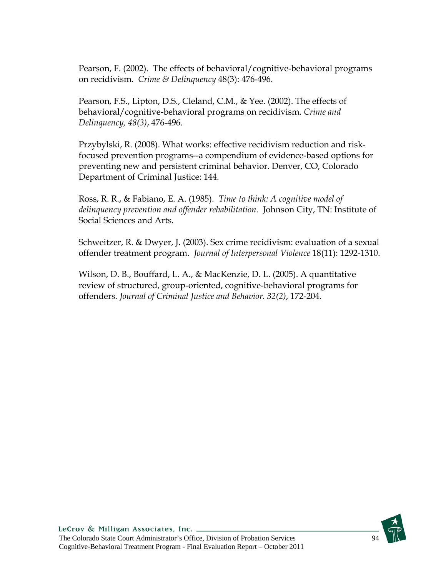Pearson, F. (2002). The effects of behavioral/cognitive-behavioral programs on recidivism. *Crime & Delinquency* 48(3): 476-496.

Pearson, F.S., Lipton, D.S., Cleland, C.M., & Yee. (2002). The effects of behavioral/cognitive-behavioral programs on recidivism. *Crime and Delinquency, 48(3)*, 476-496.

Przybylski, R. (2008). What works: effective recidivism reduction and riskfocused prevention programs--a compendium of evidence-based options for preventing new and persistent criminal behavior. Denver, CO, Colorado Department of Criminal Justice: 144.

Ross, R. R., & Fabiano, E. A. (1985). *Time to think: A cognitive model of delinquency prevention and offender rehabilitation*. Johnson City, TN: Institute of Social Sciences and Arts.

Schweitzer, R. & Dwyer, J. (2003). Sex crime recidivism: evaluation of a sexual offender treatment program. *Journal of Interpersonal Violence* 18(11): 1292-1310.

Wilson, D. B., Bouffard, L. A., & MacKenzie, D. L. (2005). A quantitative review of structured, group-oriented, cognitive-behavioral programs for offenders. *Journal of Criminal Justice and Behavior. 32(2)*, 172-204.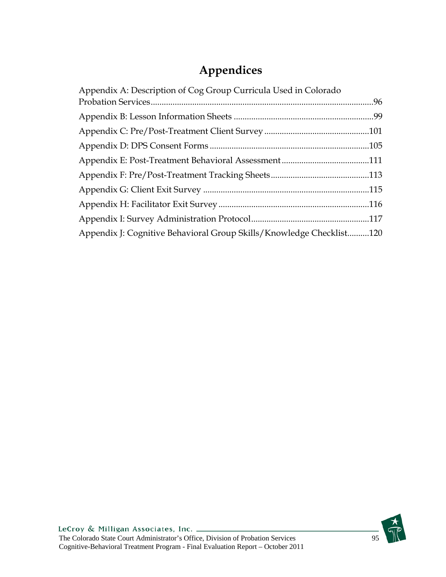# **Appendices**

| Appendix A: Description of Cog Group Curricula Used in Colorado      |  |
|----------------------------------------------------------------------|--|
|                                                                      |  |
|                                                                      |  |
|                                                                      |  |
|                                                                      |  |
|                                                                      |  |
|                                                                      |  |
|                                                                      |  |
|                                                                      |  |
|                                                                      |  |
| Appendix J: Cognitive Behavioral Group Skills/Knowledge Checklist120 |  |

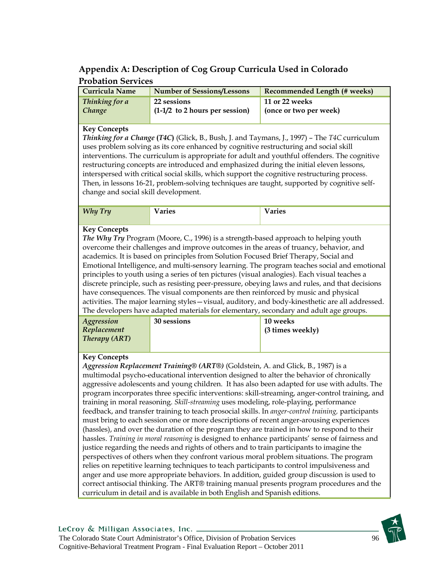## **Appendix A: Description of Cog Group Curricula Used in Colorado Probation Services**

| <b>Curricula Name</b> | <b>Number of Sessions/Lessons</b> | <b>Recommended Length (# weeks)</b> |
|-----------------------|-----------------------------------|-------------------------------------|
| Thinking for a        | 22 sessions                       | 11 or 22 weeks                      |
| Change                | $(1-1/2)$ to 2 hours per session) | (once or two per week)              |

#### **Key Concepts**

*Thinking for a Change* **(***T4C***)** (Glick, B., Bush, J. and Taymans, J., 1997) – The *T4C* curriculum uses problem solving as its core enhanced by cognitive restructuring and social skill interventions. The curriculum is appropriate for adult and youthful offenders. The cognitive restructuring concepts are introduced and emphasized during the initial eleven lessons, interspersed with critical social skills, which support the cognitive restructuring process. Then, in lessons 16-21, problem-solving techniques are taught, supported by cognitive selfchange and social skill development.

| <b>Why Try</b> | T<br>aries<br>d<br><b>ulico</b> | $-1$<br>aries |
|----------------|---------------------------------|---------------|
|                |                                 |               |

#### **Key Concepts**

*The Why Try* Program (Moore, C., 1996) is a strength-based approach to helping youth overcome their challenges and improve outcomes in the areas of truancy, behavior, and academics. It is based on principles from Solution Focused Brief Therapy, Social and Emotional Intelligence, and multi-sensory learning. The program teaches social and emotional principles to youth using a series of ten pictures (visual analogies). Each visual teaches a discrete principle, such as resisting peer-pressure, obeying laws and rules, and that decisions have consequences. The visual components are then reinforced by music and physical activities. The major learning styles—visual, auditory, and body-kinesthetic are all addressed. The developers have adapted materials for elementary, secondary and adult age groups.

|                      |             | .                |
|----------------------|-------------|------------------|
| Aggression           | 30 sessions | <b>10 weeks</b>  |
| Replacement          |             | (3 times weekly) |
| <b>Therapy (ART)</b> |             |                  |
|                      |             |                  |

#### **Key Concepts**

*Aggression Replacement Training® (ART®)* (Goldstein, A. and Glick, B., 1987) is a multimodal psycho-educational intervention designed to alter the behavior of chronically aggressive adolescents and young children. It has also been adapted for use with adults. The program incorporates three specific interventions: skill-streaming, anger-control training, and training in moral reasoning. *Skill-streaming* uses modeling, role-playing, performance feedback, and transfer training to teach prosocial skills. In *anger-control training,* participants must bring to each session one or more descriptions of recent anger-arousing experiences (hassles), and over the duration of the program they are trained in how to respond to their hassles. *Training in moral reasoning* is designed to enhance participants' sense of fairness and justice regarding the needs and rights of others and to train participants to imagine the perspectives of others when they confront various moral problem situations. The program relies on repetitive learning techniques to teach participants to control impulsiveness and anger and use more appropriate behaviors. In addition, guided group discussion is used to correct antisocial thinking. The ART® training manual presents program procedures and the curriculum in detail and is available in both English and Spanish editions.

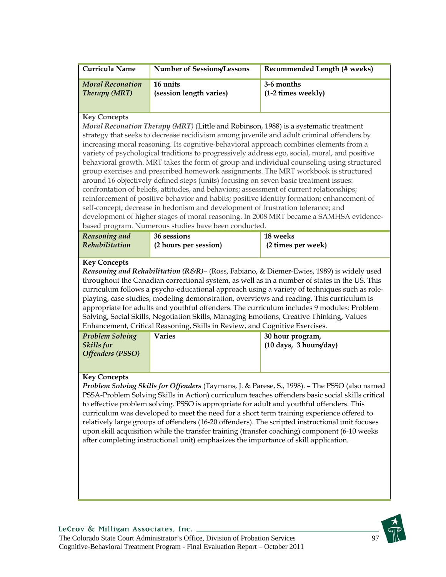| Curricula Name                                                                                                                                                                                                                                                                                                                                                                                                                                                                                                                                                                                                                                                                                                                                                                                                                                                                                                                                                                                                                                                                                                   | <b>Number of Sessions/Lessons</b>                                                                                                                                                | Recommended Length (# weeks)                                                                                                                                                                                                                                                                                                                                                                                                                                                                      |  |  |  |
|------------------------------------------------------------------------------------------------------------------------------------------------------------------------------------------------------------------------------------------------------------------------------------------------------------------------------------------------------------------------------------------------------------------------------------------------------------------------------------------------------------------------------------------------------------------------------------------------------------------------------------------------------------------------------------------------------------------------------------------------------------------------------------------------------------------------------------------------------------------------------------------------------------------------------------------------------------------------------------------------------------------------------------------------------------------------------------------------------------------|----------------------------------------------------------------------------------------------------------------------------------------------------------------------------------|---------------------------------------------------------------------------------------------------------------------------------------------------------------------------------------------------------------------------------------------------------------------------------------------------------------------------------------------------------------------------------------------------------------------------------------------------------------------------------------------------|--|--|--|
| <b>Moral Reconation</b><br><b>Therapy (MRT)</b>                                                                                                                                                                                                                                                                                                                                                                                                                                                                                                                                                                                                                                                                                                                                                                                                                                                                                                                                                                                                                                                                  | 16 units<br>(session length varies)                                                                                                                                              | 3-6 months<br>(1-2 times weekly)                                                                                                                                                                                                                                                                                                                                                                                                                                                                  |  |  |  |
| <b>Key Concepts</b><br>Moral Reconation Therapy (MRT) (Little and Robinson, 1988) is a systematic treatment<br>strategy that seeks to decrease recidivism among juvenile and adult criminal offenders by<br>increasing moral reasoning. Its cognitive-behavioral approach combines elements from a<br>variety of psychological traditions to progressively address ego, social, moral, and positive<br>behavioral growth. MRT takes the form of group and individual counseling using structured<br>group exercises and prescribed homework assignments. The MRT workbook is structured<br>around 16 objectively defined steps (units) focusing on seven basic treatment issues:<br>confrontation of beliefs, attitudes, and behaviors; assessment of current relationships;<br>reinforcement of positive behavior and habits; positive identity formation; enhancement of<br>self-concept; decrease in hedonism and development of frustration tolerance; and<br>development of higher stages of moral reasoning. In 2008 MRT became a SAMHSA evidence-<br>based program. Numerous studies have been conducted. |                                                                                                                                                                                  |                                                                                                                                                                                                                                                                                                                                                                                                                                                                                                   |  |  |  |
| Reasoning and<br>Rehabilitation                                                                                                                                                                                                                                                                                                                                                                                                                                                                                                                                                                                                                                                                                                                                                                                                                                                                                                                                                                                                                                                                                  | 36 sessions<br>(2 hours per session)                                                                                                                                             | 18 weeks<br>(2 times per week)                                                                                                                                                                                                                                                                                                                                                                                                                                                                    |  |  |  |
| <b>Key Concepts</b><br>Reasoning and Rehabilitation (R&R)- (Ross, Fabiano, & Diemer-Ewies, 1989) is widely used<br>throughout the Canadian correctional system, as well as in a number of states in the US. This<br>curriculum follows a psycho-educational approach using a variety of techniques such as role-<br>playing, case studies, modeling demonstration, overviews and reading. This curriculum is<br>appropriate for adults and youthful offenders. The curriculum includes 9 modules: Problem<br>Solving, Social Skills, Negotiation Skills, Managing Emotions, Creative Thinking, Values<br>Enhancement, Critical Reasoning, Skills in Review, and Cognitive Exercises.                                                                                                                                                                                                                                                                                                                                                                                                                             |                                                                                                                                                                                  |                                                                                                                                                                                                                                                                                                                                                                                                                                                                                                   |  |  |  |
| <b>Problem Solving</b><br><b>Skills</b> for<br><b>Offenders (PSSO)</b>                                                                                                                                                                                                                                                                                                                                                                                                                                                                                                                                                                                                                                                                                                                                                                                                                                                                                                                                                                                                                                           | <b>Varies</b>                                                                                                                                                                    | 30 hour program,<br>(10 days, 3 hours/day)                                                                                                                                                                                                                                                                                                                                                                                                                                                        |  |  |  |
| <b>Key Concepts</b>                                                                                                                                                                                                                                                                                                                                                                                                                                                                                                                                                                                                                                                                                                                                                                                                                                                                                                                                                                                                                                                                                              | to effective problem solving. PSSO is appropriate for adult and youthful offenders. This<br>after completing instructional unit) emphasizes the importance of skill application. | Problem Solving Skills for Offenders (Taymans, J. & Parese, S., 1998). - The PSSO (also named<br>PSSA-Problem Solving Skills in Action) curriculum teaches offenders basic social skills critical<br>curriculum was developed to meet the need for a short term training experience offered to<br>relatively large groups of offenders (16-20 offenders). The scripted instructional unit focuses<br>upon skill acquisition while the transfer training (transfer coaching) component (6-10 weeks |  |  |  |

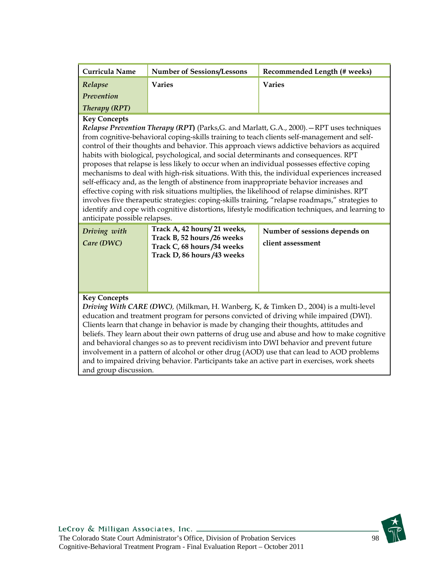| Curricula Name                                                                                                                                                                                                                                                                                                                                                                                                                                                                                                                                                                                                                                                                                                                                                                                                                                                                                                                                                                                             | <b>Number of Sessions/Lessons</b>                                                                                        | Recommended Length (# weeks)                       |  |  |  |  |  |
|------------------------------------------------------------------------------------------------------------------------------------------------------------------------------------------------------------------------------------------------------------------------------------------------------------------------------------------------------------------------------------------------------------------------------------------------------------------------------------------------------------------------------------------------------------------------------------------------------------------------------------------------------------------------------------------------------------------------------------------------------------------------------------------------------------------------------------------------------------------------------------------------------------------------------------------------------------------------------------------------------------|--------------------------------------------------------------------------------------------------------------------------|----------------------------------------------------|--|--|--|--|--|
| Relapse                                                                                                                                                                                                                                                                                                                                                                                                                                                                                                                                                                                                                                                                                                                                                                                                                                                                                                                                                                                                    | <b>Varies</b>                                                                                                            | <b>Varies</b>                                      |  |  |  |  |  |
| <b>Prevention</b>                                                                                                                                                                                                                                                                                                                                                                                                                                                                                                                                                                                                                                                                                                                                                                                                                                                                                                                                                                                          |                                                                                                                          |                                                    |  |  |  |  |  |
| <b>Therapy (RPT)</b>                                                                                                                                                                                                                                                                                                                                                                                                                                                                                                                                                                                                                                                                                                                                                                                                                                                                                                                                                                                       |                                                                                                                          |                                                    |  |  |  |  |  |
| <b>Key Concepts</b><br>Relapse Prevention Therapy (RPT) (Parks, G. and Marlatt, G.A., 2000). - RPT uses techniques<br>from cognitive-behavioral coping-skills training to teach clients self-management and self-<br>control of their thoughts and behavior. This approach views addictive behaviors as acquired<br>habits with biological, psychological, and social determinants and consequences. RPT<br>proposes that relapse is less likely to occur when an individual possesses effective coping<br>mechanisms to deal with high-risk situations. With this, the individual experiences increased<br>self-efficacy and, as the length of abstinence from inappropriate behavior increases and<br>effective coping with risk situations multiplies, the likelihood of relapse diminishes. RPT<br>involves five therapeutic strategies: coping-skills training, "relapse roadmaps," strategies to<br>identify and cope with cognitive distortions, lifestyle modification techniques, and learning to |                                                                                                                          |                                                    |  |  |  |  |  |
| Driving with<br>Care (DWC)                                                                                                                                                                                                                                                                                                                                                                                                                                                                                                                                                                                                                                                                                                                                                                                                                                                                                                                                                                                 | Track A, 42 hours/21 weeks,<br>Track B, 52 hours /26 weeks<br>Track C, 68 hours /34 weeks<br>Track D, 86 hours /43 weeks | Number of sessions depends on<br>client assessment |  |  |  |  |  |
| <b>Key Concepts</b><br>Driving With CARE (DWC), (Milkman, H. Wanberg, K, & Timken D., 2004) is a multi-level                                                                                                                                                                                                                                                                                                                                                                                                                                                                                                                                                                                                                                                                                                                                                                                                                                                                                               |                                                                                                                          |                                                    |  |  |  |  |  |

education and treatment program for persons convicted of driving while impaired (DWI). Clients learn that change in behavior is made by changing their thoughts, attitudes and beliefs. They learn about their own patterns of drug use and abuse and how to make cognitive and behavioral changes so as to prevent recidivism into DWI behavior and prevent future involvement in a pattern of alcohol or other drug (AOD) use that can lead to AOD problems and to impaired driving behavior. Participants take an active part in exercises, work sheets and group discussion.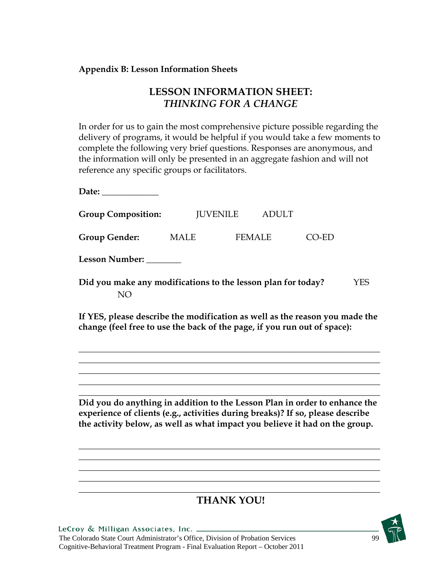### **Appendix B: Lesson Information Sheets**

## **LESSON INFORMATION SHEET:**  *THINKING FOR A CHANGE*

In order for us to gain the most comprehensive picture possible regarding the delivery of programs, it would be helpful if you would take a few moments to complete the following very brief questions. Responses are anonymous, and the information will only be presented in an aggregate fashion and will not reference any specific groups or facilitators.

| Date: $\qquad \qquad$                                                                                                                                   |      |                                 |       |     |
|---------------------------------------------------------------------------------------------------------------------------------------------------------|------|---------------------------------|-------|-----|
| <b>Group Composition:</b>                                                                                                                               |      | <b>JUVENILE</b><br><b>ADULT</b> |       |     |
| <b>Group Gender:</b>                                                                                                                                    | MALE | <b>FEMALE</b>                   | 70-ED |     |
| <b>Lesson Number:</b>                                                                                                                                   |      |                                 |       |     |
| Did you make any modifications to the lesson plan for today?<br><b>NO</b>                                                                               |      |                                 |       | YFS |
| If YES, please describe the modification as well as the reason you made the<br>change (feel free to use the back of the page, if you run out of space): |      |                                 |       |     |
|                                                                                                                                                         |      |                                 |       |     |

**Did you do anything in addition to the Lesson Plan in order to enhance the experience of clients (e.g., activities during breaks)? If so, please describe the activity below, as well as what impact you believe it had on the group.** 

\_\_\_\_\_\_\_\_\_\_\_\_\_\_\_\_\_\_\_\_\_\_\_\_\_\_\_\_\_\_\_\_\_\_\_\_\_\_\_\_\_\_\_\_\_\_\_\_\_\_\_\_\_\_\_\_\_\_\_\_\_\_\_\_\_\_\_\_\_ \_\_\_\_\_\_\_\_\_\_\_\_\_\_\_\_\_\_\_\_\_\_\_\_\_\_\_\_\_\_\_\_\_\_\_\_\_\_\_\_\_\_\_\_\_\_\_\_\_\_\_\_\_\_\_\_\_\_\_\_\_\_\_\_\_\_\_\_\_ \_\_\_\_\_\_\_\_\_\_\_\_\_\_\_\_\_\_\_\_\_\_\_\_\_\_\_\_\_\_\_\_\_\_\_\_\_\_\_\_\_\_\_\_\_\_\_\_\_\_\_\_\_\_\_\_\_\_\_\_\_\_\_\_\_\_\_\_\_ \_\_\_\_\_\_\_\_\_\_\_\_\_\_\_\_\_\_\_\_\_\_\_\_\_\_\_\_\_\_\_\_\_\_\_\_\_\_\_\_\_\_\_\_\_\_\_\_\_\_\_\_\_\_\_\_\_\_\_\_\_\_\_\_\_\_\_\_\_

\_\_\_\_\_\_\_\_\_\_\_\_\_\_\_\_\_\_\_\_\_\_\_\_\_\_\_\_\_\_\_\_\_\_\_\_\_\_\_\_\_\_\_\_\_\_\_\_\_\_\_\_\_\_\_\_\_\_\_\_\_\_\_\_\_\_\_\_\_ \_\_\_\_\_\_\_\_\_\_\_\_\_\_\_\_\_\_\_\_\_\_\_\_\_\_\_\_\_\_\_\_\_\_\_\_\_\_\_\_\_\_\_\_\_\_\_\_\_\_\_\_\_\_\_\_\_\_\_\_\_\_\_\_\_\_\_\_\_ \_\_\_\_\_\_\_\_\_\_\_\_\_\_\_\_\_\_\_\_\_\_\_\_\_\_\_\_\_\_\_\_\_\_\_\_\_\_\_\_\_\_\_\_\_\_\_\_\_\_\_\_\_\_\_\_\_\_\_\_\_\_\_\_\_\_\_\_\_ \_\_\_\_\_\_\_\_\_\_\_\_\_\_\_\_\_\_\_\_\_\_\_\_\_\_\_\_\_\_\_\_\_\_\_\_\_\_\_\_\_\_\_\_\_\_\_\_\_\_\_\_\_\_\_\_\_\_\_\_\_\_\_\_\_\_\_\_\_

## \_\_\_\_\_\_\_\_\_\_\_\_\_\_\_\_\_\_\_\_\_\_\_\_\_\_\_\_\_\_\_\_\_\_\_\_\_\_\_\_\_\_\_\_\_\_\_\_\_\_\_\_\_\_\_\_\_\_\_\_\_\_\_\_\_\_\_\_\_ **THANK YOU!**

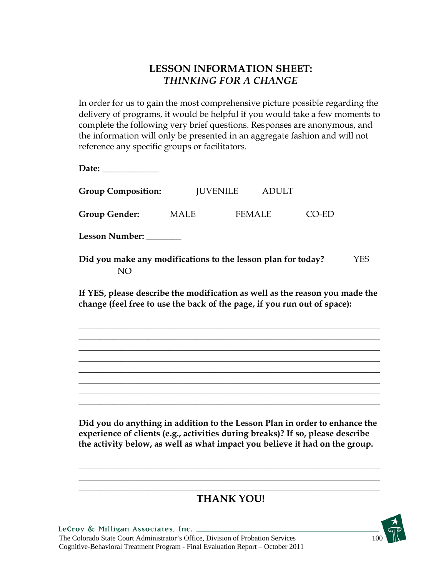## **LESSON INFORMATION SHEET:**  *THINKING FOR A CHANGE*

In order for us to gain the most comprehensive picture possible regarding the delivery of programs, it would be helpful if you would take a few moments to complete the following very brief questions. Responses are anonymous, and the information will only be presented in an aggregate fashion and will not reference any specific groups or facilitators.

**Date:** \_\_\_\_\_\_\_\_\_\_\_\_\_

**Group Composition:** JUVENILE ADULT **Group Gender:** MALE FEMALE CO-ED **Lesson Number:** \_\_\_\_\_\_\_\_ **Did you make any modifications to the lesson plan for today?** YES

NO

**If YES, please describe the modification as well as the reason you made the change (feel free to use the back of the page, if you run out of space):** 

\_\_\_\_\_\_\_\_\_\_\_\_\_\_\_\_\_\_\_\_\_\_\_\_\_\_\_\_\_\_\_\_\_\_\_\_\_\_\_\_\_\_\_\_\_\_\_\_\_\_\_\_\_\_\_\_\_\_\_\_\_\_\_\_\_\_\_\_\_ \_\_\_\_\_\_\_\_\_\_\_\_\_\_\_\_\_\_\_\_\_\_\_\_\_\_\_\_\_\_\_\_\_\_\_\_\_\_\_\_\_\_\_\_\_\_\_\_\_\_\_\_\_\_\_\_\_\_\_\_\_\_\_\_\_\_\_\_\_ \_\_\_\_\_\_\_\_\_\_\_\_\_\_\_\_\_\_\_\_\_\_\_\_\_\_\_\_\_\_\_\_\_\_\_\_\_\_\_\_\_\_\_\_\_\_\_\_\_\_\_\_\_\_\_\_\_\_\_\_\_\_\_\_\_\_\_\_\_ \_\_\_\_\_\_\_\_\_\_\_\_\_\_\_\_\_\_\_\_\_\_\_\_\_\_\_\_\_\_\_\_\_\_\_\_\_\_\_\_\_\_\_\_\_\_\_\_\_\_\_\_\_\_\_\_\_\_\_\_\_\_\_\_\_\_\_\_\_ \_\_\_\_\_\_\_\_\_\_\_\_\_\_\_\_\_\_\_\_\_\_\_\_\_\_\_\_\_\_\_\_\_\_\_\_\_\_\_\_\_\_\_\_\_\_\_\_\_\_\_\_\_\_\_\_\_\_\_\_\_\_\_\_\_\_\_\_\_ \_\_\_\_\_\_\_\_\_\_\_\_\_\_\_\_\_\_\_\_\_\_\_\_\_\_\_\_\_\_\_\_\_\_\_\_\_\_\_\_\_\_\_\_\_\_\_\_\_\_\_\_\_\_\_\_\_\_\_\_\_\_\_\_\_\_\_\_\_ \_\_\_\_\_\_\_\_\_\_\_\_\_\_\_\_\_\_\_\_\_\_\_\_\_\_\_\_\_\_\_\_\_\_\_\_\_\_\_\_\_\_\_\_\_\_\_\_\_\_\_\_\_\_\_\_\_\_\_\_\_\_\_\_\_\_\_\_\_ \_\_\_\_\_\_\_\_\_\_\_\_\_\_\_\_\_\_\_\_\_\_\_\_\_\_\_\_\_\_\_\_\_\_\_\_\_\_\_\_\_\_\_\_\_\_\_\_\_\_\_\_\_\_\_\_\_\_\_\_\_\_\_\_\_\_\_\_\_

**Did you do anything in addition to the Lesson Plan in order to enhance the experience of clients (e.g., activities during breaks)? If so, please describe the activity below, as well as what impact you believe it had on the group.** 

\_\_\_\_\_\_\_\_\_\_\_\_\_\_\_\_\_\_\_\_\_\_\_\_\_\_\_\_\_\_\_\_\_\_\_\_\_\_\_\_\_\_\_\_\_\_\_\_\_\_\_\_\_\_\_\_\_\_\_\_\_\_\_\_\_\_\_\_\_ \_\_\_\_\_\_\_\_\_\_\_\_\_\_\_\_\_\_\_\_\_\_\_\_\_\_\_\_\_\_\_\_\_\_\_\_\_\_\_\_\_\_\_\_\_\_\_\_\_\_\_\_\_\_\_\_\_\_\_\_\_\_\_\_\_\_\_\_\_

### \_\_\_\_\_\_\_\_\_\_\_\_\_\_\_\_\_\_\_\_\_\_\_\_\_\_\_\_\_\_\_\_\_\_\_\_\_\_\_\_\_\_\_\_\_\_\_\_\_\_\_\_\_\_\_\_\_\_\_\_\_\_\_\_\_\_\_\_\_ **THANK YOU!**

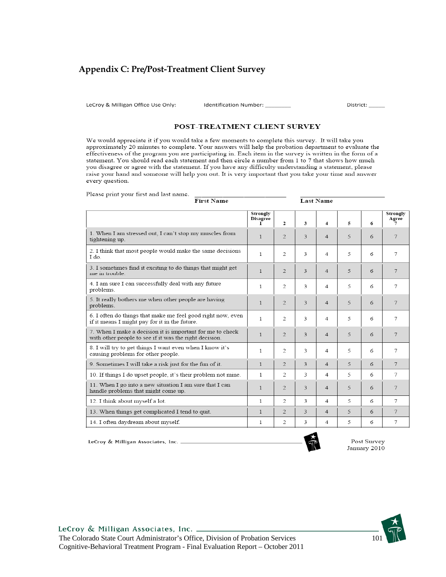### **Appendix C: Pre/Post-Treatment Client Survey**

LeCroy & Milligan Office Use Only:

Please print your first and last name.

Identification Number:

District:

#### POST-TREATMENT CLIENT SURVEY

We would appreciate it if you would take a few moments to complete this survey. It will take you approximately 20 minutes to complete. Your answers will help the probation department to evaluate the effectiveness of the program you are participating in. Each item in the survey is written in the form of a statement. You should read each statement and then circle a number from 1 to 7 that shows how much you disagree or agree with the statement. If you have any difficulty understanding a statement, please raise your hand and someone will help you out. It is very important that you take your time and answer every question.

| <b>First Name</b>                                                                                                   |                                  |                             |                         | <b>Last Name</b>         |   |   |                   |
|---------------------------------------------------------------------------------------------------------------------|----------------------------------|-----------------------------|-------------------------|--------------------------|---|---|-------------------|
|                                                                                                                     | Strongly<br><b>Disagree</b><br>L | 2                           | 3                       | 4                        | 5 | 6 | Strongly<br>Agree |
| 1. When I am stressed out, I can't stop my muscles from<br>tightening up.                                           | $\mathbf{1}$                     | $\mathcal{D}_{\mathcal{L}}$ | 3                       | $\overline{4}$           | 5 | 6 | 7                 |
| 2. I think that most people would make the same decisions<br>I do                                                   | 1                                | 2                           | 3                       | 4                        | 5 | 6 | 7                 |
| 3. I sometimes find it exciting to do things that might get<br>me in trouble.                                       | $\mathbf{1}$                     | $\overline{c}$              | 3                       | 4                        | 5 | 6 | 7                 |
| 4. I am sure I can successfully deal with any future<br>problems.                                                   | 1                                | 2                           | 3                       | 4                        | 5 | 6 | 7                 |
| 5. It really bothers me when other people are having<br>problems.                                                   | $\mathbf{1}$                     | $\overline{2}$              | 3                       | $\overline{4}$           | 5 | 6 | 7                 |
| 6. I often do things that make me feel good right now, even<br>if it means I might pay for it in the future.        | 1                                | 2                           | 3                       | 4                        | 5 | 6 | 7                 |
| 7. When I make a decision it is important for me to check<br>with other people to see if it was the right decision. | $\mathbf{1}$                     | $\overline{2}$              | 3                       | $\overline{4}$           | 5 | 6 | 7                 |
| 8. I will try to get things I want even when I know it's<br>causing problems for other people.                      | 1                                | 2                           | $\overline{3}$          | 4                        | 5 | 6 | 7                 |
| 9. Sometimes I will take a risk just for the fun of it.                                                             | $\mathbf{1}$                     | 2                           | 3                       | 4                        | 5 | 6 | 7                 |
| 10. If things I do upset people, it's their problem not mine.                                                       | 1                                | 2                           | 3                       | 4                        | 5 | 6 | 7                 |
| 11. When I go into a new situation I am sure that I can<br>handle problems that might come up.                      | $\mathbf{1}$                     | $\mathcal{D}$               | $\overline{\mathbf{3}}$ | $\overline{4}$           | 5 | 6 | 7                 |
| 12. I think about myself a lot.                                                                                     | 1                                | 2                           | 3                       | 4                        | 5 | 6 | 7                 |
| 13. When things get complicated I tend to quit.                                                                     | 1                                | $\overline{2}$              | 3                       | $\overline{\mathcal{A}}$ | 5 | 6 | 7                 |
| 14. I often daydream about myself.                                                                                  | 1                                | 2                           | 3                       | 4                        | 5 | 6 | 7                 |

LeCroy & Milligan Associates, Inc. \_



Post Survey January 2010

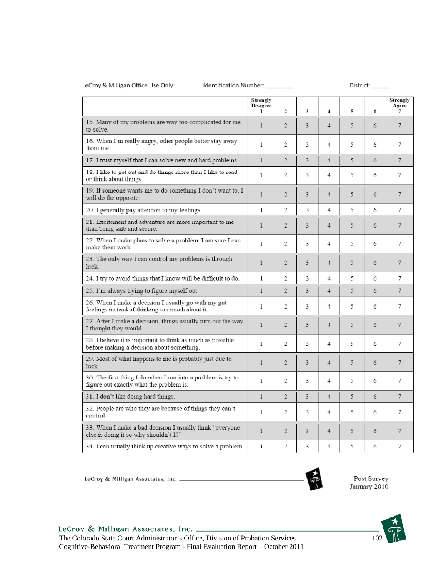#### LeCroy & Milligan Office Use Only:

Identification Number: \_\_\_\_\_\_\_

|                                                                                                         | Strongly<br>Disagree<br>1 | $\overline{2}$ | 3 | 4              | 5 | б | Strongly<br>Agree<br>7 |
|---------------------------------------------------------------------------------------------------------|---------------------------|----------------|---|----------------|---|---|------------------------|
| 15. Many of my problems are way too complicated for me<br>to solve.                                     | $\mathbf{1}$              | $\overline{2}$ | 3 | 4              | 5 | 6 | 7                      |
| 16. When I'm really angry, other people better stay away<br>from me.                                    | 1                         | 2              | 3 | 4              | 5 | 6 | 7                      |
| 17. I trust myself that I can solve new and hard problems.                                              | $\mathbf{1}$              | $\overline{2}$ | 3 | $\overline{1}$ | 5 | 6 | 7                      |
| 18. I like to get out and do things more than I like to read<br>or think about things.                  | 1                         | 2              | 3 | 4              | 5 | 6 | 7                      |
| 19. If someone wants me to do something I don't want to, I<br>will do the opposite.                     | $\mathbf{1}$              | $\overline{c}$ | 3 | $\overline{4}$ | 5 | 6 | 7                      |
| 20. 1 generally pay attention to my feelings.                                                           | 1                         | 2              | 3 | 4              | 5 | 6 | Ί                      |
| 21. Excitement and adventure are more important to me<br>than being safe and secure.                    | 1                         | $\overline{2}$ | 3 | 4              | 5 | 6 | 7                      |
| 22. When I make plans to solve a problem, I am sure I can<br>make them work.                            | 1                         | 2              | 3 | 4              | 5 | 6 | 7                      |
| 23. The only way I can control my problems is through<br>luck.                                          | $\mathbf{1}$              | $\overline{2}$ | 3 | $\overline{4}$ | 5 | 6 | 7                      |
| 24. I try to avoid things that I know will be difficult to do.                                          | $\mathbf{1}$              | 2              | 3 | 4              | 5 | 6 | 7                      |
| 25. I'm always trying to figure myself out.                                                             | $\mathbf{1}$              | $\overline{2}$ | 3 | 4              | 5 | 6 | 7                      |
| 26. When I make a decision I usually go with my gut<br>feelings instead of thinking too much about it.  | 1                         | 2              | 3 | 4              | 5 | 6 | 7                      |
| 27 After I make a decision, things usually turn out the way<br>I thought they would.                    | 1                         | $\overline{2}$ | 3 | 4              | 5 | 6 | 7                      |
| 28. I believe it is important to think as much as possible<br>before making a decision about something. | 1                         | 2              | 3 | 4              | 5 | 6 | 7                      |
| 29. Most of what happens to me is probably just due to<br>luck.                                         | 1                         | $\overline{2}$ | 3 | $\overline{4}$ | 5 | 6 | 7                      |
| 30. The first thing I do when I run into a problem is try to<br>figure out exactly what the problem is. | 1                         | 2              | 3 | 4              | 5 | 6 | 7                      |
| 31. I don't like doing hard things.                                                                     | $\mathbf{1}$              | $\overline{2}$ | 3 | $\overline{A}$ | 5 | 6 | 7                      |
| 32. People are who they are because of things they can't<br>control                                     | 1                         | 2              | 3 | 4              | 5 | 6 | 7                      |
| 33. When I make a bad decision I usually think "everyone<br>else is doing it so why shouldn't I?"       | $\mathbf{1}$              | $\overline{c}$ | 3 | $\overline{4}$ | 5 | 6 | 7                      |
| 34. I can usually think up creative ways to solve a problem.                                            | 1                         | 2              | 3 | 4              | 5 | 6 | Ί                      |



Post Survey<br>January 2010

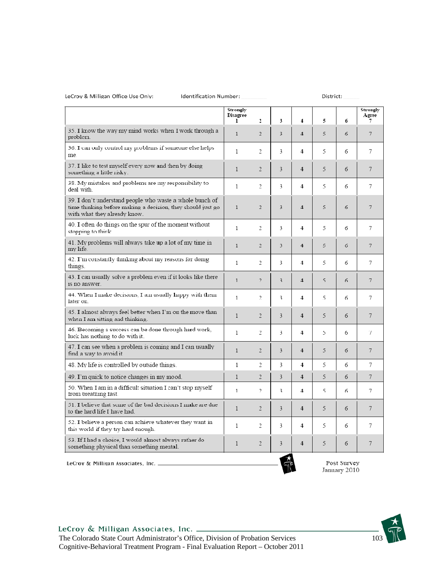LeCroy & Milligan Office Use Only:

#### Identification Number:

District:

|                                                                                                                                                         | Strongly<br>Disagree<br>1 | 2                        | 3                       | $\overline{4}$ | 5 | 6           | Strongly<br>Agree<br>7 |
|---------------------------------------------------------------------------------------------------------------------------------------------------------|---------------------------|--------------------------|-------------------------|----------------|---|-------------|------------------------|
| 35. I know the way my mind works when I work through a<br>problem.                                                                                      | $\mathbf{1}$              | $\overline{\mathcal{L}}$ | $\ddot{\mathbf{3}}$     | $\overline{4}$ | 5 | 6           | 7                      |
| 36. I can only control my problems if someone else helps<br>me.                                                                                         | 1                         | 2                        | 3                       | 4              | 5 | 6           | 7                      |
| 37. I like to test myself every now and then by doing<br>something a little risky.                                                                      | 1                         | $\overline{2}$           | 3                       | 4              | 5 | 6           | 7                      |
| 38. My mistakes and problems are my responsibility to<br>deal with.                                                                                     | $\mathbf{1}$              | 2                        | 3                       | 4              | 5 | 6           | 7                      |
| 39. I don't understand people who waste a whole bunch of<br>time thinking before making a decision, they should just go<br>with what they already know. | $\mathbf{1}$              | $\overline{2}$           | 3                       | 4              | 5 | 6           | 7                      |
| 40. I often do things on the spur of the moment without<br>stopping to think.                                                                           | 1                         | 2                        | 3                       | 4              | 5 | 6           | 7                      |
| 41. My problems will always take up a lot of my time in<br>my life.                                                                                     | $\mathbf{1}$              | $\overline{2}$           | 3                       | $\overline{4}$ | 5 | 6           | 7                      |
| 42. I'm constantly thinking about my reasons for doing<br>things.                                                                                       | 1                         | 2                        | 3                       | 4              | 5 | 6           | 7                      |
| 43. I can usually solve a problem even if it looks like there<br>is no answer.                                                                          | $\mathbf{1}$              | $\overline{2}$           | $\overline{\mathbf{3}}$ | 4              | 5 | 6           | 7                      |
| 44. When I make decisions, I am usually happy with them<br>later on.                                                                                    | 1                         | 2                        | 3                       | 4              | 5 | 6           | 7                      |
| 45. I almost always feel better when I'm on the move than<br>when I am sitting and thinking.                                                            | $\mathbf{1}$              | $\overline{2}$           | 3                       | 4              | 5 | 6           | 7                      |
| 46. Becoming a success can be done through hard work,<br>luck has nothing to do with it.                                                                | 1                         | 2                        | 3                       | 4              | 5 | 6           | 7                      |
| 47. I can see when a problem is coming and I can usually<br>find a way to avoid it.                                                                     | $\mathbf{1}$              | $\mathcal{L}$            | 3                       | $\overline{4}$ | 5 | 6           | 7                      |
| 48. My life is controlled by outside things.                                                                                                            | $\mathbf{1}$              | 2                        | 3                       | 4              | 5 | 6           | 7                      |
| 49. I'm quick to notice changes in my mood.                                                                                                             | $\mathbf{1}$              | $\overline{2}$           | 3                       | 4              | 5 | 6           | 7                      |
| 50. When I am in a difficult situation I can't stop myself<br>from breathing fast.                                                                      | $\mathbf{1}$              | $\overline{2}$           | 3                       | 4              | 5 | 6           | 7                      |
| 51. I believe that some of the bad decisions I make are due<br>to the hard life I have had.                                                             | $\mathbf{1}$              | $\overline{2}$           | 3                       | 4              | 5 | 6           | 7                      |
| 52. I believe a person can achieve whatever they want in<br>this world if they try hard enough.                                                         | $\mathbf{1}$              | 2                        | 3                       | 4              | 5 | 6           | 7                      |
| 53. If I had a choice, I would almost always rather do<br>something physical than something mental.                                                     | $\mathbf{1}$              | 2                        | 3                       | 4              | 5 | 6           | 7                      |
| LeCroy & Milligan Associates, Inc. _                                                                                                                    |                           |                          |                         |                |   | Post Survey |                        |

 $\mathbb{Z}$ 

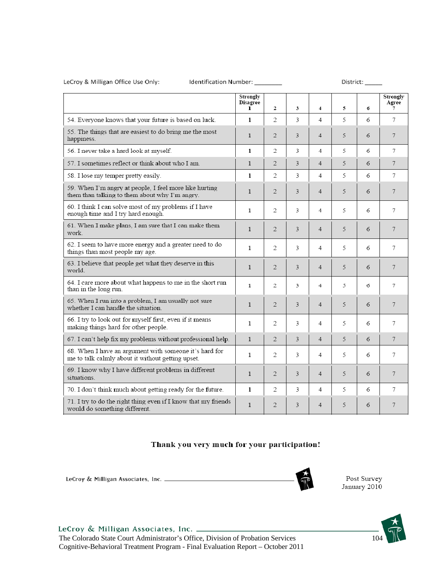#### LeCroy & Milligan Office Use Only:

#### Identification Number: \_\_\_\_\_\_\_

District:

|                                                                                                             | Strongly<br><b>Disagree</b><br>L | $\mathfrak{D}$ | 3 | $\overline{\mathbf{4}}$ | 5. | 6 | Strongly<br>Agree<br>7 |
|-------------------------------------------------------------------------------------------------------------|----------------------------------|----------------|---|-------------------------|----|---|------------------------|
| 54. Everyone knows that your future is based on luck.                                                       | 1                                | 2              | 3 | 4                       | 5  | 6 | 7                      |
| 55. The things that are easiest to do bring me the most<br>happiness.                                       | $\mathbf{1}$                     | $\overline{2}$ | 3 | 4                       | 5  | 6 | 7                      |
| 56. I never take a hard look at myself.                                                                     | $\mathbf{1}$                     | 2              | 3 | 4                       | 5  | 6 | 7                      |
| 57. I sometimes reflect or think about who I am.                                                            | 1                                | 2              | 3 | 4                       | 5  | 6 | 7                      |
| 58. I lose my temper pretty easily.                                                                         | $\mathbf{1}$                     | 2              | 3 | 4                       | 5  | 6 | 7                      |
| 59. When I'm angry at people, I feel more like hurting<br>them than talking to them about why I'm angry.    | 1                                | $\overline{2}$ | 3 | 4                       | 5  | 6 | 7                      |
| 60. I think I can solve most of my problems if I have<br>enough time and I try hard enough.                 | 1                                | 2              | 3 | 4                       | 5  | 6 | 7                      |
| 61. When I make plans, I am sure that I can make them<br>work.                                              | $\mathbf{1}$                     | $\overline{2}$ | 3 | 4                       | 5  | 6 | 7                      |
| 62. I seem to have more energy and a greater need to do<br>things than most people my age.                  | 1                                | 2              | 3 | 4                       | 5  | 6 | 7                      |
| 63. I believe that people get what they deserve in this<br>world                                            | 1                                | 2              | 3 | 4                       | 5  | 6 | 7                      |
| 64. I care more about what happens to me in the short run<br>than in the long run.                          | $\mathbf{1}$                     | 2              | 3 | 4                       | 5  | 6 | 7                      |
| 65. When I run into a problem, I am usually not sure<br>whether I can handle the situation.                 | $\mathbf{1}$                     | $\overline{2}$ | 3 | 4                       | 5  | 6 | 7                      |
| 66. I try to look out for myself first, even if it means<br>making things hard for other people.            | 1                                | 2              | 3 | 4                       | 5  | 6 | 7                      |
| 67. I can't help fix my problems without professional help.                                                 | $\mathbf{1}$                     | 2              | 3 | 4                       | 5  | 6 | 7                      |
| 68. When I have an argument with someone it's hard for<br>me to talk calmly about it without getting upset. | 1                                | 2              | 3 | 4                       | 5  | 6 | 7                      |
| 69. I know why I have different problems in different<br>situations.                                        | $\mathbf{1}$                     | 2              | 3 | 4                       | 5  | 6 | 7                      |
| 70. I don't think much about getting ready for the future.                                                  | 1                                | 2              | 3 | 4                       | 5  | 6 | 7                      |
| 71. I try to do the right thing even if I know that my friends<br>would do something different.             | $\mathbf{1}$                     | 2              | 3 | 4                       | 5  | 6 | 7                      |

#### Thank you very much for your participation!

LeCroy & Milligan Associates, Inc. \_\_\_\_\_\_\_\_\_\_\_\_\_\_





Cognitive-Behavioral Treatment Program - Final Evaluation Report – October 2011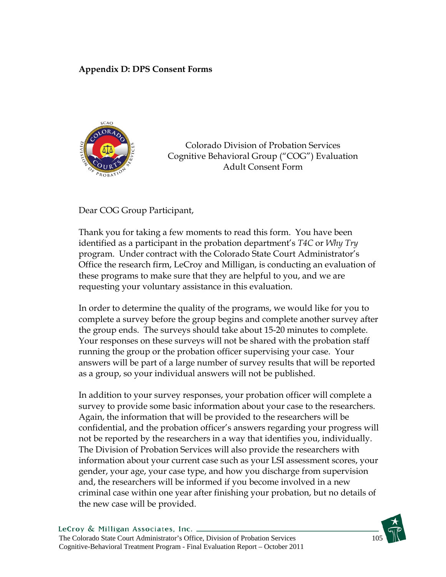## **Appendix D: DPS Consent Forms**



Colorado Division of Probation Services Cognitive Behavioral Group ("COG") Evaluation Adult Consent Form

Dear COG Group Participant,

Thank you for taking a few moments to read this form. You have been identified as a participant in the probation department's *T4C* or *Why Try* program. Under contract with the Colorado State Court Administrator's Office the research firm, LeCroy and Milligan, is conducting an evaluation of these programs to make sure that they are helpful to you, and we are requesting your voluntary assistance in this evaluation.

In order to determine the quality of the programs, we would like for you to complete a survey before the group begins and complete another survey after the group ends. The surveys should take about 15-20 minutes to complete. Your responses on these surveys will not be shared with the probation staff running the group or the probation officer supervising your case. Your answers will be part of a large number of survey results that will be reported as a group, so your individual answers will not be published.

In addition to your survey responses, your probation officer will complete a survey to provide some basic information about your case to the researchers. Again, the information that will be provided to the researchers will be confidential, and the probation officer's answers regarding your progress will not be reported by the researchers in a way that identifies you, individually. The Division of Probation Services will also provide the researchers with information about your current case such as your LSI assessment scores, your gender, your age, your case type, and how you discharge from supervision and, the researchers will be informed if you become involved in a new criminal case within one year after finishing your probation, but no details of the new case will be provided.

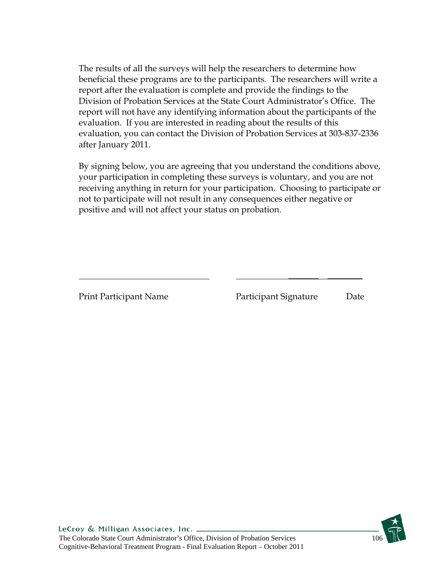The results of all the surveys will help the researchers to determine how beneficial these programs are to the participants. The researchers will write a report after the evaluation is complete and provide the findings to the Division of Probation Services at the State Court Administrator's Office. The report will not have any identifying information about the participants of the evaluation. If you are interested in reading about the results of this evaluation, you can contact the Division of Probation Services at 303-837-2336 after January 2011.

By signing below, you are agreeing that you understand the conditions above, your participation in completing these surveys is voluntary, and you are not receiving anything in return for your participation. Choosing to participate or not to participate will not result in any consequences either negative or positive and will not affect your status on probation.

\_\_\_\_\_\_\_ \_\_\_\_\_\_\_\_

Print Participant Name Participant Signature Date

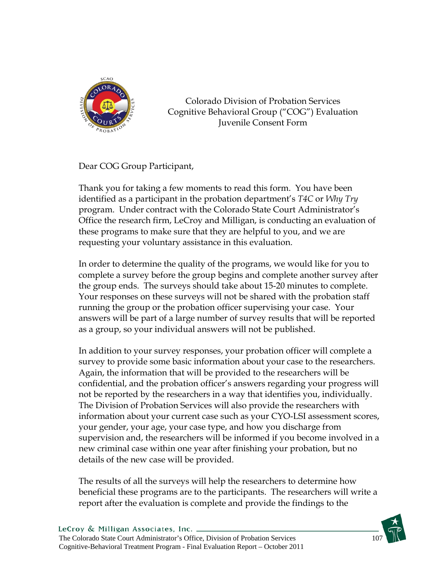

Colorado Division of Probation Services Cognitive Behavioral Group ("COG") Evaluation Juvenile Consent Form

Dear COG Group Participant,

Thank you for taking a few moments to read this form. You have been identified as a participant in the probation department's *T4C* or *Why Try* program. Under contract with the Colorado State Court Administrator's Office the research firm, LeCroy and Milligan, is conducting an evaluation of these programs to make sure that they are helpful to you, and we are requesting your voluntary assistance in this evaluation.

In order to determine the quality of the programs, we would like for you to complete a survey before the group begins and complete another survey after the group ends. The surveys should take about 15-20 minutes to complete. Your responses on these surveys will not be shared with the probation staff running the group or the probation officer supervising your case. Your answers will be part of a large number of survey results that will be reported as a group, so your individual answers will not be published.

In addition to your survey responses, your probation officer will complete a survey to provide some basic information about your case to the researchers. Again, the information that will be provided to the researchers will be confidential, and the probation officer's answers regarding your progress will not be reported by the researchers in a way that identifies you, individually. The Division of Probation Services will also provide the researchers with information about your current case such as your CYO-LSI assessment scores, your gender, your age, your case type, and how you discharge from supervision and, the researchers will be informed if you become involved in a new criminal case within one year after finishing your probation, but no details of the new case will be provided.

The results of all the surveys will help the researchers to determine how beneficial these programs are to the participants. The researchers will write a report after the evaluation is complete and provide the findings to the

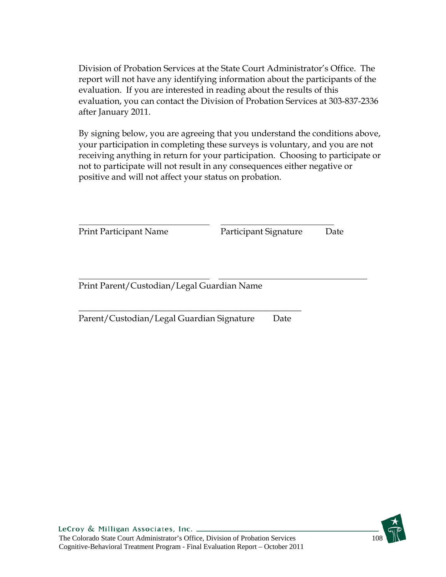Division of Probation Services at the State Court Administrator's Office. The report will not have any identifying information about the participants of the evaluation. If you are interested in reading about the results of this evaluation, you can contact the Division of Probation Services at 303-837-2336 after January 2011.

By signing below, you are agreeing that you understand the conditions above, your participation in completing these surveys is voluntary, and you are not receiving anything in return for your participation. Choosing to participate or not to participate will not result in any consequences either negative or positive and will not affect your status on probation.

| <b>Print Participant Name</b>              | Participant Signature | Date |
|--------------------------------------------|-----------------------|------|
|                                            |                       |      |
| Print Parent/Custodian/Legal Guardian Name |                       |      |

Parent/Custodian/Legal Guardian Signature Date

\_\_\_\_\_\_\_\_\_\_\_\_\_\_\_\_\_\_\_\_\_\_\_\_\_\_\_\_\_\_\_\_\_\_\_\_\_\_\_\_\_\_\_\_\_\_\_\_\_\_\_

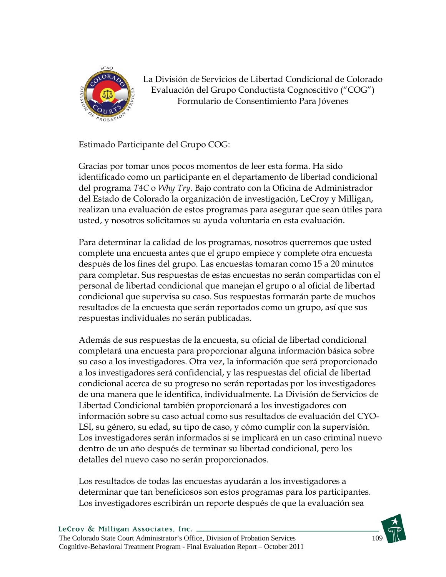

La División de Servicios de Libertad Condicional de Colorado Evaluación del Grupo Conductista Cognoscitivo ("COG") Formulario de Consentimiento Para Jóvenes

Estimado Participante del Grupo COG:

Gracias por tomar unos pocos momentos de leer esta forma. Ha sido identificado como un participante en el departamento de libertad condicional del programa *T4C* o *Why Try*. Bajo contrato con la Oficina de Administrador del Estado de Colorado la organización de investigación, LeCroy y Milligan, realizan una evaluación de estos programas para asegurar que sean útiles para usted, y nosotros solicitamos su ayuda voluntaria en esta evaluación.

Para determinar la calidad de los programas, nosotros querremos que usted complete una encuesta antes que el grupo empiece y complete otra encuesta después de los fines del grupo. Las encuestas tomaran como 15 a 20 minutos para completar. Sus respuestas de estas encuestas no serán compartidas con el personal de libertad condicional que manejan el grupo o al oficial de libertad condicional que supervisa su caso. Sus respuestas formarán parte de muchos resultados de la encuesta que serán reportados como un grupo, así que sus respuestas individuales no serán publicadas.

Además de sus respuestas de la encuesta, su oficial de libertad condicional completará una encuesta para proporcionar alguna información básica sobre su caso a los investigadores. Otra vez, la información que será proporcionado a los investigadores será confidencial, y las respuestas del oficial de libertad condicional acerca de su progreso no serán reportadas por los investigadores de una manera que le identifica, individualmente. La División de Servicios de Libertad Condicional también proporcionará a los investigadores con información sobre su caso actual como sus resultados de evaluación del CYO-LSI, su género, su edad, su tipo de caso, y cómo cumplir con la supervisión. Los investigadores serán informados si se implicará en un caso criminal nuevo dentro de un año después de terminar su libertad condicional, pero los detalles del nuevo caso no serán proporcionados.

Los resultados de todas las encuestas ayudarán a los investigadores a determinar que tan beneficiosos son estos programas para los participantes. Los investigadores escribirán un reporte después de que la evaluación sea

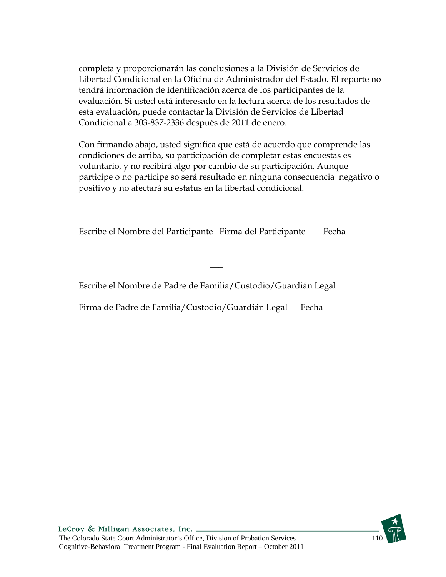completa y proporcionarán las conclusiones a la División de Servicios de Libertad Condicional en la Oficina de Administrador del Estado. El reporte no tendrá información de identificación acerca de los participantes de la evaluación. Si usted está interesado en la lectura acerca de los resultados de esta evaluación, puede contactar la División de Servicios de Libertad Condicional a 303-837-2336 después de 2011 de enero.

Con firmando abajo, usted significa que está de acuerdo que comprende las condiciones de arriba, su participación de completar estas encuestas es voluntario, y no recibirá algo por cambio de su participación. Aunque participe o no participe so será resultado en ninguna consecuencia negativo o positivo y no afectará su estatus en la libertad condicional.

Escribe el Nombre del Participante Firma del Participante Fecha

 $\overline{a}$ 

Escribe el Nombre de Padre de Familia/Custodio/Guardián Legal

\_\_\_\_\_\_\_\_\_\_\_\_\_\_\_\_\_\_\_\_\_\_\_\_\_\_\_\_\_\_\_\_\_\_\_\_\_\_\_\_\_\_\_\_\_\_\_\_\_\_\_\_\_\_\_\_\_\_\_\_

Firma de Padre de Familia/Custodio/Guardián Legal Fecha

\_\_\_

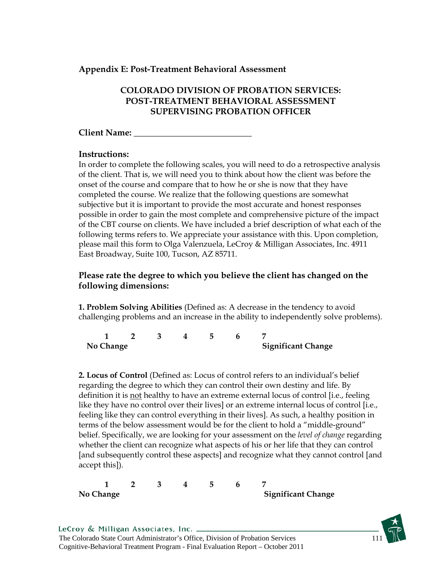#### **Appendix E: Post-Treatment Behavioral Assessment**

### **COLORADO DIVISION OF PROBATION SERVICES: POST-TREATMENT BEHAVIORAL ASSESSMENT SUPERVISING PROBATION OFFICER**

#### **Client Name:** \_\_\_\_\_\_\_\_\_\_\_\_\_\_\_\_\_\_\_\_\_\_\_\_\_\_\_

#### **Instructions:**

In order to complete the following scales, you will need to do a retrospective analysis of the client. That is, we will need you to think about how the client was before the onset of the course and compare that to how he or she is now that they have completed the course. We realize that the following questions are somewhat subjective but it is important to provide the most accurate and honest responses possible in order to gain the most complete and comprehensive picture of the impact of the CBT course on clients. We have included a brief description of what each of the following terms refers to. We appreciate your assistance with this. Upon completion, please mail this form to Olga Valenzuela, LeCroy & Milligan Associates, Inc. 4911 East Broadway, Suite 100, Tucson, AZ 85711.

### **Please rate the degree to which you believe the client has changed on the following dimensions:**

**1. Problem Solving Abilities** (Defined as: A decrease in the tendency to avoid challenging problems and an increase in the ability to independently solve problems).

| No Change |  |  | <b>Significant Change</b> |
|-----------|--|--|---------------------------|

**2. Locus of Control** (Defined as: Locus of control refers to an individual's belief regarding the degree to which they can control their own destiny and life. By definition it is not healthy to have an extreme external locus of control [i.e., feeling like they have no control over their lives] or an extreme internal locus of control [i.e., feeling like they can control everything in their lives]. As such, a healthy position in terms of the below assessment would be for the client to hold a "middle-ground" belief. Specifically, we are looking for your assessment on the *level of change* regarding whether the client can recognize what aspects of his or her life that they can control [and subsequently control these aspects] and recognize what they cannot control [and accept this]).

**1 2 3 4 5 6 7**  No Change **Significant Change** 

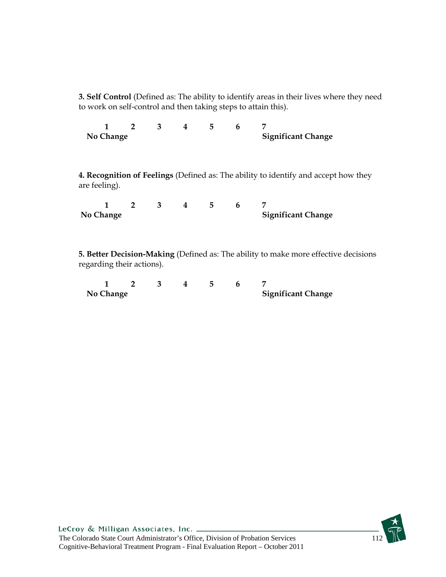**3. Self Control** (Defined as: The ability to identify areas in their lives where they need to work on self-control and then taking steps to attain this).

**1 2 3 4 5 6 7 No Change Significant Change** 

**4. Recognition of Feelings** (Defined as: The ability to identify and accept how they are feeling).

| No Change |  |  | <b>Significant Change</b> |
|-----------|--|--|---------------------------|

**5. Better Decision-Making** (Defined as: The ability to make more effective decisions regarding their actions).

| No Change |  |  | <b>Significant Change</b> |
|-----------|--|--|---------------------------|

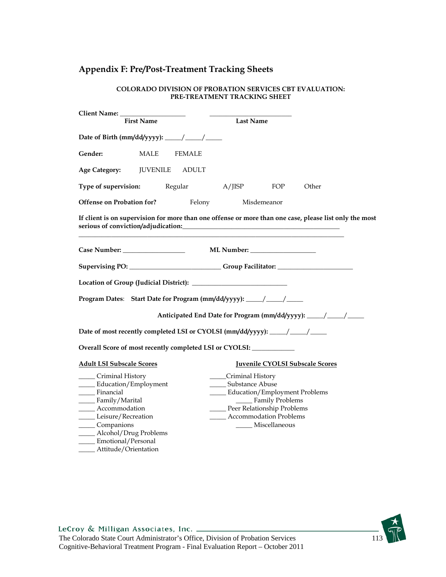# **Appendix F: Pre/Post-Treatment Tracking Sheets**

| <b>First Name</b>                                                                                                                                                                              | <b>Last Name</b>                                                                                                                                                                  |
|------------------------------------------------------------------------------------------------------------------------------------------------------------------------------------------------|-----------------------------------------------------------------------------------------------------------------------------------------------------------------------------------|
| Date of Birth (mm/dd/yyyy): _____/ _____/                                                                                                                                                      |                                                                                                                                                                                   |
| Gender:<br>MALE<br><b>FEMALE</b>                                                                                                                                                               |                                                                                                                                                                                   |
| <b>Age Category:</b><br><b>JUVENILE</b><br><b>ADULT</b>                                                                                                                                        |                                                                                                                                                                                   |
| Type of supervision:                                                                                                                                                                           | Regular A/JISP<br>Other<br>FOP                                                                                                                                                    |
| <b>Offense on Probation for?</b>                                                                                                                                                               | Felony<br>Misdemeanor                                                                                                                                                             |
|                                                                                                                                                                                                | If client is on supervision for more than one offense or more than one case, please list only the most                                                                            |
|                                                                                                                                                                                                |                                                                                                                                                                                   |
|                                                                                                                                                                                                | Supervising PO: ___________________________Group Facilitator: ___________________                                                                                                 |
|                                                                                                                                                                                                |                                                                                                                                                                                   |
| Program Dates: Start Date for Program (mm/dd/yyyy): _____/ _____/                                                                                                                              |                                                                                                                                                                                   |
|                                                                                                                                                                                                | Anticipated End Date for Program (mm/dd/yyyy): _____/ _____/                                                                                                                      |
|                                                                                                                                                                                                | Date of most recently completed LSI or CYOLSI (mm/dd/yyyy): ____/ ____/                                                                                                           |
| Overall Score of most recently completed LSI or CYOLSI: ____________                                                                                                                           |                                                                                                                                                                                   |
| <b>Adult LSI Subscale Scores</b>                                                                                                                                                               | <b>Juvenile CYOLSI Subscale Scores</b>                                                                                                                                            |
| Criminal History<br>Education/Employment<br>______ Financial<br>_____ Family/Marital<br>Accommodation<br>Leisure/Recreation<br>Companions<br>_____ Alcohol/Drug Problems<br>Emotional/Personal | _____Criminal History<br>Substance Abuse<br><b>Education/Employment Problems</b><br>Family Problems<br>Peer Relationship Problems<br>Accommodation Problems<br>____ Miscellaneous |

#### **COLORADO DIVISION OF PROBATION SERVICES CBT EVALUATION: PRE-TREATMENT TRACKING SHEET**

\_\_\_\_\_ Attitude/Orientation

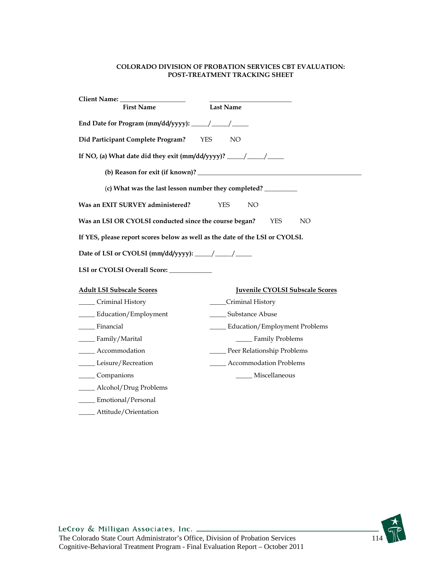#### **COLORADO DIVISION OF PROBATION SERVICES CBT EVALUATION: POST-TREATMENT TRACKING SHEET**

| Client Name: _______                                                              |                                        |
|-----------------------------------------------------------------------------------|----------------------------------------|
| <b>First Name</b>                                                                 | <b>Last Name</b>                       |
| End Date for Program (mm/dd/yyyy): _____/ _____/                                  |                                        |
| Did Participant Complete Program?                                                 | <b>YES</b><br>NO <sub>1</sub>          |
| If NO, (a) What date did they exit (mm/dd/yyyy)? _____/ _____/                    |                                        |
|                                                                                   |                                        |
| (c) What was the last lesson number they completed? _____________________________ |                                        |
| Was an EXIT SURVEY administered?                                                  | <b>YES</b><br>NO                       |
| Was an LSI OR CYOLSI conducted since the course began?                            | YES<br>NO.                             |
| If YES, please report scores below as well as the date of the LSI or CYOLSI.      |                                        |
| Date of LSI or CYOLSI (mm/dd/yyyy): _____/ ____/                                  |                                        |
|                                                                                   |                                        |
| <b>Adult LSI Subscale Scores</b>                                                  | <b>Juvenile CYOLSI Subscale Scores</b> |
| Criminal History                                                                  | ____Criminal History                   |
| Education/Employment                                                              | Substance Abuse                        |
| Financial                                                                         | _____ Education/Employment Problems    |
| _____ Family/Marital                                                              | _____ Family Problems                  |
| Accommodation                                                                     | Peer Relationship Problems             |
| Leisure/Recreation                                                                | _____ Accommodation Problems           |
| Companions                                                                        | _____ Miscellaneous                    |
| ____ Alcohol/Drug Problems                                                        |                                        |
| ____ Emotional/Personal                                                           |                                        |
| Attitude/Orientation                                                              |                                        |

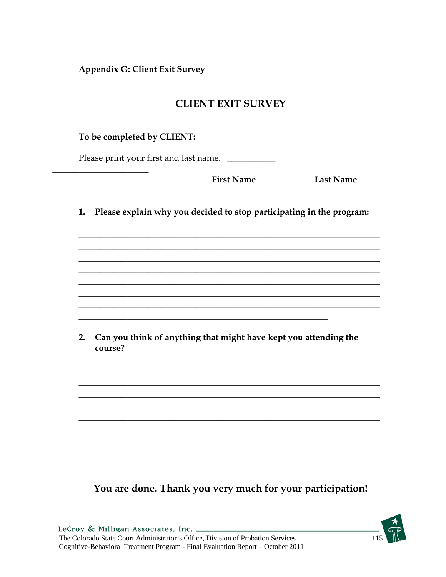**Appendix G: Client Exit Survey** 

# **CLIENT EXIT SURVEY**

## **To be completed by CLIENT:**

 $\overline{\phantom{a}}$  , we can assume that the set of the set of the set of the set of the set of the set of the set of the set of the set of the set of the set of the set of the set of the set of the set of the set of the set of t

Please print your first and last name. \_\_\_\_\_\_\_\_\_\_\_\_

**First Name Last Name**

**1. Please explain why you decided to stop participating in the program:** 

\_\_\_\_\_\_\_\_\_\_\_\_\_\_\_\_\_\_\_\_\_\_\_\_\_\_\_\_\_\_\_\_\_\_\_\_\_\_\_\_\_\_\_\_\_\_\_\_\_\_\_\_\_\_\_\_\_\_\_\_\_\_\_\_\_\_\_\_\_ \_\_\_\_\_\_\_\_\_\_\_\_\_\_\_\_\_\_\_\_\_\_\_\_\_\_\_\_\_\_\_\_\_\_\_\_\_\_\_\_\_\_\_\_\_\_\_\_\_\_\_\_\_\_\_\_\_\_\_\_\_\_\_\_\_\_\_\_\_ \_\_\_\_\_\_\_\_\_\_\_\_\_\_\_\_\_\_\_\_\_\_\_\_\_\_\_\_\_\_\_\_\_\_\_\_\_\_\_\_\_\_\_\_\_\_\_\_\_\_\_\_\_\_\_\_\_\_\_\_\_\_\_\_\_\_\_\_\_ \_\_\_\_\_\_\_\_\_\_\_\_\_\_\_\_\_\_\_\_\_\_\_\_\_\_\_\_\_\_\_\_\_\_\_\_\_\_\_\_\_\_\_\_\_\_\_\_\_\_\_\_\_\_\_\_\_\_\_\_\_\_\_\_\_\_\_\_\_ \_\_\_\_\_\_\_\_\_\_\_\_\_\_\_\_\_\_\_\_\_\_\_\_\_\_\_\_\_\_\_\_\_\_\_\_\_\_\_\_\_\_\_\_\_\_\_\_\_\_\_\_\_\_\_\_\_\_\_\_\_\_\_\_\_\_\_\_\_ \_\_\_\_\_\_\_\_\_\_\_\_\_\_\_\_\_\_\_\_\_\_\_\_\_\_\_\_\_\_\_\_\_\_\_\_\_\_\_\_\_\_\_\_\_\_\_\_\_\_\_\_\_\_\_\_\_\_\_\_\_\_\_\_\_\_\_\_\_ \_\_\_\_\_\_\_\_\_\_\_\_\_\_\_\_\_\_\_\_\_\_\_\_\_\_\_\_\_\_\_\_\_\_\_\_\_\_\_\_\_\_\_\_\_\_\_\_\_\_\_\_\_\_\_\_\_\_\_\_\_\_\_\_\_\_\_\_\_

**2. Can you think of anything that might have kept you attending the course?** 

\_\_\_\_\_\_\_\_\_\_\_\_\_\_\_\_\_\_\_\_\_\_\_\_\_\_\_\_\_\_\_\_\_\_\_\_\_\_\_\_\_\_\_\_\_\_\_\_\_\_\_\_\_\_\_\_\_\_\_\_\_\_\_\_\_\_\_\_\_ \_\_\_\_\_\_\_\_\_\_\_\_\_\_\_\_\_\_\_\_\_\_\_\_\_\_\_\_\_\_\_\_\_\_\_\_\_\_\_\_\_\_\_\_\_\_\_\_\_\_\_\_\_\_\_\_\_\_\_\_\_\_\_\_\_\_\_\_\_ \_\_\_\_\_\_\_\_\_\_\_\_\_\_\_\_\_\_\_\_\_\_\_\_\_\_\_\_\_\_\_\_\_\_\_\_\_\_\_\_\_\_\_\_\_\_\_\_\_\_\_\_\_\_\_\_\_\_\_\_\_\_\_\_\_\_\_\_\_ \_\_\_\_\_\_\_\_\_\_\_\_\_\_\_\_\_\_\_\_\_\_\_\_\_\_\_\_\_\_\_\_\_\_\_\_\_\_\_\_\_\_\_\_\_\_\_\_\_\_\_\_\_\_\_\_\_\_\_\_\_\_\_\_\_\_\_\_\_ \_\_\_\_\_\_\_\_\_\_\_\_\_\_\_\_\_\_\_\_\_\_\_\_\_\_\_\_\_\_\_\_\_\_\_\_\_\_\_\_\_\_\_\_\_\_\_\_\_\_\_\_\_\_\_\_\_\_\_\_\_\_\_\_\_\_\_\_\_

\_\_\_\_\_\_\_\_\_\_\_\_\_\_\_\_\_\_\_\_\_\_\_\_\_\_\_\_\_\_\_\_\_\_\_\_\_\_\_\_\_\_\_\_\_\_\_\_\_\_\_\_\_\_\_\_\_

# **You are done. Thank you very much for your participation!**

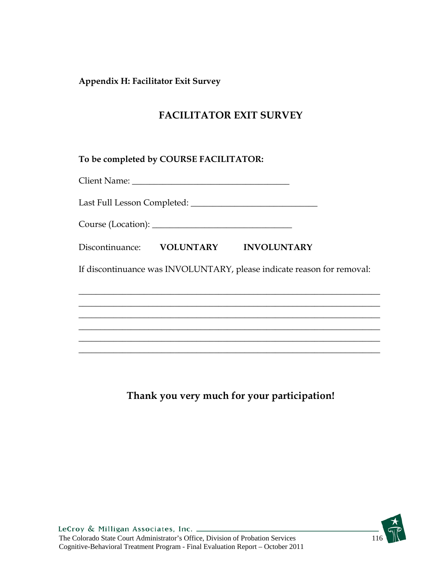**Appendix H: Facilitator Exit Survey** 

# **FACILITATOR EXIT SURVEY**

**To be completed by COURSE FACILITATOR:** 

Client Name:

Last Full Lesson Completed: \_\_\_\_\_\_\_\_\_\_\_\_\_\_\_\_\_\_\_\_\_\_\_\_\_\_\_\_\_

Course (Location): \_\_\_\_\_\_\_\_\_\_\_\_\_\_\_\_\_\_\_\_\_\_\_\_\_\_\_\_\_\_\_\_

Discontinuance:  **VOLUNTARY INVOLUNTARY** 

If discontinuance was INVOLUNTARY, please indicate reason for removal:

\_\_\_\_\_\_\_\_\_\_\_\_\_\_\_\_\_\_\_\_\_\_\_\_\_\_\_\_\_\_\_\_\_\_\_\_\_\_\_\_\_\_\_\_\_\_\_\_\_\_\_\_\_\_\_\_\_\_\_\_\_\_\_\_\_\_\_\_\_ \_\_\_\_\_\_\_\_\_\_\_\_\_\_\_\_\_\_\_\_\_\_\_\_\_\_\_\_\_\_\_\_\_\_\_\_\_\_\_\_\_\_\_\_\_\_\_\_\_\_\_\_\_\_\_\_\_\_\_\_\_\_\_\_\_\_\_\_\_ \_\_\_\_\_\_\_\_\_\_\_\_\_\_\_\_\_\_\_\_\_\_\_\_\_\_\_\_\_\_\_\_\_\_\_\_\_\_\_\_\_\_\_\_\_\_\_\_\_\_\_\_\_\_\_\_\_\_\_\_\_\_\_\_\_\_\_\_\_ \_\_\_\_\_\_\_\_\_\_\_\_\_\_\_\_\_\_\_\_\_\_\_\_\_\_\_\_\_\_\_\_\_\_\_\_\_\_\_\_\_\_\_\_\_\_\_\_\_\_\_\_\_\_\_\_\_\_\_\_\_\_\_\_\_\_\_\_\_ \_\_\_\_\_\_\_\_\_\_\_\_\_\_\_\_\_\_\_\_\_\_\_\_\_\_\_\_\_\_\_\_\_\_\_\_\_\_\_\_\_\_\_\_\_\_\_\_\_\_\_\_\_\_\_\_\_\_\_\_\_\_\_\_\_\_\_\_\_ \_\_\_\_\_\_\_\_\_\_\_\_\_\_\_\_\_\_\_\_\_\_\_\_\_\_\_\_\_\_\_\_\_\_\_\_\_\_\_\_\_\_\_\_\_\_\_\_\_\_\_\_\_\_\_\_\_\_\_\_\_\_\_\_\_\_\_\_\_

**Thank you very much for your participation!** 

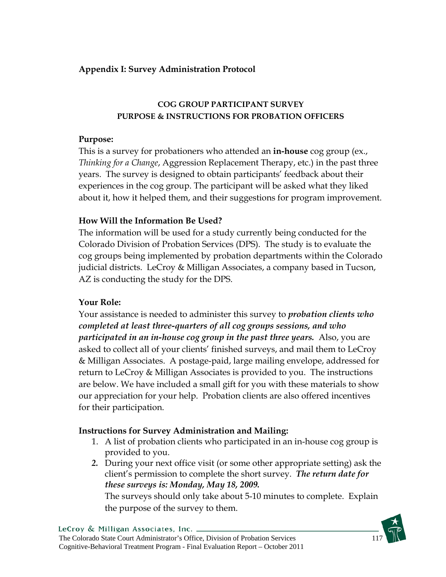## **Appendix I: Survey Administration Protocol**

## **COG GROUP PARTICIPANT SURVEY PURPOSE & INSTRUCTIONS FOR PROBATION OFFICERS**

## **Purpose:**

This is a survey for probationers who attended an **in-house** cog group (ex., *Thinking for a Change*, Aggression Replacement Therapy, etc.) in the past three years. The survey is designed to obtain participants' feedback about their experiences in the cog group. The participant will be asked what they liked about it, how it helped them, and their suggestions for program improvement.

## **How Will the Information Be Used?**

The information will be used for a study currently being conducted for the Colorado Division of Probation Services (DPS). The study is to evaluate the cog groups being implemented by probation departments within the Colorado judicial districts. LeCroy & Milligan Associates, a company based in Tucson, AZ is conducting the study for the DPS.

## **Your Role:**

Your assistance is needed to administer this survey to *probation clients who completed at least three-quarters of all cog groups sessions, and who participated in an in-house cog group in the past three years.* Also, you are asked to collect all of your clients' finished surveys, and mail them to LeCroy & Milligan Associates. A postage-paid, large mailing envelope, addressed for return to LeCroy & Milligan Associates is provided to you. The instructions are below. We have included a small gift for you with these materials to show our appreciation for your help. Probation clients are also offered incentives for their participation.

## **Instructions for Survey Administration and Mailing:**

- 1. A list of probation clients who participated in an in-house cog group is provided to you.
- *2.* During your next office visit (or some other appropriate setting) ask the client's permission to complete the short survey. *The return date for these surveys is: Monday, May 18, 2009.*

The surveys should only take about 5-10 minutes to complete. Explain the purpose of the survey to them.

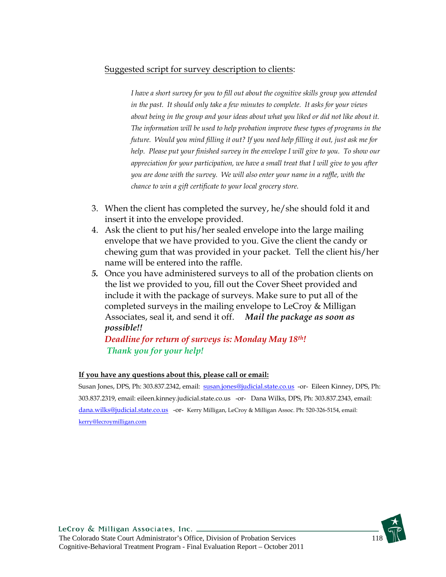## Suggested script for survey description to clients:

*I have a short survey for you to fill out about the cognitive skills group you attended in the past. It should only take a few minutes to complete. It asks for your views about being in the group and your ideas about what you liked or did not like about it. The information will be used to help probation improve these types of programs in the future. Would you mind filling it out? If you need help filling it out, just ask me for help. Please put your finished survey in the envelope I will give to you. To show our appreciation for your participation, we have a small treat that I will give to you after you are done with the survey. We will also enter your name in a raffle, with the chance to win a gift certificate to your local grocery store.* 

- 3. When the client has completed the survey, he/she should fold it and insert it into the envelope provided.
- 4. Ask the client to put his/her sealed envelope into the large mailing envelope that we have provided to you. Give the client the candy or chewing gum that was provided in your packet. Tell the client his/her name will be entered into the raffle.
- *5.* Once you have administered surveys to all of the probation clients on the list we provided to you, fill out the Cover Sheet provided and include it with the package of surveys. Make sure to put all of the completed surveys in the mailing envelope to LeCroy & Milligan Associates, seal it, and send it off. *Mail the package as soon as possible!!*

## *Deadline for return of surveys is: Monday May 18th! Thank you for your help!*

#### **If you have any questions about this, please call or email:**

Susan Jones, DPS, Ph: 303.837.2342, email: susan.jones@judicial.state.co.us -or- Eileen Kinney, DPS, Ph: 303.837.2319, email: eileen.kinney.judicial.state.co.us -or- Dana Wilks, DPS, Ph: 303.837.2343, email: dana.wilks@judicial.state.co.us -or- Kerry Milligan, LeCroy & Milligan Assoc. Ph: 520-326-5154, email: kerry@lecroymilligan.com

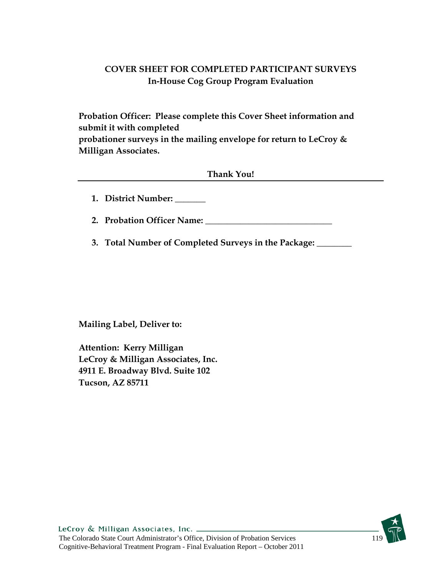## **COVER SHEET FOR COMPLETED PARTICIPANT SURVEYS In-House Cog Group Program Evaluation**

**Probation Officer: Please complete this Cover Sheet information and submit it with completed probationer surveys in the mailing envelope for return to LeCroy & Milligan Associates.** 

**Thank You!** 

**1. District Number: \_\_\_\_\_\_\_** 

2. Probation Officer Name:

**3. Total Number of Completed Surveys in the Package: \_\_\_\_\_\_\_\_** 

**Mailing Label, Deliver to:** 

**Attention: Kerry Milligan LeCroy & Milligan Associates, Inc. 4911 E. Broadway Blvd. Suite 102 Tucson, AZ 85711** 

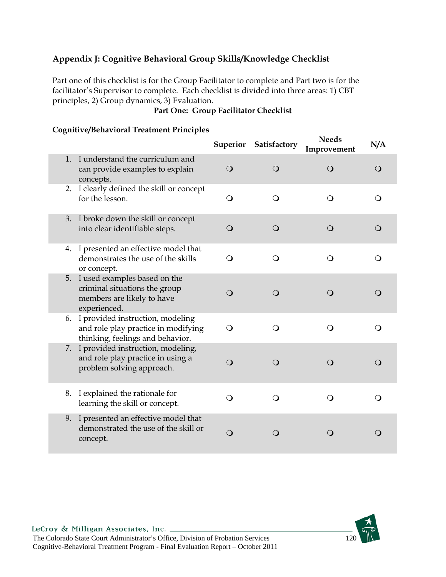## **Appendix J: Cognitive Behavioral Group Skills/Knowledge Checklist**

Part one of this checklist is for the Group Facilitator to complete and Part two is for the facilitator's Supervisor to complete. Each checklist is divided into three areas: 1) CBT principles, 2) Group dynamics, 3) Evaluation.

## **Part One: Group Facilitator Checklist**

### **Cognitive/Behavioral Treatment Principles**

|                                                                                                                |          | Superior Satisfactory | <b>Needs</b><br>Improvement | N/A        |
|----------------------------------------------------------------------------------------------------------------|----------|-----------------------|-----------------------------|------------|
| 1. I understand the curriculum and<br>can provide examples to explain<br>concepts.                             | $\cup$   | $\Omega$              | $\bigcirc$                  | $\bigcirc$ |
| 2. I clearly defined the skill or concept<br>for the lesson.                                                   | $\Omega$ | $\Omega$              | $\Omega$                    | O          |
| 3. I broke down the skill or concept<br>into clear identifiable steps.                                         | $\circ$  | $\Omega$              | $\bigcirc$                  | O          |
| 4. I presented an effective model that<br>demonstrates the use of the skills<br>or concept.                    | $\Omega$ | $\Omega$              | $\Omega$                    | ∩          |
| 5. I used examples based on the<br>criminal situations the group<br>members are likely to have<br>experienced. | ∩        | ∩                     | $\bigcirc$                  | $\Omega$   |
| 6. I provided instruction, modeling<br>and role play practice in modifying<br>thinking, feelings and behavior. | $\Omega$ | Q                     | $\Omega$                    | ∩          |
| 7. I provided instruction, modeling,<br>and role play practice in using a<br>problem solving approach.         | $\circ$  | $\Omega$              | $\bigcirc$                  | Q          |
| 8. I explained the rationale for<br>learning the skill or concept.                                             | $\Omega$ | O                     | O                           |            |
| 9. I presented an effective model that<br>demonstrated the use of the skill or<br>concept.                     | O        | 0                     | $\left( \right)$            | 0          |

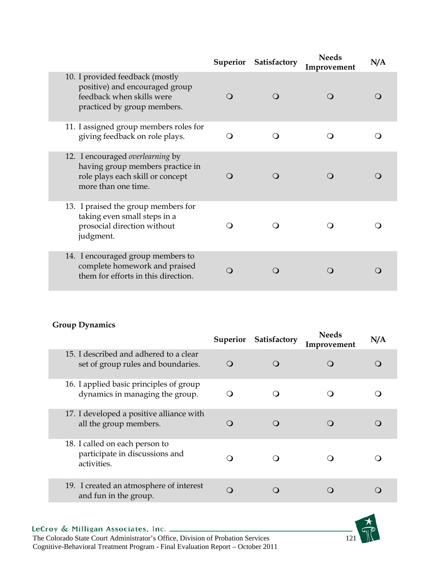|                                                                                                                                 | <b>Superior</b> | Satisfactory | <b>Needs</b><br>Improvement | N/A |
|---------------------------------------------------------------------------------------------------------------------------------|-----------------|--------------|-----------------------------|-----|
| 10. I provided feedback (mostly<br>positive) and encouraged group<br>feedback when skills were<br>practiced by group members.   | ∩               | $\Omega$     | $\Omega$                    |     |
| 11. I assigned group members roles for<br>giving feedback on role plays.                                                        |                 |              |                             |     |
| 12. I encouraged overlearning by<br>having group members practice in<br>role plays each skill or concept<br>more than one time. |                 |              |                             |     |
| 13. I praised the group members for<br>taking even small steps in a<br>prosocial direction without<br>judgment.                 |                 |              |                             |     |
| 14. I encouraged group members to<br>complete homework and praised<br>them for efforts in this direction.                       |                 |              |                             |     |

### **Group Dynamics**

|                                                                                 | <b>Superior</b> | Satisfactory           | <b>Needs</b><br>Improvement | N/A |
|---------------------------------------------------------------------------------|-----------------|------------------------|-----------------------------|-----|
| 15. I described and adhered to a clear<br>set of group rules and boundaries.    | O               | $\left( \quad \right)$ |                             |     |
| 16. I applied basic principles of group<br>dynamics in managing the group.      | 0               |                        |                             |     |
| 17. I developed a positive alliance with<br>all the group members.              | $\Omega$        |                        |                             |     |
| 18. I called on each person to<br>participate in discussions and<br>activities. | . .             |                        |                             |     |
| 19. I created an atmosphere of interest<br>and fun in the group.                | $\Omega$        |                        |                             |     |

Cognitive-Behavioral Treatment Program - Final Evaluation Report – October 2011

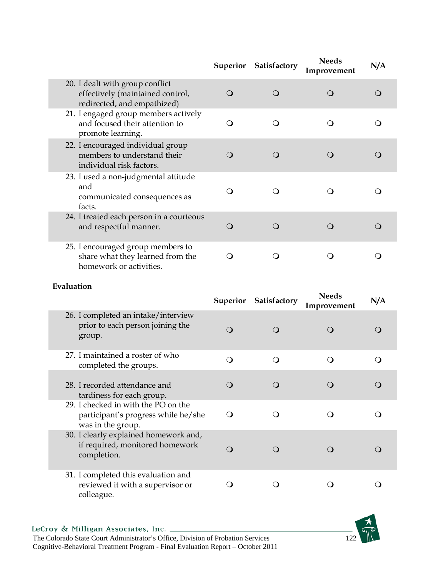|                                                                                                    | <b>Superior</b> | Satisfactory | <b>Needs</b><br>Improvement | N/A              |  |
|----------------------------------------------------------------------------------------------------|-----------------|--------------|-----------------------------|------------------|--|
| 20. I dealt with group conflict<br>effectively (maintained control,<br>redirected, and empathized) | $\bigcirc$      | O            | $\Omega$                    | $\left( \right)$ |  |
| 21. I engaged group members actively<br>and focused their attention to<br>promote learning.        | $\Omega$        | ( )          |                             |                  |  |
| 22. I encouraged individual group<br>members to understand their<br>individual risk factors.       | ∩               | $\Omega$     |                             |                  |  |
| 23. I used a non-judgmental attitude<br>and<br>communicated consequences as<br>facts.              | ( )             |              |                             |                  |  |
| 24. I treated each person in a courteous<br>and respectful manner.                                 | O               |              | ( )                         |                  |  |
| 25. I encouraged group members to<br>share what they learned from the<br>homework or activities.   |                 |              |                             |                  |  |

## **Evaluation**

|                                                                                                 | <b>Superior</b> | Satisfactory | <b>Needs</b><br>Improvement | N/A |
|-------------------------------------------------------------------------------------------------|-----------------|--------------|-----------------------------|-----|
| 26. I completed an intake/interview<br>prior to each person joining the<br>group.               | ∩               | $\Omega$     | $\Omega$                    |     |
| 27. I maintained a roster of who<br>completed the groups.                                       | ∩               | ( )          | 0                           |     |
| 28. I recorded attendance and<br>tardiness for each group.                                      |                 |              |                             |     |
| 29. I checked in with the PO on the<br>participant's progress while he/she<br>was in the group. | ∩               |              |                             |     |
| 30. I clearly explained homework and,<br>if required, monitored homework<br>completion.         | ∩               |              |                             |     |
| 31. I completed this evaluation and<br>reviewed it with a supervisor or<br>colleague.           |                 |              |                             |     |

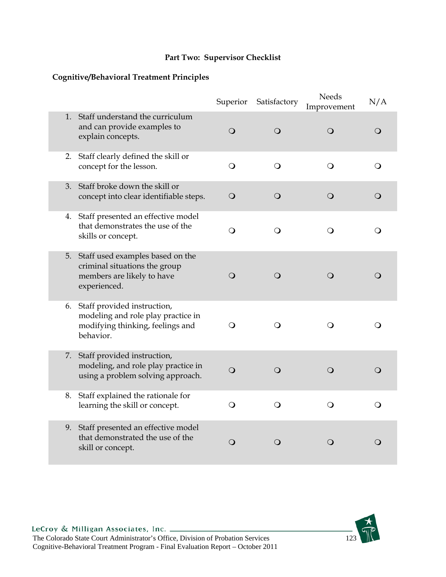## **Part Two: Supervisor Checklist**

## **Cognitive/Behavioral Treatment Principles**

|                                                                                                                       | Superior       | Satisfactory | <b>Needs</b><br>Improvement | N/A        |
|-----------------------------------------------------------------------------------------------------------------------|----------------|--------------|-----------------------------|------------|
| 1. Staff understand the curriculum<br>and can provide examples to<br>explain concepts.                                | $\bigcirc$     | $\bigcirc$   | $\bigcirc$                  | $\bigcirc$ |
| 2. Staff clearly defined the skill or<br>concept for the lesson.                                                      | $\overline{O}$ | $\Omega$     | $\Omega$                    | Q          |
| 3. Staff broke down the skill or<br>concept into clear identifiable steps.                                            | $\mathsf{O}$   | $\mathsf{O}$ | $\Omega$                    | $\bigcirc$ |
| 4. Staff presented an effective model<br>that demonstrates the use of the<br>skills or concept.                       | O              | $\circ$      | $\Omega$                    | $\circ$    |
| 5. Staff used examples based on the<br>criminal situations the group<br>members are likely to have<br>experienced.    | $\Omega$       | $\bigcirc$   | $\bigcirc$                  | $\bigcirc$ |
| 6. Staff provided instruction,<br>modeling and role play practice in<br>modifying thinking, feelings and<br>behavior. | $\Omega$       | $\Omega$     | Q                           | Q          |
| 7. Staff provided instruction,<br>modeling, and role play practice in<br>using a problem solving approach.            | $\Omega$       | $\Omega$     | $\bigcirc$                  | O          |
| 8. Staff explained the rationale for<br>learning the skill or concept.                                                | $\bigcirc$     | $\bigcirc$   | $\Omega$                    | $\Omega$   |
| 9. Staff presented an effective model<br>that demonstrated the use of the<br>skill or concept.                        | $\Omega$       | $\bigcirc$   | $\bigcirc$                  | $\bigcirc$ |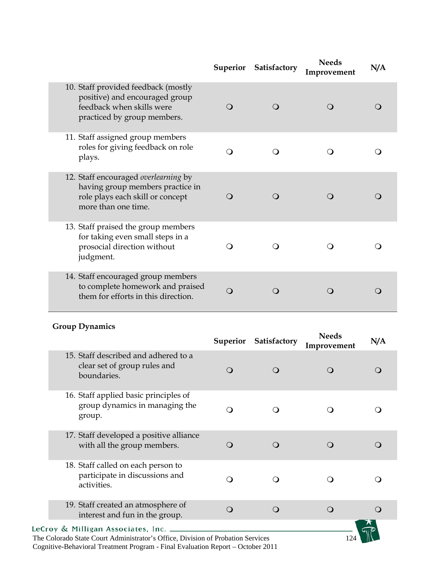|                                                                                                                                     |          | Superior Satisfactory | <b>Needs</b><br>Improvement | N/A |  |
|-------------------------------------------------------------------------------------------------------------------------------------|----------|-----------------------|-----------------------------|-----|--|
| 10. Staff provided feedback (mostly<br>positive) and encouraged group<br>feedback when skills were<br>practiced by group members.   | $\Omega$ | ( )                   |                             |     |  |
| 11. Staff assigned group members<br>roles for giving feedback on role<br>plays.                                                     | ∩        |                       |                             |     |  |
| 12. Staff encouraged overlearning by<br>having group members practice in<br>role plays each skill or concept<br>more than one time. | ∩        |                       |                             |     |  |
| 13. Staff praised the group members<br>for taking even small steps in a<br>prosocial direction without<br>judgment.                 | O        |                       |                             |     |  |
| 14. Staff encouraged group members<br>to complete homework and praised<br>them for efforts in this direction.                       | $\Omega$ |                       |                             |     |  |

## **Group Dynamics**

|                                                                                     | <b>Superior</b> | Satisfactory | <b>Needs</b><br>Improvement | N/A      |
|-------------------------------------------------------------------------------------|-----------------|--------------|-----------------------------|----------|
| 15. Staff described and adhered to a<br>clear set of group rules and<br>boundaries. | $\Omega$        |              |                             | $\Omega$ |
| 16. Staff applied basic principles of<br>group dynamics in managing the<br>group.   | ∩               |              |                             |          |
| 17. Staff developed a positive alliance<br>with all the group members.              | ∩               |              |                             |          |
| 18. Staff called on each person to<br>participate in discussions and<br>activities. | ∩               |              |                             |          |
| 19. Staff created an atmosphere of<br>interest and fun in the group.                | $\Omega$        | $\Omega$     | $\Omega$                    | ∩        |
| LeCroy & Milligan Associates, Inc.                                                  |                 |              |                             |          |

The Colorado State Court Administrator's Office, Division of Probation Services 124 Cognitive-Behavioral Treatment Program - Final Evaluation Report – October 2011